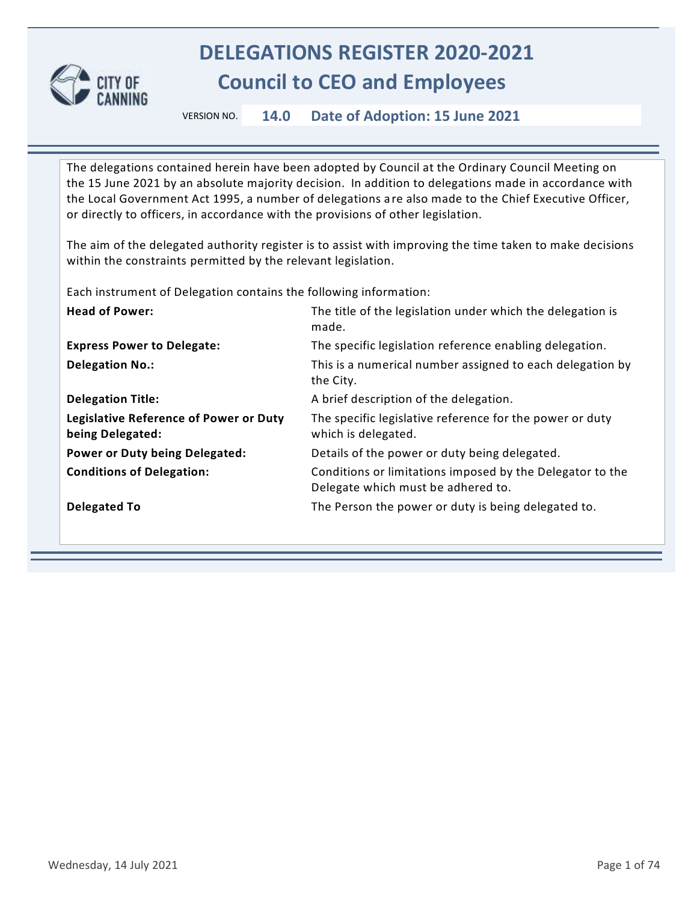

## **DELEGATIONS REGISTER 2020-2021 Council to CEO and Employees**

VERSION NO. **14.0 Date of Adoption: 15 June 2021**

The delegations contained herein have been adopted by Council at the Ordinary Council Meeting on the 15 June 2021 by an absolute majority decision. In addition to delegations made in accordance with the Local Government Act 1995, a number of delegations a re also made to the Chief Executive Officer, or directly to officers, in accordance with the provisions of other legislation.

The aim of the delegated authority register is to assist with improving the time taken to make decisions within the constraints permitted by the relevant legislation.

Each instrument of Delegation contains the following information:

| <b>Head of Power:</b>                                             | The title of the legislation under which the delegation is<br>made.                             |
|-------------------------------------------------------------------|-------------------------------------------------------------------------------------------------|
| <b>Express Power to Delegate:</b>                                 | The specific legislation reference enabling delegation.                                         |
| <b>Delegation No.:</b>                                            | This is a numerical number assigned to each delegation by<br>the City.                          |
| <b>Delegation Title:</b>                                          | A brief description of the delegation.                                                          |
| <b>Legislative Reference of Power or Duty</b><br>being Delegated: | The specific legislative reference for the power or duty<br>which is delegated.                 |
| <b>Power or Duty being Delegated:</b>                             | Details of the power or duty being delegated.                                                   |
| <b>Conditions of Delegation:</b>                                  | Conditions or limitations imposed by the Delegator to the<br>Delegate which must be adhered to. |
| <b>Delegated To</b>                                               | The Person the power or duty is being delegated to.                                             |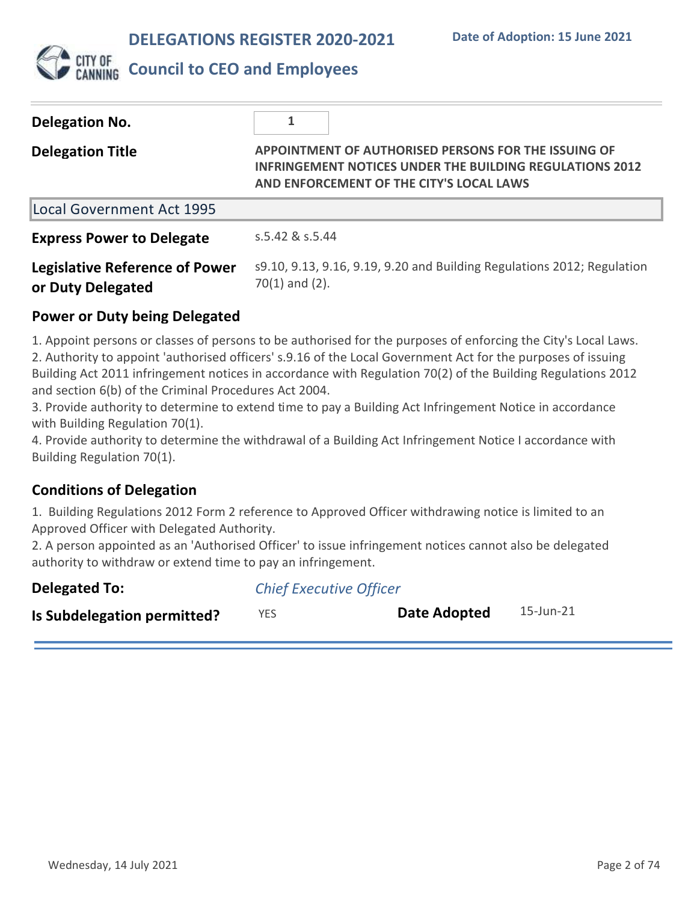

## **Council to CEO and Employees**

| Delegation No.                                             |                                                                                                                                                                     |
|------------------------------------------------------------|---------------------------------------------------------------------------------------------------------------------------------------------------------------------|
| <b>Delegation Title</b>                                    | APPOINTMENT OF AUTHORISED PERSONS FOR THE ISSUING OF<br><b>INFRINGEMENT NOTICES UNDER THE BUILDING REGULATIONS 2012</b><br>AND ENFORCEMENT OF THE CITY'S LOCAL LAWS |
| Local Government Act 1995                                  |                                                                                                                                                                     |
| <b>Express Power to Delegate</b>                           | s.5.42 & s.5.44                                                                                                                                                     |
| <b>Legislative Reference of Power</b><br>or Duty Delegated | s9.10, 9.13, 9.16, 9.19, 9.20 and Building Regulations 2012; Regulation<br>$70(1)$ and $(2)$ .                                                                      |

### **Power or Duty being Delegated**

1. Appoint persons or classes of persons to be authorised for the purposes of enforcing the City's Local Laws. 2. Authority to appoint 'authorised officers' s.9.16 of the Local Government Act for the purposes of issuing Building Act 2011 infringement notices in accordance with Regulation 70(2) of the Building Regulations 2012 and section 6(b) of the Criminal Procedures Act 2004.

3. Provide authority to determine to extend time to pay a Building Act Infringement Notice in accordance with Building Regulation 70(1).

4. Provide authority to determine the withdrawal of a Building Act Infringement Notice I accordance with Building Regulation 70(1).

### **Conditions of Delegation**

1. Building Regulations 2012 Form 2 reference to Approved Officer withdrawing notice is limited to an Approved Officer with Delegated Authority.

2. A person appointed as an 'Authorised Officer' to issue infringement notices cannot also be delegated authority to withdraw or extend time to pay an infringement.

| <b>Delegated To:</b>        | <b>Chief Executive Officer</b> |              |           |
|-----------------------------|--------------------------------|--------------|-----------|
| Is Subdelegation permitted? | YES.                           | Date Adopted | 15-Jun-21 |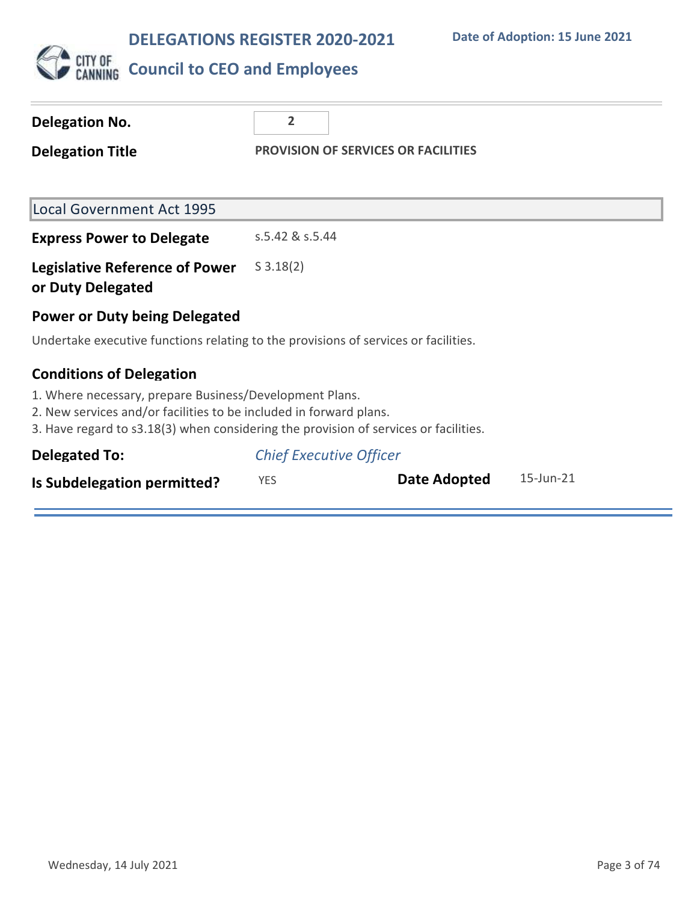

| <b>Delegation No.</b>                                                                                                                                                                                                 | $\overline{2}$  |                                            |                 |
|-----------------------------------------------------------------------------------------------------------------------------------------------------------------------------------------------------------------------|-----------------|--------------------------------------------|-----------------|
| <b>Delegation Title</b>                                                                                                                                                                                               |                 | <b>PROVISION OF SERVICES OR FACILITIES</b> |                 |
|                                                                                                                                                                                                                       |                 |                                            |                 |
| <b>Local Government Act 1995</b>                                                                                                                                                                                      |                 |                                            |                 |
| <b>Express Power to Delegate</b>                                                                                                                                                                                      | s.5.42 & s.5.44 |                                            |                 |
| <b>Legislative Reference of Power</b><br>or Duty Delegated                                                                                                                                                            | $S \, 3.18(2)$  |                                            |                 |
| <b>Power or Duty being Delegated</b>                                                                                                                                                                                  |                 |                                            |                 |
| Undertake executive functions relating to the provisions of services or facilities.                                                                                                                                   |                 |                                            |                 |
| <b>Conditions of Delegation</b>                                                                                                                                                                                       |                 |                                            |                 |
| 1. Where necessary, prepare Business/Development Plans.<br>2. New services and/or facilities to be included in forward plans.<br>3. Have regard to s3.18(3) when considering the provision of services or facilities. |                 |                                            |                 |
| <b>Delegated To:</b>                                                                                                                                                                                                  |                 | <b>Chief Executive Officer</b>             |                 |
| Is Subdelegation permitted?                                                                                                                                                                                           | <b>YES</b>      | Date Adopted                               | $15$ -Jun- $21$ |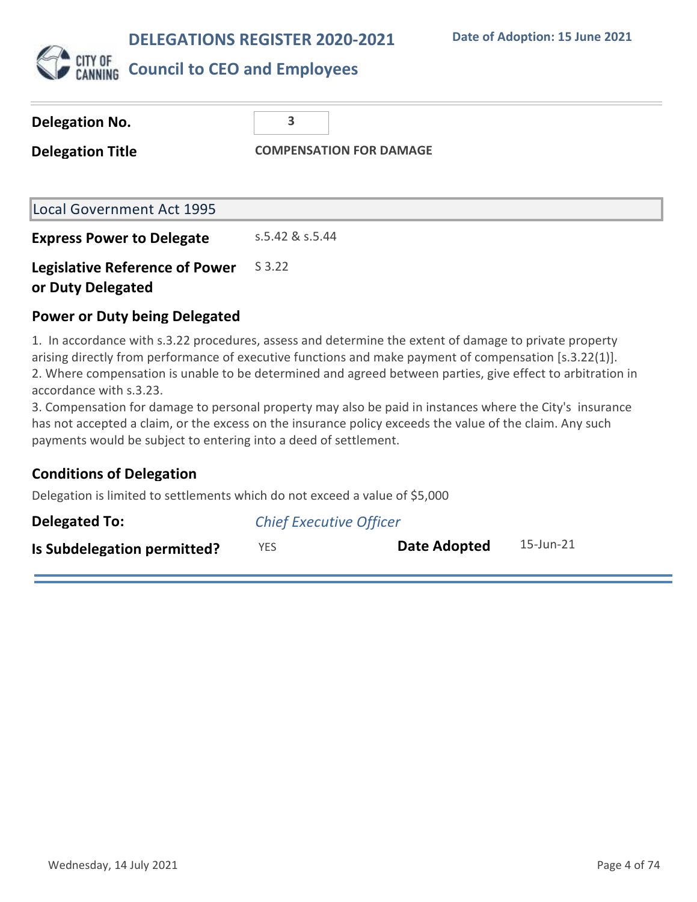**Date of Adoption: 15 June 2021**



| Delegation No.                                             | 3               |                                |
|------------------------------------------------------------|-----------------|--------------------------------|
| <b>Delegation Title</b>                                    |                 | <b>COMPENSATION FOR DAMAGE</b> |
|                                                            |                 |                                |
| <b>Local Government Act 1995</b>                           |                 |                                |
| <b>Express Power to Delegate</b>                           | s.5.42 & s.5.44 |                                |
| <b>Legislative Reference of Power</b><br>or Duty Delegated | S 3.22          |                                |

### **Power or Duty being Delegated**

1. In accordance with s.3.22 procedures, assess and determine the extent of damage to private property arising directly from performance of executive functions and make payment of compensation [s.3.22(1)]. 2. Where compensation is unable to be determined and agreed between parties, give effect to arbitration in accordance with s.3.23.

3. Compensation for damage to personal property may also be paid in instances where the City's insurance has not accepted a claim, or the excess on the insurance policy exceeds the value of the claim. Any such payments would be subject to entering into a deed of settlement.

## **Conditions of Delegation**

Delegation is limited to settlements which do not exceed a value of \$5,000

| <b>Delegated To:</b>        | <b>Chief Executive Officer</b> |              |           |
|-----------------------------|--------------------------------|--------------|-----------|
| Is Subdelegation permitted? | YES.                           | Date Adopted | 15-Jun-21 |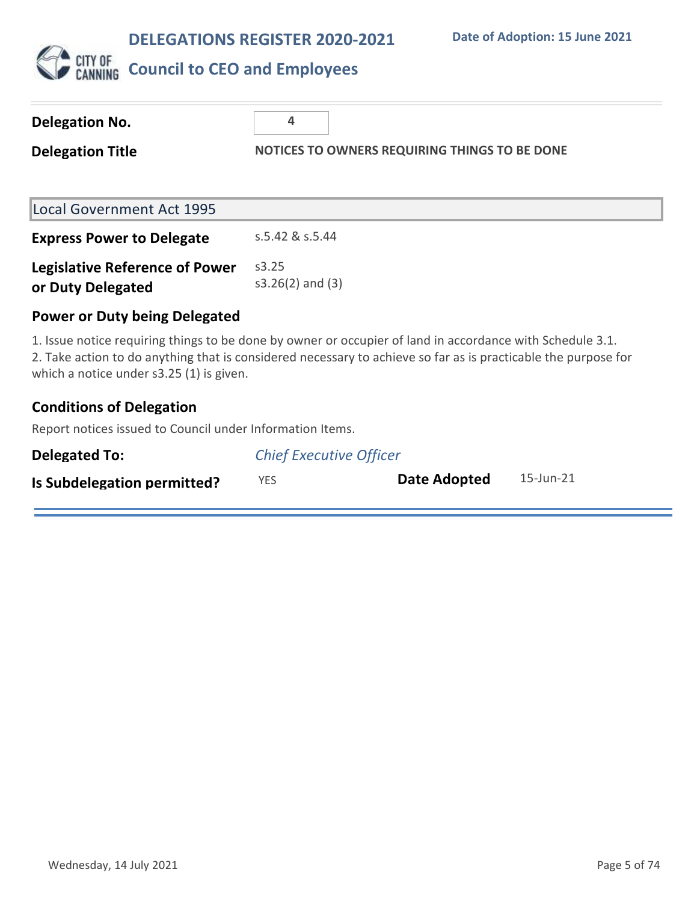

| Delegation No.                                             | 4                                                                                                                                                                                                                           |
|------------------------------------------------------------|-----------------------------------------------------------------------------------------------------------------------------------------------------------------------------------------------------------------------------|
| <b>Delegation Title</b>                                    | NOTICES TO OWNERS REQUIRING THINGS TO BE DONE                                                                                                                                                                               |
|                                                            |                                                                                                                                                                                                                             |
| Local Government Act 1995                                  |                                                                                                                                                                                                                             |
| <b>Express Power to Delegate</b>                           | s.5.42 & s.5.44                                                                                                                                                                                                             |
| <b>Legislative Reference of Power</b><br>or Duty Delegated | s3.25<br>$s3.26(2)$ and $(3)$                                                                                                                                                                                               |
| <b>Power or Duty being Delegated</b>                       |                                                                                                                                                                                                                             |
|                                                            | 1. Issue notice requiring things to be done by owner or occupier of land in accordance with Schedule 3.1.<br>2. Take action to do anything that is considered necessary to achieve so far as is practicable the purpose for |

2. Take action to do anything that is considered necessary to achieve so far as is practicable the purpose for which a notice under  $s3.25$  (1) is given.

## **Conditions of Delegation**

Report notices issued to Council under Information Items.

| <b>Delegated To:</b>        | <b>Chief Executive Officer</b> |              |           |
|-----------------------------|--------------------------------|--------------|-----------|
| Is Subdelegation permitted? | YES.                           | Date Adopted | 15-Jun-21 |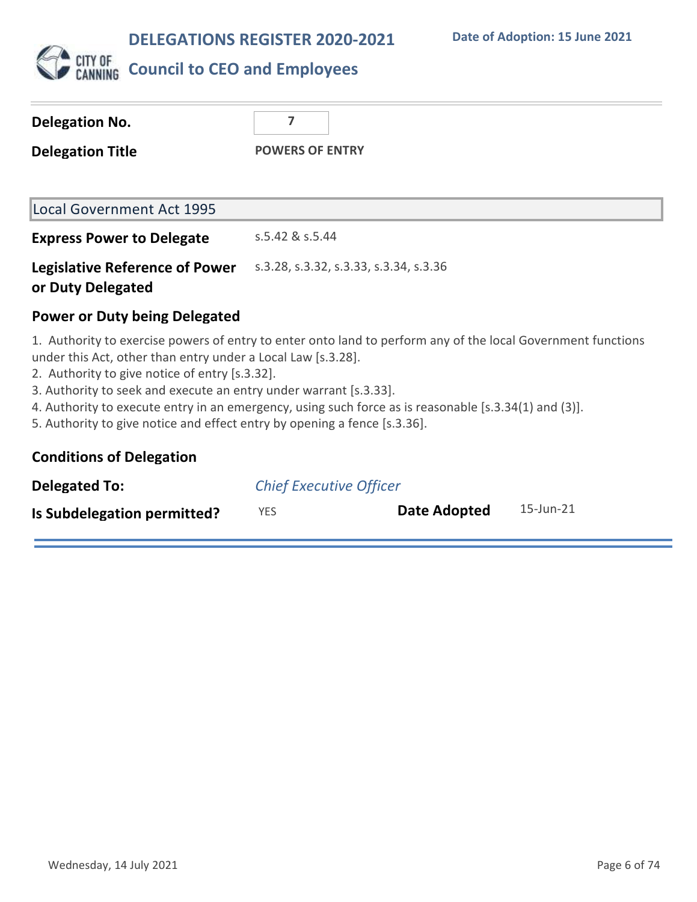

| Delegation No.<br><b>Delegation Title</b>                  | 7<br><b>POWERS OF ENTRY</b>            |
|------------------------------------------------------------|----------------------------------------|
| Local Government Act 1995                                  |                                        |
| <b>Express Power to Delegate</b>                           | s.5.42 & s.5.44                        |
| <b>Legislative Reference of Power</b><br>or Duty Delegated | s.3.28, s.3.32, s.3.33, s.3.34, s.3.36 |
| <b>Power or Duty being Delegated</b>                       |                                        |

1. Authority to exercise powers of entry to enter onto land to perform any of the local Government functions under this Act, other than entry under a Local Law [s.3.28].

2. Authority to give notice of entry [s.3.32].

3. Authority to seek and execute an entry under warrant [s.3.33].

4. Authority to execute entry in an emergency, using such force as is reasonable [s.3.34(1) and (3)].

5. Authority to give notice and effect entry by opening a fence [s.3.36].

|  | <b>Conditions of Delegation</b> |
|--|---------------------------------|
|--|---------------------------------|

| Delegated To:               | <b>Chief Executive Officer</b> |              |           |
|-----------------------------|--------------------------------|--------------|-----------|
| Is Subdelegation permitted? | YES                            | Date Adopted | 15-Jun-21 |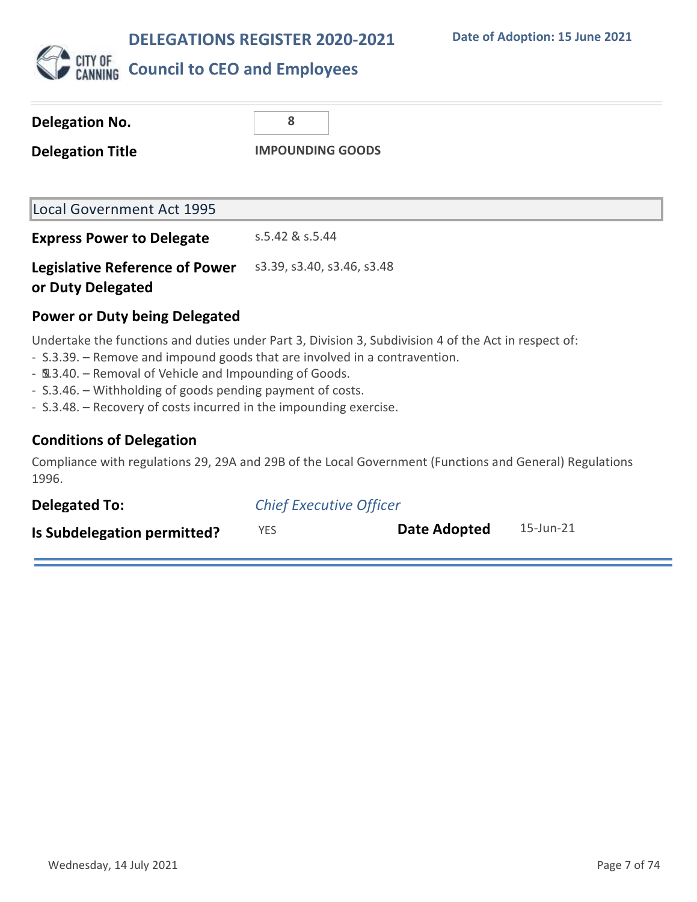

| <b>Delegation No.</b>                                      | 8                          |  |
|------------------------------------------------------------|----------------------------|--|
| <b>Delegation Title</b>                                    | <b>IMPOUNDING GOODS</b>    |  |
| Local Government Act 1995                                  |                            |  |
| <b>Express Power to Delegate</b>                           | s.5.42 & s.5.44            |  |
| <b>Legislative Reference of Power</b><br>or Duty Delegated | s3.39, s3.40, s3.46, s3.48 |  |

### **Power or Duty being Delegated**

Undertake the functions and duties under Part 3, Division 3, Subdivision 4 of the Act in respect of:

- S.3.39. Remove and impound goods that are involved in a contravention.
- $9.3.40.$  Removal of Vehicle and Impounding of Goods.
- S.3.46. Withholding of goods pending payment of costs.
- S.3.48. Recovery of costs incurred in the impounding exercise.

## **Conditions of Delegation**

Compliance with regulations 29, 29A and 29B of the Local Government (Functions and General) Regulations 1996.

| <b>Delegated To:</b>        | <b>Chief Executive Officer</b> |              |           |
|-----------------------------|--------------------------------|--------------|-----------|
| Is Subdelegation permitted? | YES.                           | Date Adopted | 15-Jun-21 |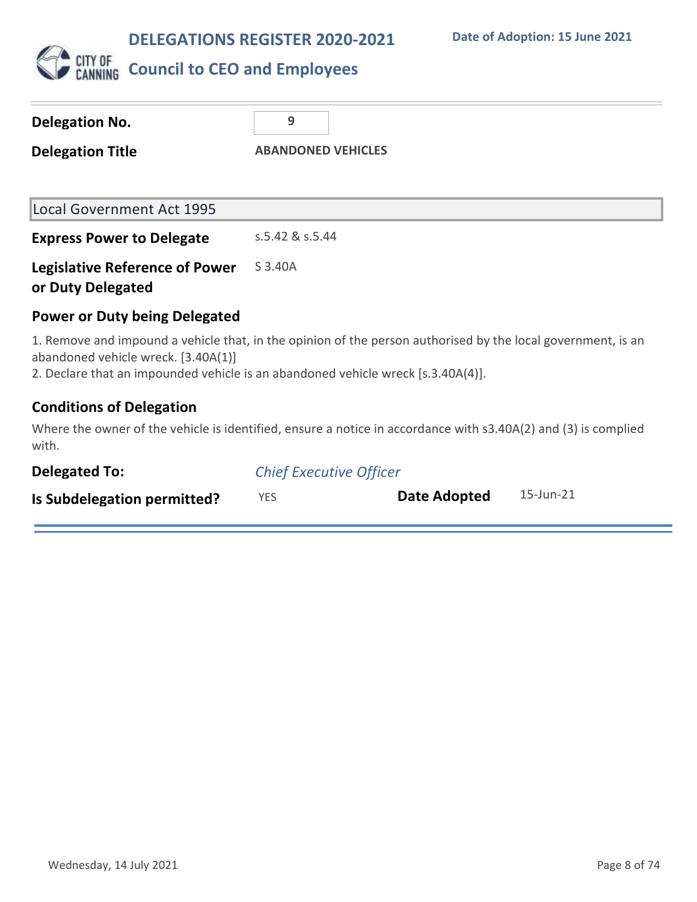

| Delegation No.                                             | 9                                                                                                                                                                                                |
|------------------------------------------------------------|--------------------------------------------------------------------------------------------------------------------------------------------------------------------------------------------------|
| <b>Delegation Title</b>                                    | <b>ABANDONED VEHICLES</b>                                                                                                                                                                        |
|                                                            |                                                                                                                                                                                                  |
| <b>Local Government Act 1995</b>                           |                                                                                                                                                                                                  |
| <b>Express Power to Delegate</b>                           | s.5.42 & s.5.44                                                                                                                                                                                  |
| <b>Legislative Reference of Power</b><br>or Duty Delegated | S 3.40A                                                                                                                                                                                          |
| <b>Power or Duty being Delegated</b>                       |                                                                                                                                                                                                  |
| abandoned vehicle wreck. [3.40A(1)]                        | 1. Remove and impound a vehicle that, in the opinion of the person authorised by the local government, is an<br>2. Declare that an impounded vehicle is an abandoned vehicle wreck [s.3.40A(4)]. |

### **Conditions of Delegation**

Where the owner of the vehicle is identified, ensure a notice in accordance with s3.40A(2) and (3) is complied with.

| <b>Delegated To:</b>        | <b>Chief Executive Officer</b> |              |           |
|-----------------------------|--------------------------------|--------------|-----------|
| Is Subdelegation permitted? | <b>YES</b>                     | Date Adopted | 15-Jun-21 |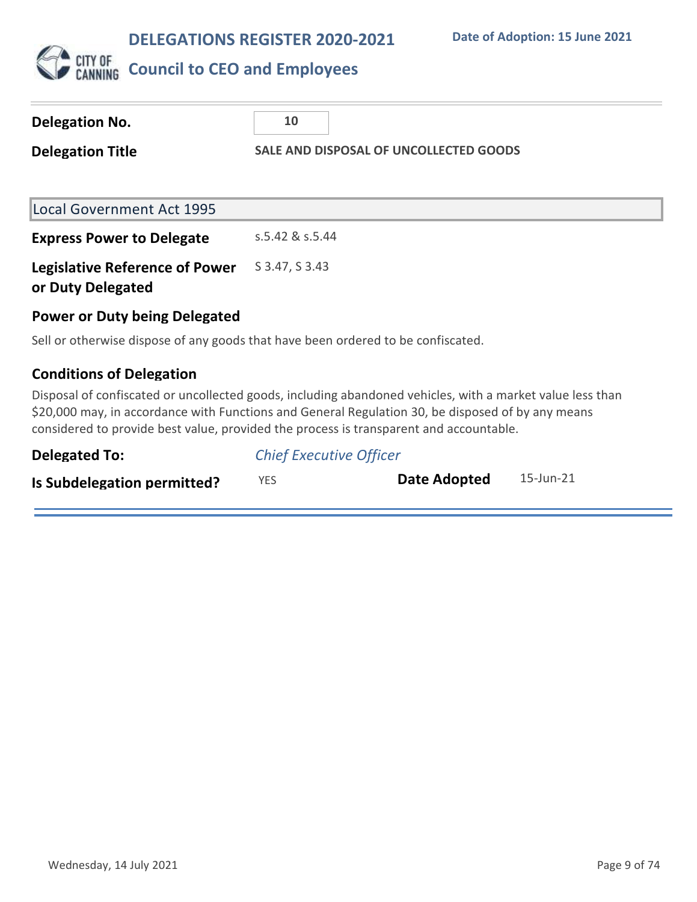**Date of Adoption: 15 June 2021**



# **CITY OF COUNCIL TO CEO and Employees**

| <b>Delegation No.</b>                                      | 10                                                                                                                     |
|------------------------------------------------------------|------------------------------------------------------------------------------------------------------------------------|
| <b>Delegation Title</b>                                    | SALE AND DISPOSAL OF UNCOLLECTED GOODS                                                                                 |
|                                                            |                                                                                                                        |
| Local Government Act 1995                                  |                                                                                                                        |
| <b>Express Power to Delegate</b>                           | s.5.42 & s.5.44                                                                                                        |
| <b>Legislative Reference of Power</b><br>or Duty Delegated | S 3.47, S 3.43                                                                                                         |
| <b>Power or Duty being Delegated</b>                       |                                                                                                                        |
|                                                            | Sell or otherwise dispose of any goods that have been ordered to be confiscated.                                       |
| <b>Conditions of Delegation</b>                            |                                                                                                                        |
|                                                            | متماط ووالمتاحات والمتحدوث والثامر والمتامات والمتمارية والمتحالية والمتحول والملحول ومستحير المتنقط والمتحدث والمتحدث |

Disposal of confiscated or uncollected goods, including abandoned vehicles, with a market value less than \$20,000 may, in accordance with Functions and General Regulation 30, be disposed of by any means considered to provide best value, provided the process is transparent and accountable.

| <b>Delegated To:</b>        | <b>Chief Executive Officer</b> |              |           |
|-----------------------------|--------------------------------|--------------|-----------|
| Is Subdelegation permitted? | YES.                           | Date Adopted | 15-Jun-21 |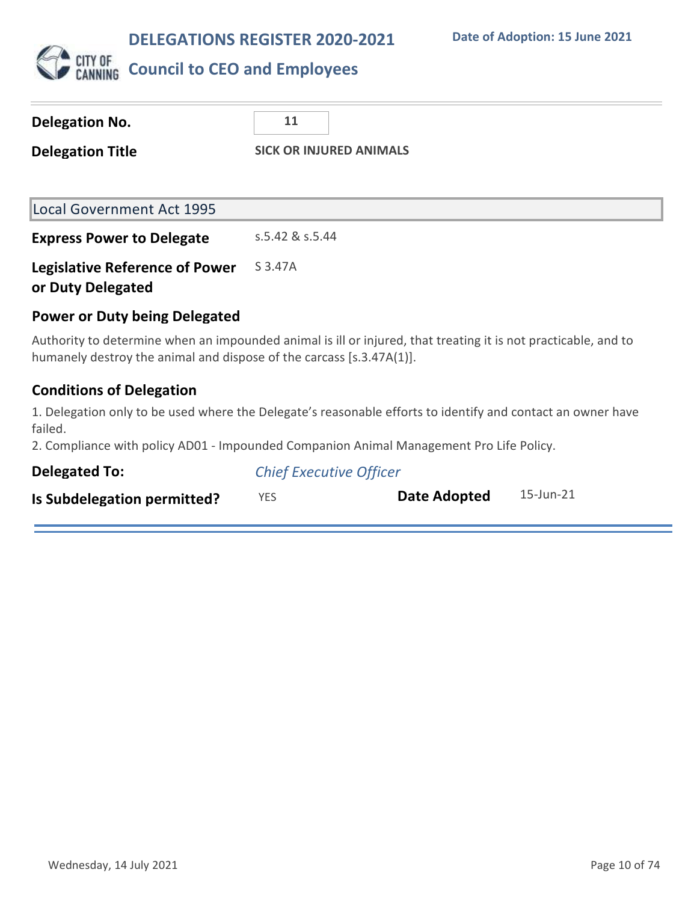

| <b>Delegation No.</b>                                                | 11                                                                                                             |
|----------------------------------------------------------------------|----------------------------------------------------------------------------------------------------------------|
| <b>SICK OR INJURED ANIMALS</b><br><b>Delegation Title</b>            |                                                                                                                |
|                                                                      |                                                                                                                |
| <b>Local Government Act 1995</b>                                     |                                                                                                                |
| <b>Express Power to Delegate</b>                                     | s.5.42 & s.5.44                                                                                                |
| <b>Legislative Reference of Power</b><br>or Duty Delegated           | S 3.47A                                                                                                        |
| <b>Power or Duty being Delegated</b>                                 |                                                                                                                |
| humanely destroy the animal and dispose of the carcass [s.3.47A(1)]. | Authority to determine when an impounded animal is ill or injured, that treating it is not practicable, and to |
| <b>Conditions of Delegation</b>                                      |                                                                                                                |
| failed.                                                              | 1. Delegation only to be used where the Delegate's reasonable efforts to identify and contact an owner have    |
|                                                                      | 2. Compliance with policy AD01 Impounded Companion Animal Managoment Pro Life Dolicy                           |

2. Compliance with policy AD01 - Impounded Companion Animal Management Pro Life Policy.

| <b>Delegated To:</b>        | <b>Chief Executive Officer</b> |              |           |
|-----------------------------|--------------------------------|--------------|-----------|
| Is Subdelegation permitted? | YES.                           | Date Adopted | 15-Jun-21 |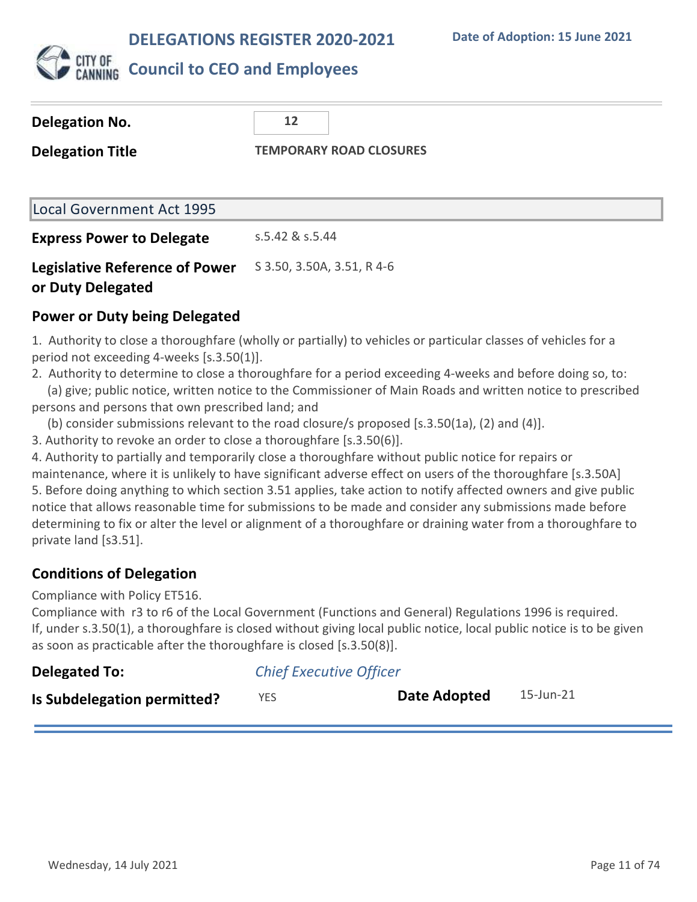

## **Council to CEO and Employees**

| <b>Delegation No.</b>            | 12                             |
|----------------------------------|--------------------------------|
| <b>Delegation Title</b>          | <b>TEMPORARY ROAD CLOSURES</b> |
|                                  |                                |
| Local Government Act 1995        |                                |
| <b>Express Power to Delegate</b> | s.5.42 & s.5.44                |

#### **Legislative Reference of Power or Duty Delegated** S 3.50, 3.50A, 3.51, R 4-6

### **Power or Duty being Delegated**

1. Authority to close a thoroughfare (wholly or partially) to vehicles or particular classes of vehicles for a period not exceeding 4-weeks [s.3.50(1)].

- 2. Authority to determine to close a thoroughfare for a period exceeding 4-weeks and before doing so, to: (a) give; public notice, written notice to the Commissioner of Main Roads and written notice to prescribed persons and persons that own prescribed land; and
	- (b) consider submissions relevant to the road closure/s proposed [s.3.50(1a), (2) and (4)].
- 3. Authority to revoke an order to close a thoroughfare [s.3.50(6)].

4. Authority to partially and temporarily close a thoroughfare without public notice for repairs or maintenance, where it is unlikely to have significant adverse effect on users of the thoroughfare [s.3.50A] 5. Before doing anything to which section 3.51 applies, take action to notify affected owners and give public notice that allows reasonable time for submissions to be made and consider any submissions made before determining to fix or alter the level or alignment of a thoroughfare or draining water from a thoroughfare to private land [s3.51].

### **Conditions of Delegation**

Compliance with Policy ET516.

Compliance with r3 to r6 of the Local Government (Functions and General) Regulations 1996 is required. If, under s.3.50(1), a thoroughfare is closed without giving local public notice, local public notice is to be given as soon as practicable after the thoroughfare is closed [s.3.50(8)].

| <b>Delegated To:</b>               | <b>Chief Executive Officer</b> |              |           |  |
|------------------------------------|--------------------------------|--------------|-----------|--|
| <b>Is Subdelegation permitted?</b> | YES                            | Date Adopted | 15-Jun-21 |  |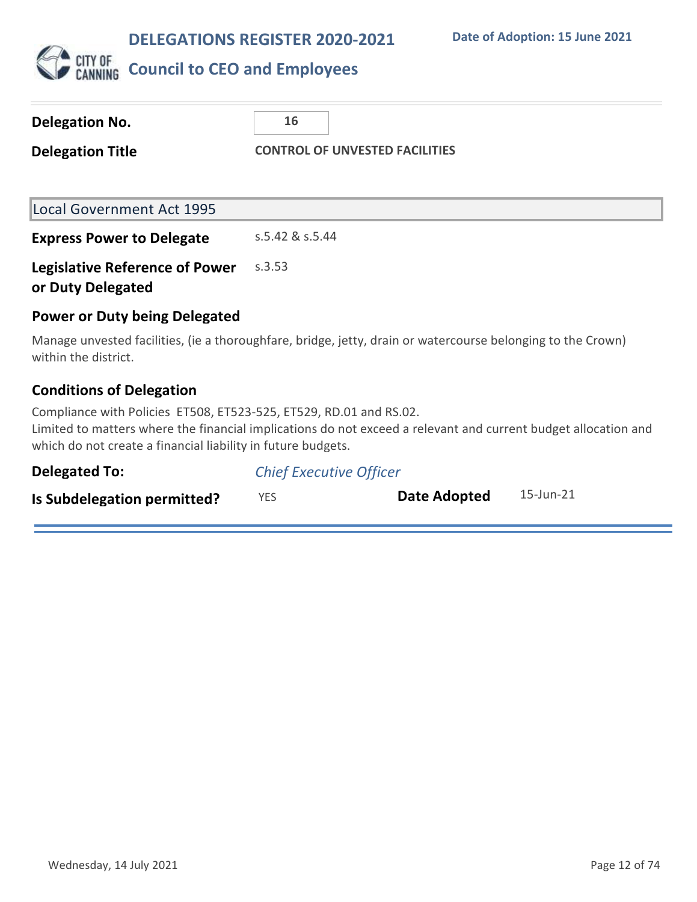

| Delegation No.                                                                                                                     | 16                                                                                                             |
|------------------------------------------------------------------------------------------------------------------------------------|----------------------------------------------------------------------------------------------------------------|
| <b>Delegation Title</b>                                                                                                            | <b>CONTROL OF UNVESTED FACILITIES</b>                                                                          |
|                                                                                                                                    |                                                                                                                |
| <b>Local Government Act 1995</b>                                                                                                   |                                                                                                                |
| <b>Express Power to Delegate</b>                                                                                                   | s.5.42 & s.5.44                                                                                                |
| <b>Legislative Reference of Power</b><br>or Duty Delegated                                                                         | s.3.53                                                                                                         |
| <b>Power or Duty being Delegated</b>                                                                                               |                                                                                                                |
| within the district.                                                                                                               | Manage unvested facilities, (ie a thoroughfare, bridge, jetty, drain or watercourse belonging to the Crown)    |
| <b>Conditions of Delegation</b>                                                                                                    |                                                                                                                |
| Compliance with Policies ET508, ET523-525, ET529, RD.01 and RS.02.<br>which do not create a financial liability in future budgets. | Limited to matters where the financial implications do not exceed a relevant and current budget allocation and |

| <b>Delegated To:</b>        | <b>Chief Executive Officer</b> |              |           |
|-----------------------------|--------------------------------|--------------|-----------|
| Is Subdelegation permitted? | YES.                           | Date Adopted | 15-Jun-21 |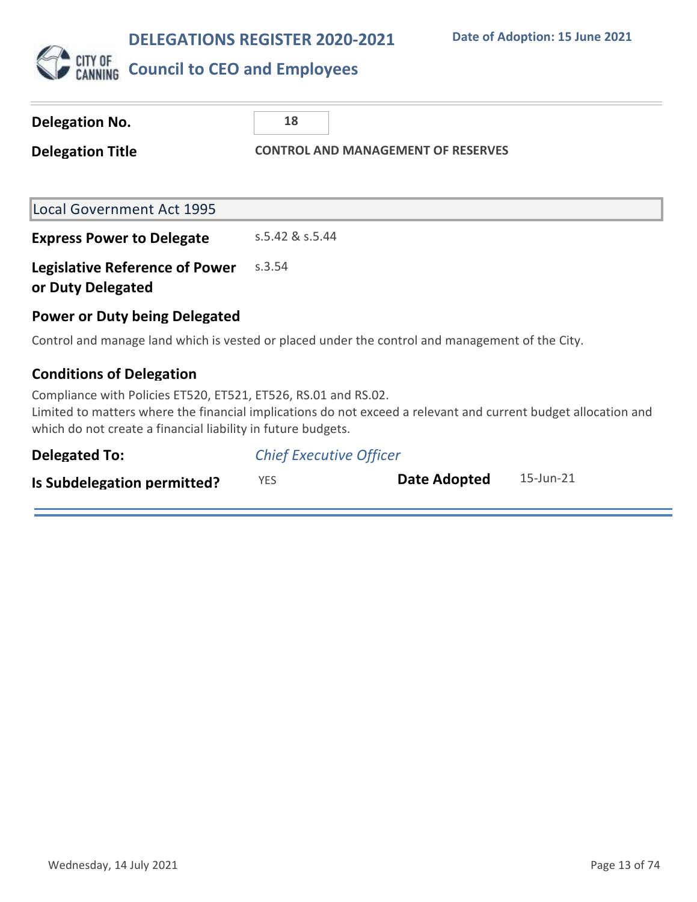

| <b>Delegation No.</b>                                                                                                                                                                                                                            | 18                                        |  |                     |           |
|--------------------------------------------------------------------------------------------------------------------------------------------------------------------------------------------------------------------------------------------------|-------------------------------------------|--|---------------------|-----------|
| <b>Delegation Title</b>                                                                                                                                                                                                                          | <b>CONTROL AND MANAGEMENT OF RESERVES</b> |  |                     |           |
|                                                                                                                                                                                                                                                  |                                           |  |                     |           |
| <b>Local Government Act 1995</b>                                                                                                                                                                                                                 |                                           |  |                     |           |
| <b>Express Power to Delegate</b>                                                                                                                                                                                                                 | s.5.42 & s.5.44                           |  |                     |           |
| <b>Legislative Reference of Power</b><br>or Duty Delegated                                                                                                                                                                                       | s.3.54                                    |  |                     |           |
| <b>Power or Duty being Delegated</b>                                                                                                                                                                                                             |                                           |  |                     |           |
| Control and manage land which is vested or placed under the control and management of the City.                                                                                                                                                  |                                           |  |                     |           |
| <b>Conditions of Delegation</b>                                                                                                                                                                                                                  |                                           |  |                     |           |
| Compliance with Policies ET520, ET521, ET526, RS.01 and RS.02.<br>Limited to matters where the financial implications do not exceed a relevant and current budget allocation and<br>which do not create a financial liability in future budgets. |                                           |  |                     |           |
| <b>Delegated To:</b>                                                                                                                                                                                                                             | <b>Chief Executive Officer</b>            |  |                     |           |
| Is Subdelegation permitted?                                                                                                                                                                                                                      | <b>YES</b>                                |  | <b>Date Adopted</b> | 15-Jun-21 |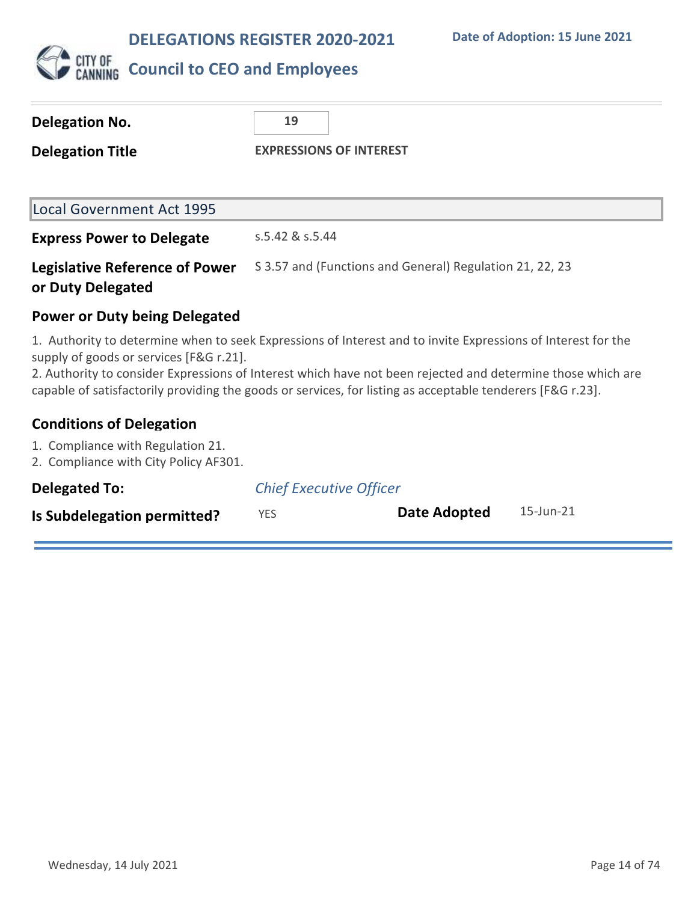

## **CITY OF** Council to CEO and Employees

| <b>Delegation No.</b>                                                                                                                                                                                                                                                                                                                                                                | 19                                                       |  |
|--------------------------------------------------------------------------------------------------------------------------------------------------------------------------------------------------------------------------------------------------------------------------------------------------------------------------------------------------------------------------------------|----------------------------------------------------------|--|
| <b>Delegation Title</b>                                                                                                                                                                                                                                                                                                                                                              | <b>EXPRESSIONS OF INTEREST</b>                           |  |
|                                                                                                                                                                                                                                                                                                                                                                                      |                                                          |  |
| <b>Local Government Act 1995</b>                                                                                                                                                                                                                                                                                                                                                     |                                                          |  |
| <b>Express Power to Delegate</b>                                                                                                                                                                                                                                                                                                                                                     | s.5.42 & s.5.44                                          |  |
| <b>Legislative Reference of Power</b><br>or Duty Delegated                                                                                                                                                                                                                                                                                                                           | S 3.57 and (Functions and General) Regulation 21, 22, 23 |  |
| <b>Power or Duty being Delegated</b>                                                                                                                                                                                                                                                                                                                                                 |                                                          |  |
| 1. Authority to determine when to seek Expressions of Interest and to invite Expressions of Interest for the<br>supply of goods or services [F&G r.21].<br>2. Authority to consider Expressions of Interest which have not been rejected and determine those which are<br>capable of satisfactorily providing the goods or services, for listing as acceptable tenderers [F&G r.23]. |                                                          |  |
| <b>Conditions of Delegation</b>                                                                                                                                                                                                                                                                                                                                                      |                                                          |  |

## 1. Compliance with Regulation 21.

2. Compliance with City Policy AF301.

| <b>Delegated To:</b>        | <b>Chief Executive Officer</b> |              |           |
|-----------------------------|--------------------------------|--------------|-----------|
| Is Subdelegation permitted? | YES                            | Date Adopted | 15-Jun-21 |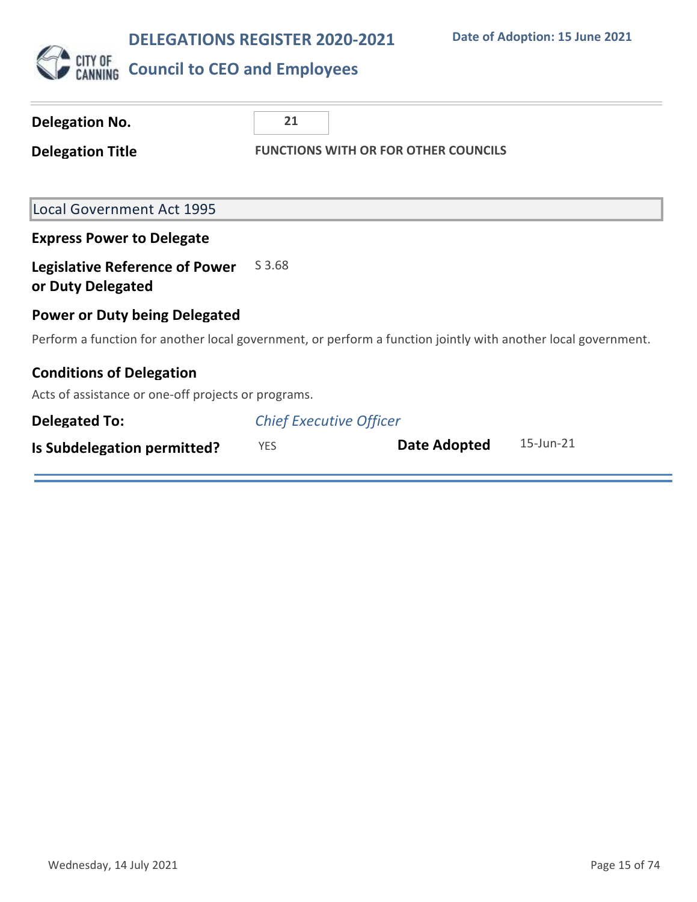

| Delegation No.                                             | 21                                                                                                            |
|------------------------------------------------------------|---------------------------------------------------------------------------------------------------------------|
| <b>Delegation Title</b>                                    | <b>FUNCTIONS WITH OR FOR OTHER COUNCILS</b>                                                                   |
| <b>Local Government Act 1995</b>                           |                                                                                                               |
|                                                            |                                                                                                               |
| <b>Express Power to Delegate</b>                           |                                                                                                               |
| <b>Legislative Reference of Power</b><br>or Duty Delegated | S 3.68                                                                                                        |
| <b>Power or Duty being Delegated</b>                       |                                                                                                               |
|                                                            | Perform a function for another local government, or perform a function jointly with another local government. |
| <b>Conditions of Delegation</b>                            |                                                                                                               |
| Acts of assistance or one-off projects or programs.        |                                                                                                               |
| <b>Delegated To:</b>                                       | <b>Chief Executive Officer</b>                                                                                |
| Is Subdelegation permitted?                                | 15-Jun-21<br>Date Adopted<br><b>YES</b>                                                                       |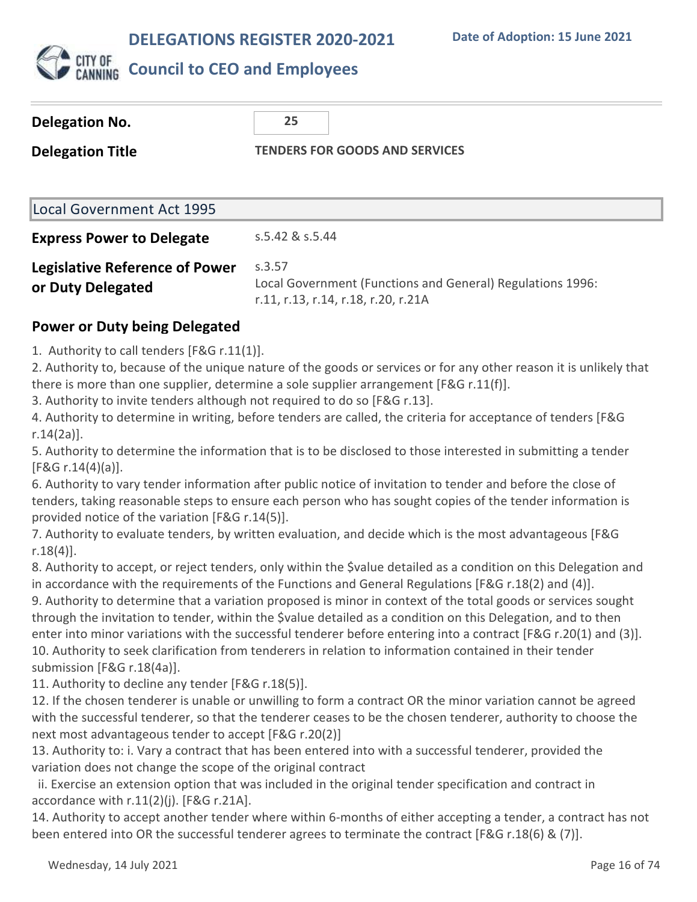

## **Council to CEO and Employees**

| Delegation No.                                             | 25                                                                                                          |
|------------------------------------------------------------|-------------------------------------------------------------------------------------------------------------|
| <b>Delegation Title</b>                                    | <b>TENDERS FOR GOODS AND SERVICES</b>                                                                       |
| Local Government Act 1995                                  |                                                                                                             |
| <b>Express Power to Delegate</b>                           | s.5.42 & s.5.44                                                                                             |
| <b>Legislative Reference of Power</b><br>or Duty Delegated | S.3.57<br>Local Government (Functions and General) Regulations 1996:<br>r.11, r.13, r.14, r.18, r.20, r.21A |

### **Power or Duty being Delegated**

1. Authority to call tenders [F&G r.11(1)].

2. Authority to, because of the unique nature of the goods or services or for any other reason it is unlikely that there is more than one supplier, determine a sole supplier arrangement [F&G r.11(f)].

3. Authority to invite tenders although not required to do so [F&G r.13].

4. Authority to determine in writing, before tenders are called, the criteria for acceptance of tenders [F&G r.14(2a)].

5. Authority to determine the information that is to be disclosed to those interested in submitting a tender [F&G r.14(4)(a)].

6. Authority to vary tender information after public notice of invitation to tender and before the close of tenders, taking reasonable steps to ensure each person who has sought copies of the tender information is provided notice of the variation [F&G r.14(5)].

7. Authority to evaluate tenders, by written evaluation, and decide which is the most advantageous [F&G r.18(4)].

8. Authority to accept, or reject tenders, only within the \$value detailed as a condition on this Delegation and in accordance with the requirements of the Functions and General Regulations [F&G r.18(2) and (4)].

9. Authority to determine that a variation proposed is minor in context of the total goods or services sought through the invitation to tender, within the \$value detailed as a condition on this Delegation, and to then enter into minor variations with the successful tenderer before entering into a contract [F&G r.20(1) and (3)]. 10. Authority to seek clarification from tenderers in relation to information contained in their tender submission [F&G r.18(4a)].

11. Authority to decline any tender [F&G r.18(5)].

12. If the chosen tenderer is unable or unwilling to form a contract OR the minor variation cannot be agreed with the successful tenderer, so that the tenderer ceases to be the chosen tenderer, authority to choose the next most advantageous tender to accept [F&G r.20(2)]

13. Authority to: i. Vary a contract that has been entered into with a successful tenderer, provided the variation does not change the scope of the original contract

 ii. Exercise an extension option that was included in the original tender specification and contract in accordance with r.11(2)(j). [F&G r.21A].

14. Authority to accept another tender where within 6-months of either accepting a tender, a contract has not been entered into OR the successful tenderer agrees to terminate the contract [F&G r.18(6) & (7)].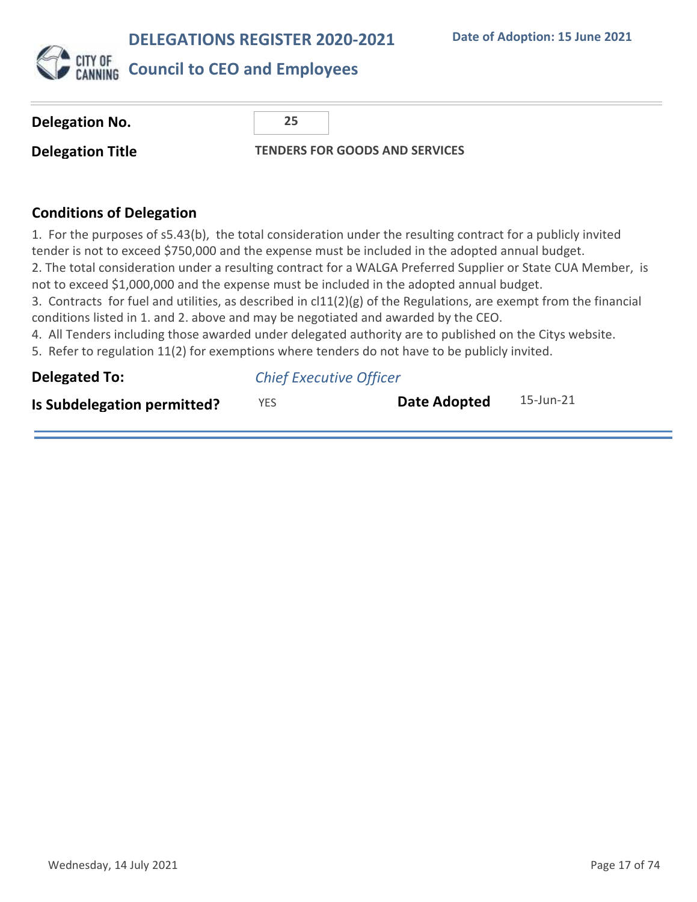h



| <b>Delegation No.</b>                                                                                                                                                                                                                                                                                                                                                                                                                                                                                                                                                                                                                                                                                                                                                                                                                                 | 25                             |                                       |           |
|-------------------------------------------------------------------------------------------------------------------------------------------------------------------------------------------------------------------------------------------------------------------------------------------------------------------------------------------------------------------------------------------------------------------------------------------------------------------------------------------------------------------------------------------------------------------------------------------------------------------------------------------------------------------------------------------------------------------------------------------------------------------------------------------------------------------------------------------------------|--------------------------------|---------------------------------------|-----------|
| <b>Delegation Title</b>                                                                                                                                                                                                                                                                                                                                                                                                                                                                                                                                                                                                                                                                                                                                                                                                                               |                                | <b>TENDERS FOR GOODS AND SERVICES</b> |           |
|                                                                                                                                                                                                                                                                                                                                                                                                                                                                                                                                                                                                                                                                                                                                                                                                                                                       |                                |                                       |           |
| <b>Conditions of Delegation</b>                                                                                                                                                                                                                                                                                                                                                                                                                                                                                                                                                                                                                                                                                                                                                                                                                       |                                |                                       |           |
| 1. For the purposes of s5.43(b), the total consideration under the resulting contract for a publicly invited<br>tender is not to exceed \$750,000 and the expense must be included in the adopted annual budget.<br>2. The total consideration under a resulting contract for a WALGA Preferred Supplier or State CUA Member, is<br>not to exceed \$1,000,000 and the expense must be included in the adopted annual budget.<br>3. Contracts for fuel and utilities, as described in $cl11(2)(g)$ of the Regulations, are exempt from the financial<br>conditions listed in 1. and 2. above and may be negotiated and awarded by the CEO.<br>4. All Tenders including those awarded under delegated authority are to published on the Citys website.<br>5. Refer to regulation 11(2) for exemptions where tenders do not have to be publicly invited. |                                |                                       |           |
| <b>Delegated To:</b>                                                                                                                                                                                                                                                                                                                                                                                                                                                                                                                                                                                                                                                                                                                                                                                                                                  | <b>Chief Executive Officer</b> |                                       |           |
| Is Subdelegation permitted?                                                                                                                                                                                                                                                                                                                                                                                                                                                                                                                                                                                                                                                                                                                                                                                                                           | <b>YES</b>                     | <b>Date Adopted</b>                   | 15-Jun-21 |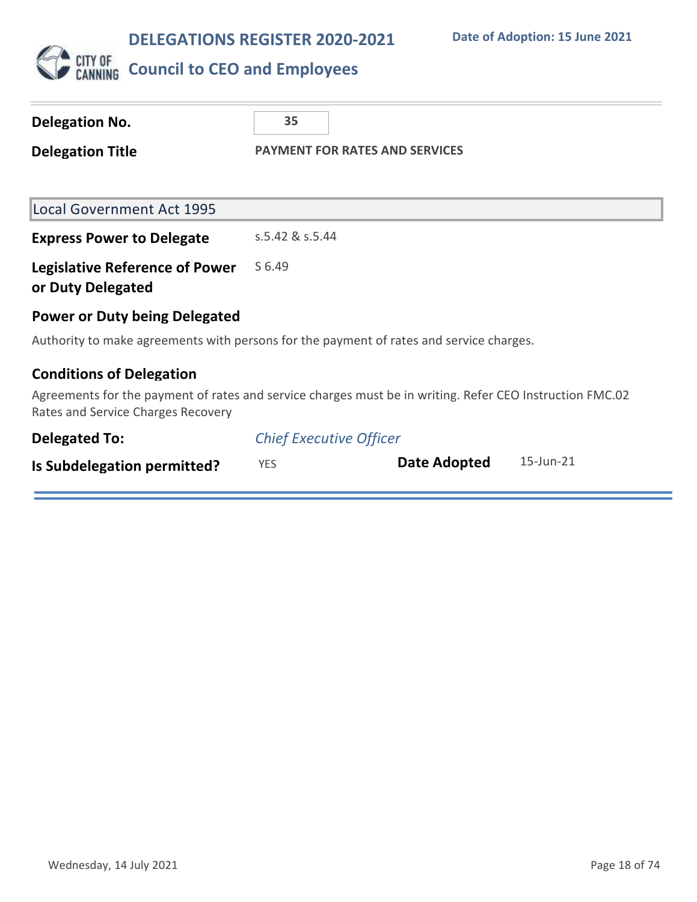

# CUTY OF COUNCIL **to CEO and Employees**

| <b>Delegation No.</b>                                                                                                                          | 35                                    |  |              |           |
|------------------------------------------------------------------------------------------------------------------------------------------------|---------------------------------------|--|--------------|-----------|
| <b>Delegation Title</b>                                                                                                                        | <b>PAYMENT FOR RATES AND SERVICES</b> |  |              |           |
|                                                                                                                                                |                                       |  |              |           |
| <b>Local Government Act 1995</b>                                                                                                               |                                       |  |              |           |
| <b>Express Power to Delegate</b>                                                                                                               | s.5.42 & s.5.44                       |  |              |           |
| <b>Legislative Reference of Power</b><br>or Duty Delegated                                                                                     | S 6.49                                |  |              |           |
| <b>Power or Duty being Delegated</b>                                                                                                           |                                       |  |              |           |
| Authority to make agreements with persons for the payment of rates and service charges.                                                        |                                       |  |              |           |
| <b>Conditions of Delegation</b>                                                                                                                |                                       |  |              |           |
| Agreements for the payment of rates and service charges must be in writing. Refer CEO Instruction FMC.02<br>Rates and Service Charges Recovery |                                       |  |              |           |
| <b>Delegated To:</b>                                                                                                                           | <b>Chief Executive Officer</b>        |  |              |           |
| Is Subdelegation permitted?                                                                                                                    | <b>YES</b>                            |  | Date Adopted | 15-Jun-21 |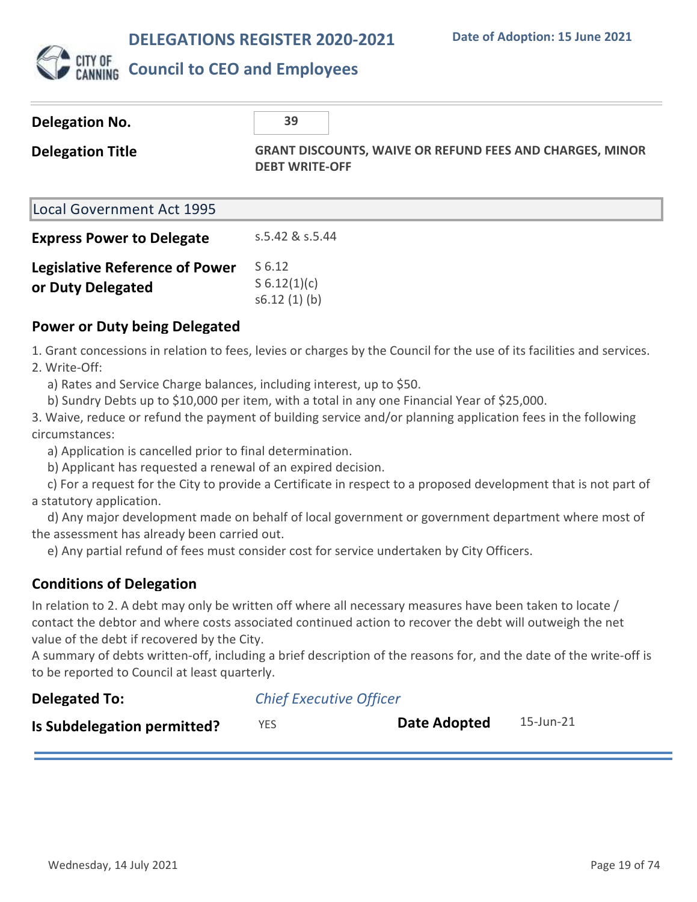

## **Council to CEO and Employees**

| <b>Delegation No.</b>                                      | 39                                                                                       |
|------------------------------------------------------------|------------------------------------------------------------------------------------------|
| <b>Delegation Title</b>                                    | <b>GRANT DISCOUNTS, WAIVE OR REFUND FEES AND CHARGES, MINOR</b><br><b>DEBT WRITE-OFF</b> |
| Local Government Act 1995                                  |                                                                                          |
| <b>Express Power to Delegate</b>                           | s.5.42 & s.5.44                                                                          |
| <b>Legislative Reference of Power</b><br>or Duty Delegated | S 6.12<br>S $6.12(1)(c)$<br>s6.12(1)(b)                                                  |

#### **Power or Duty being Delegated**

1. Grant concessions in relation to fees, levies or charges by the Council for the use of its facilities and services. 2. Write-Off:

a) Rates and Service Charge balances, including interest, up to \$50.

b) Sundry Debts up to \$10,000 per item, with a total in any one Financial Year of \$25,000.

3. Waive, reduce or refund the payment of building service and/or planning application fees in the following circumstances:

a) Application is cancelled prior to final determination.

b) Applicant has requested a renewal of an expired decision.

 c) For a request for the City to provide a Certificate in respect to a proposed development that is not part of a statutory application.

 d) Any major development made on behalf of local government or government department where most of the assessment has already been carried out.

e) Any partial refund of fees must consider cost for service undertaken by City Officers.

### **Conditions of Delegation**

In relation to 2. A debt may only be written off where all necessary measures have been taken to locate / contact the debtor and where costs associated continued action to recover the debt will outweigh the net value of the debt if recovered by the City.

A summary of debts written-off, including a brief description of the reasons for, and the date of the write-off is to be reported to Council at least quarterly.

| <b>Delegated To:</b>        | <b>Chief Executive Officer</b> |              |           |
|-----------------------------|--------------------------------|--------------|-----------|
| Is Subdelegation permitted? | YES.                           | Date Adopted | 15-Jun-21 |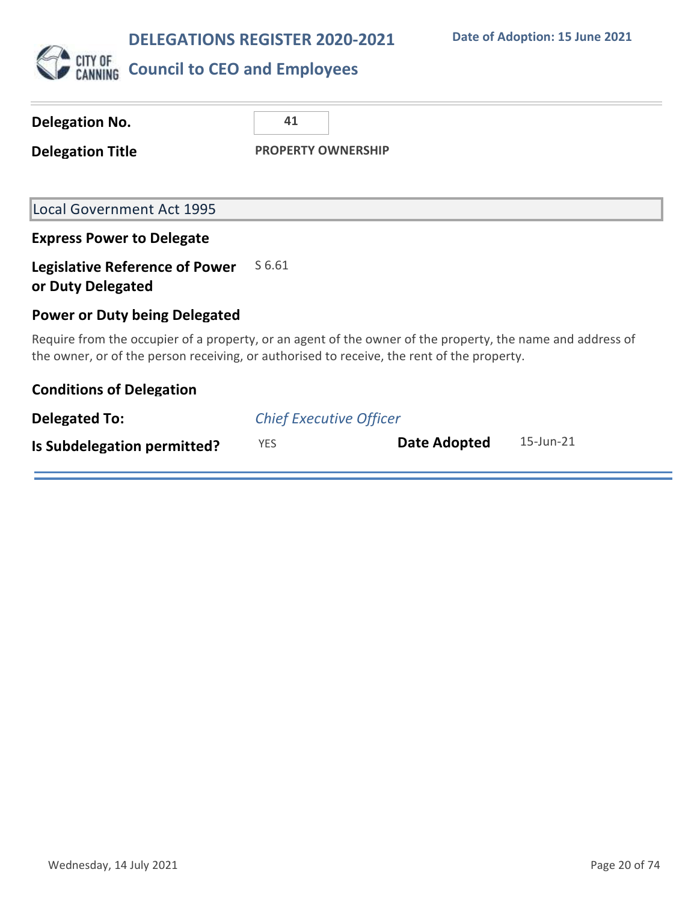

| <b>Delegation No.</b>                                      | 41                                                                                                                                                                                                       |
|------------------------------------------------------------|----------------------------------------------------------------------------------------------------------------------------------------------------------------------------------------------------------|
| <b>Delegation Title</b>                                    | <b>PROPERTY OWNERSHIP</b>                                                                                                                                                                                |
|                                                            |                                                                                                                                                                                                          |
| <b>Local Government Act 1995</b>                           |                                                                                                                                                                                                          |
| <b>Express Power to Delegate</b>                           |                                                                                                                                                                                                          |
| <b>Legislative Reference of Power</b><br>or Duty Delegated | S 6.61                                                                                                                                                                                                   |
| <b>Power or Duty being Delegated</b>                       |                                                                                                                                                                                                          |
|                                                            | Require from the occupier of a property, or an agent of the owner of the property, the name and address of<br>the owner, or of the person receiving, or authorised to receive, the rent of the property. |
| <b>Conditions of Delegation</b>                            |                                                                                                                                                                                                          |
| <b>Delegated To:</b>                                       | <b>Chief Executive Officer</b>                                                                                                                                                                           |
| Is Subdelegation permitted?                                | 15-Jun-21<br><b>Date Adopted</b><br><b>YES</b>                                                                                                                                                           |
|                                                            |                                                                                                                                                                                                          |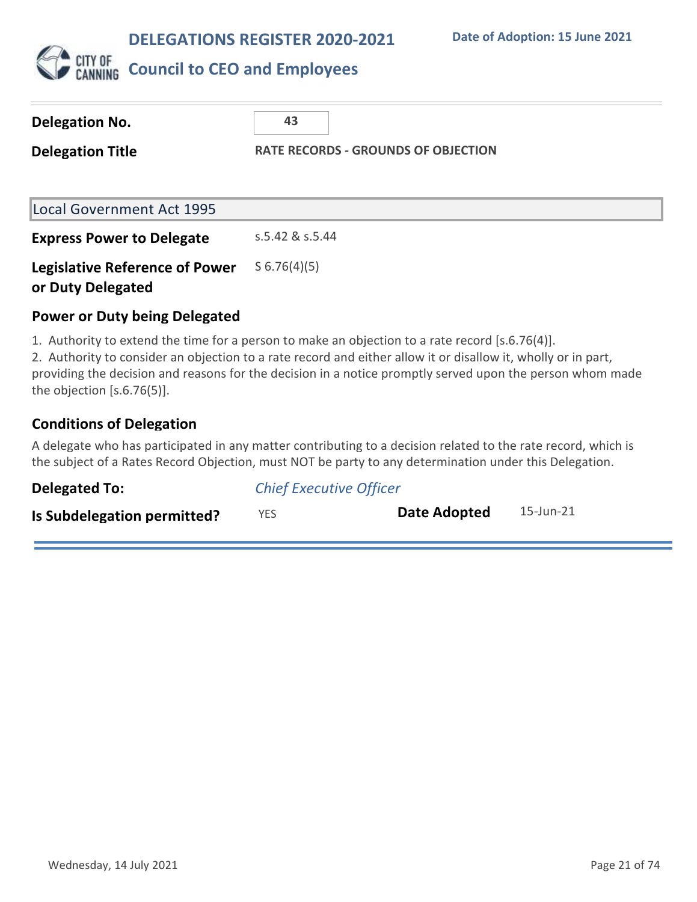

| Delegation No.                                                                                                                                                                                                   | 43                                         |
|------------------------------------------------------------------------------------------------------------------------------------------------------------------------------------------------------------------|--------------------------------------------|
| <b>Delegation Title</b>                                                                                                                                                                                          | <b>RATE RECORDS - GROUNDS OF OBJECTION</b> |
| <b>Local Government Act 1995</b>                                                                                                                                                                                 |                                            |
| <b>Express Power to Delegate</b>                                                                                                                                                                                 | s.5.42 & s.5.44                            |
| <b>Legislative Reference of Power</b><br>or Duty Delegated                                                                                                                                                       | $S$ 6.76(4)(5)                             |
| <b>Power or Duty being Delegated</b>                                                                                                                                                                             |                                            |
| 1. Authority to extend the time for a person to make an objection to a rate record [s.6.76(4)].<br>1. Authority to consider an objection to a rate reserve and either allow it or disallow it, wholly ar in nart |                                            |

2. Authority to consider an objection to a rate record and either allow it or disallow it, wholly or in part, providing the decision and reasons for the decision in a notice promptly served upon the person whom made the objection [s.6.76(5)].

### **Conditions of Delegation**

A delegate who has participated in any matter contributing to a decision related to the rate record, which is the subject of a Rates Record Objection, must NOT be party to any determination under this Delegation.

| Delegated To:               | <b>Chief Executive Officer</b> |              |           |
|-----------------------------|--------------------------------|--------------|-----------|
| Is Subdelegation permitted? | YES.                           | Date Adopted | 15-Jun-21 |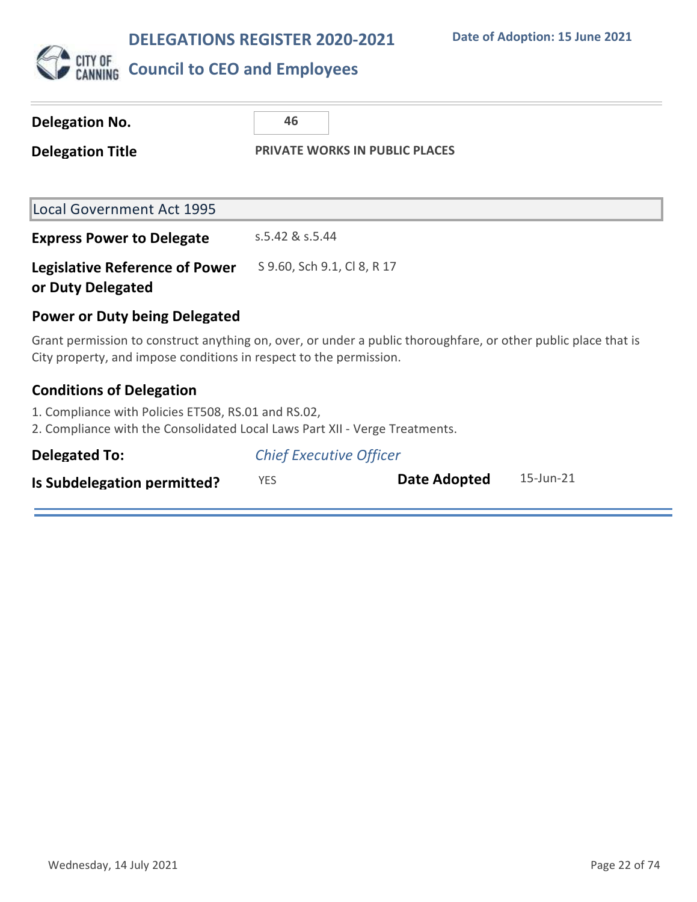

| <b>Delegation No.</b>                                                                                                                                                                | 46                                    |  |
|--------------------------------------------------------------------------------------------------------------------------------------------------------------------------------------|---------------------------------------|--|
| <b>Delegation Title</b>                                                                                                                                                              | <b>PRIVATE WORKS IN PUBLIC PLACES</b> |  |
|                                                                                                                                                                                      |                                       |  |
| <b>Local Government Act 1995</b>                                                                                                                                                     |                                       |  |
| <b>Express Power to Delegate</b>                                                                                                                                                     | s.5.42 & s.5.44                       |  |
| <b>Legislative Reference of Power</b><br>or Duty Delegated                                                                                                                           | S 9.60, Sch 9.1, Cl 8, R 17           |  |
| Power or Duty being Delegated                                                                                                                                                        |                                       |  |
| Grant permission to construct anything on, over, or under a public thoroughfare, or other public place that is<br>City property, and impose conditions in respect to the permission. |                                       |  |
| <b>Conditions of Delegation</b>                                                                                                                                                      |                                       |  |
| 1. Compliance with Policies ET508, RS.01 and RS.02,<br>2. Compliance with the Consolidated Local Laws Part XII - Verge Treatments.                                                   |                                       |  |
| <b>Delegated To:</b>                                                                                                                                                                 | <b>Chief Executive Officer</b>        |  |

| Is Subdelegation permitted? |  | <b>Date Adopted</b> | 15-Jun-21 |
|-----------------------------|--|---------------------|-----------|
|-----------------------------|--|---------------------|-----------|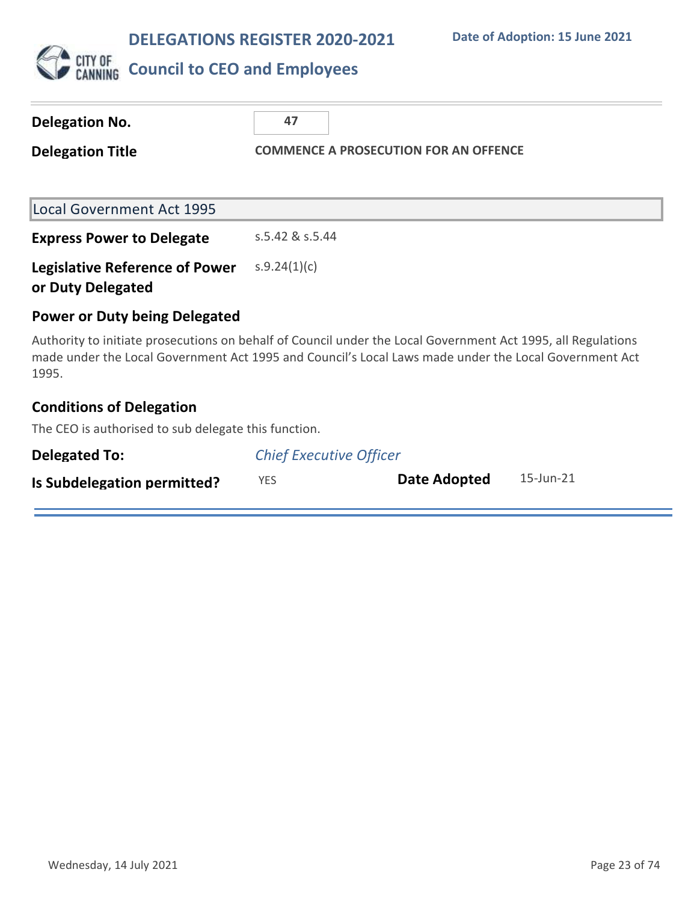

| Delegation No.<br><b>Delegation Title</b>                                                                                                                                                                                      | 47<br><b>COMMENCE A PROSECUTION FOR AN OFFENCE</b> |  |  |  |
|--------------------------------------------------------------------------------------------------------------------------------------------------------------------------------------------------------------------------------|----------------------------------------------------|--|--|--|
| <b>Local Government Act 1995</b>                                                                                                                                                                                               |                                                    |  |  |  |
| <b>Express Power to Delegate</b>                                                                                                                                                                                               | s.5.42 & s.5.44                                    |  |  |  |
| <b>Legislative Reference of Power</b><br>or Duty Delegated                                                                                                                                                                     | s.9.24(1)(c)                                       |  |  |  |
| <b>Power or Duty being Delegated</b>                                                                                                                                                                                           |                                                    |  |  |  |
| Authority to initiate prosecutions on behalf of Council under the Local Government Act 1995, all Regulations<br>made under the Local Government Act 1995 and Council's Local Laws made under the Local Government Act<br>1995. |                                                    |  |  |  |
| <b>Conditions of Delegation</b>                                                                                                                                                                                                |                                                    |  |  |  |

The CEO is authorised to sub delegate this function.

| <b>Delegated To:</b>        | <b>Chief Executive Officer</b> |              |           |
|-----------------------------|--------------------------------|--------------|-----------|
| Is Subdelegation permitted? | YES.                           | Date Adopted | 15-Jun-21 |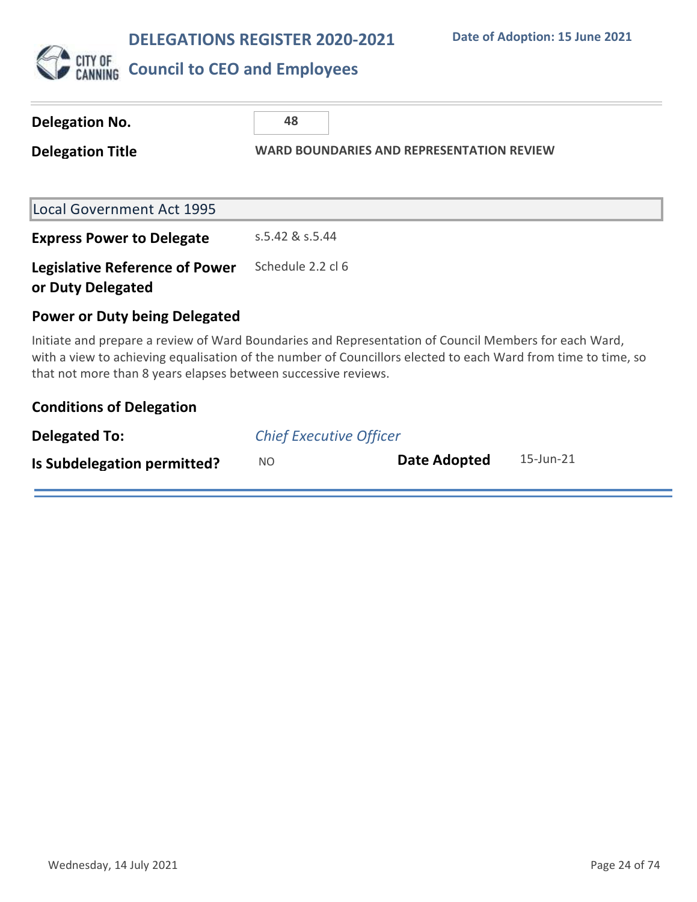

| <b>Delegation No.</b>                                                                                                                                                                                                                                                                    | 48                                               |  |                     |           |
|------------------------------------------------------------------------------------------------------------------------------------------------------------------------------------------------------------------------------------------------------------------------------------------|--------------------------------------------------|--|---------------------|-----------|
| <b>Delegation Title</b>                                                                                                                                                                                                                                                                  | <b>WARD BOUNDARIES AND REPRESENTATION REVIEW</b> |  |                     |           |
|                                                                                                                                                                                                                                                                                          |                                                  |  |                     |           |
| <b>Local Government Act 1995</b>                                                                                                                                                                                                                                                         |                                                  |  |                     |           |
| <b>Express Power to Delegate</b>                                                                                                                                                                                                                                                         | s.5.42 & s.5.44                                  |  |                     |           |
| <b>Legislative Reference of Power</b><br>or Duty Delegated                                                                                                                                                                                                                               | Schedule 2.2 cl 6                                |  |                     |           |
| <b>Power or Duty being Delegated</b>                                                                                                                                                                                                                                                     |                                                  |  |                     |           |
| Initiate and prepare a review of Ward Boundaries and Representation of Council Members for each Ward,<br>with a view to achieving equalisation of the number of Councillors elected to each Ward from time to time, so<br>that not more than 8 years elapses between successive reviews. |                                                  |  |                     |           |
| <b>Conditions of Delegation</b>                                                                                                                                                                                                                                                          |                                                  |  |                     |           |
| <b>Delegated To:</b>                                                                                                                                                                                                                                                                     | <b>Chief Executive Officer</b>                   |  |                     |           |
| Is Subdelegation permitted?                                                                                                                                                                                                                                                              | N <sub>O</sub>                                   |  | <b>Date Adopted</b> | 15-Jun-21 |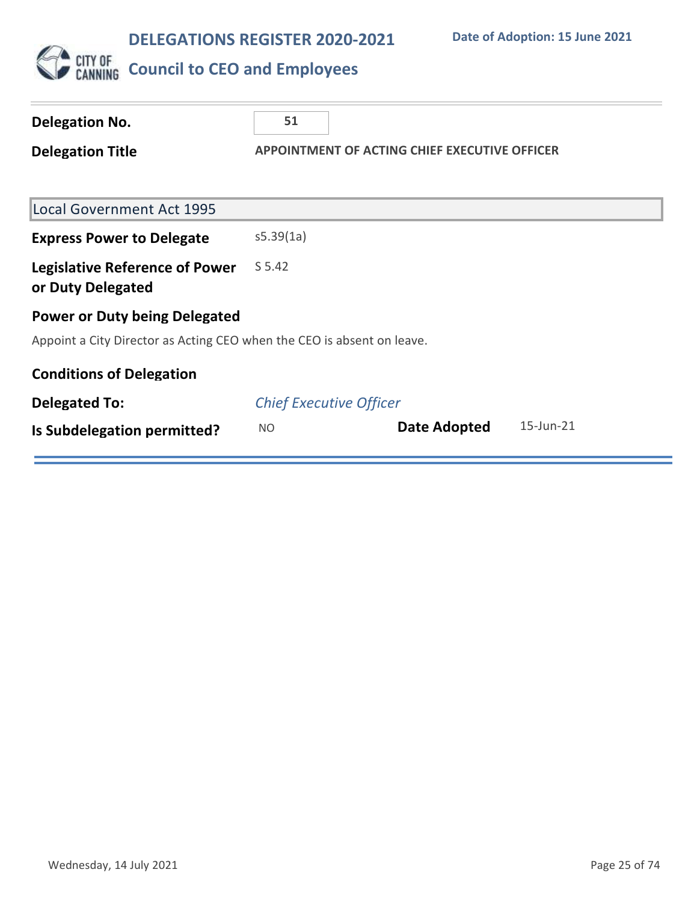

# CUTY OF COUNCIL **to CEO** and Employees

| Delegation No.                                                         | 51                                            |              |           |
|------------------------------------------------------------------------|-----------------------------------------------|--------------|-----------|
| <b>Delegation Title</b>                                                | APPOINTMENT OF ACTING CHIEF EXECUTIVE OFFICER |              |           |
|                                                                        |                                               |              |           |
| <b>Local Government Act 1995</b>                                       |                                               |              |           |
| <b>Express Power to Delegate</b>                                       | s5.39(1a)                                     |              |           |
| <b>Legislative Reference of Power</b><br>or Duty Delegated             | S 5.42                                        |              |           |
| <b>Power or Duty being Delegated</b>                                   |                                               |              |           |
| Appoint a City Director as Acting CEO when the CEO is absent on leave. |                                               |              |           |
| <b>Conditions of Delegation</b>                                        |                                               |              |           |
| <b>Delegated To:</b>                                                   | <b>Chief Executive Officer</b>                |              |           |
| Is Subdelegation permitted?                                            | <b>NO</b>                                     | Date Adopted | 15-Jun-21 |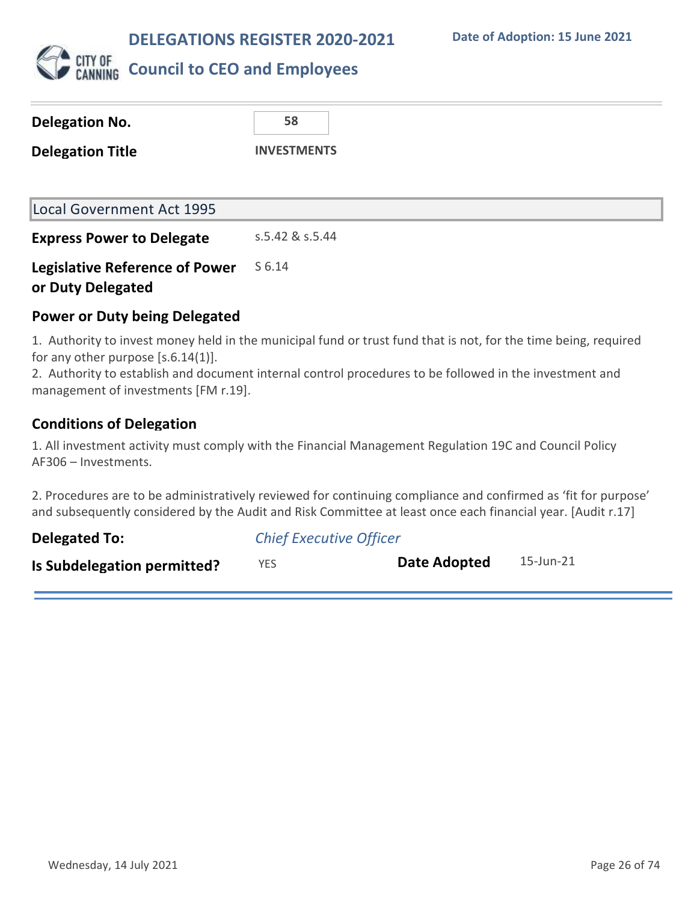

## **Council to CEO and Employees**

| <b>Local Government Act 1995</b>      |                     |
|---------------------------------------|---------------------|
| <b>Express Power to Delegate</b>      | $5.5.42$ & $5.5.44$ |
| <b>Legislative Reference of Power</b> | S 6.14              |
| or Duty Delegated                     |                     |

#### **Power or Duty being Delegated**

1. Authority to invest money held in the municipal fund or trust fund that is not, for the time being, required for any other purpose [s.6.14(1)].

2. Authority to establish and document internal control procedures to be followed in the investment and management of investments [FM r.19].

### **Conditions of Delegation**

1. All investment activity must comply with the Financial Management Regulation 19C and Council Policy AF306 – Investments.

2. Procedures are to be administratively reviewed for continuing compliance and confirmed as 'fit for purpose' and subsequently considered by the Audit and Risk Committee at least once each financial year. [Audit r.17]

| <b>Delegated To:</b>        | <b>Chief Executive Officer</b> |              |           |  |
|-----------------------------|--------------------------------|--------------|-----------|--|
| Is Subdelegation permitted? | YES.                           | Date Adopted | 15-Jun-21 |  |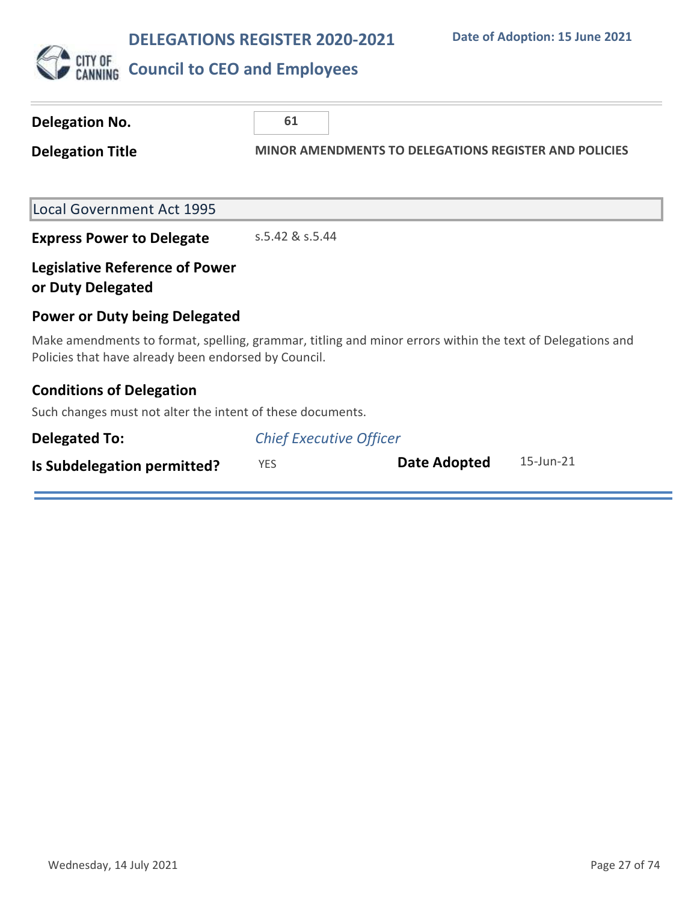

| <b>Delegation No.</b>                                                                                                                                             | 61                                                           |              |           |  |
|-------------------------------------------------------------------------------------------------------------------------------------------------------------------|--------------------------------------------------------------|--------------|-----------|--|
| <b>Delegation Title</b>                                                                                                                                           | <b>MINOR AMENDMENTS TO DELEGATIONS REGISTER AND POLICIES</b> |              |           |  |
| <b>Local Government Act 1995</b>                                                                                                                                  |                                                              |              |           |  |
| <b>Express Power to Delegate</b>                                                                                                                                  | s.5.42 & s.5.44                                              |              |           |  |
| <b>Legislative Reference of Power</b><br>or Duty Delegated                                                                                                        |                                                              |              |           |  |
| <b>Power or Duty being Delegated</b>                                                                                                                              |                                                              |              |           |  |
| Make amendments to format, spelling, grammar, titling and minor errors within the text of Delegations and<br>Policies that have already been endorsed by Council. |                                                              |              |           |  |
| <b>Conditions of Delegation</b>                                                                                                                                   |                                                              |              |           |  |
| Such changes must not alter the intent of these documents.                                                                                                        |                                                              |              |           |  |
| <b>Delegated To:</b>                                                                                                                                              | <b>Chief Executive Officer</b>                               |              |           |  |
| Is Subdelegation permitted?                                                                                                                                       | <b>YES</b>                                                   | Date Adopted | 15-Jun-21 |  |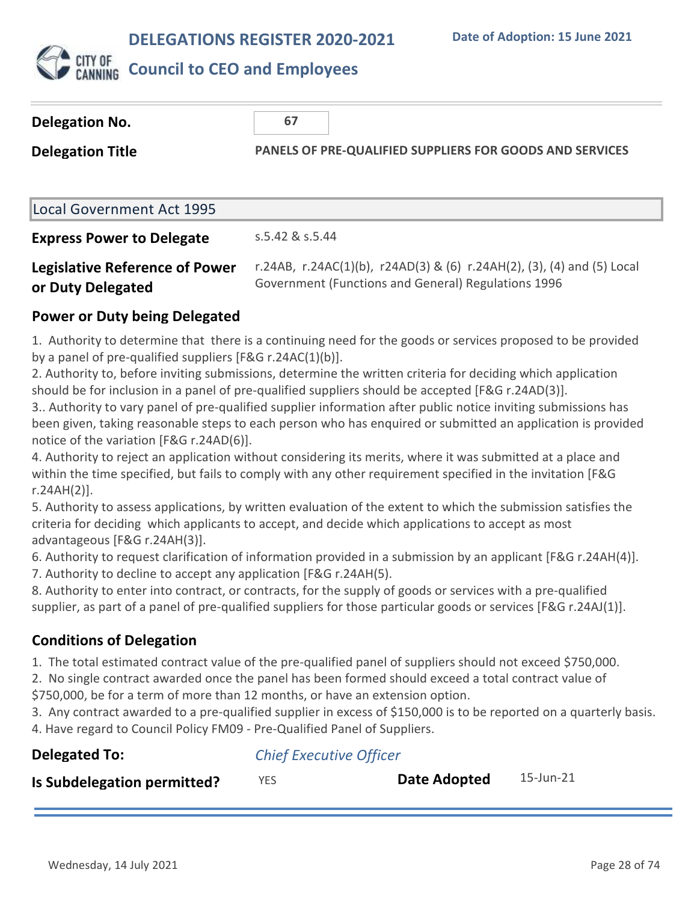

## **Council to CEO and Employees**

| Delegation No.                   | 67                                                              |  |  |
|----------------------------------|-----------------------------------------------------------------|--|--|
| <b>Delegation Title</b>          | <b>PANELS OF PRE-QUALIFIED SUPPLIERS FOR GOODS AND SERVICES</b> |  |  |
|                                  |                                                                 |  |  |
| Local Government Act 1995        |                                                                 |  |  |
| <b>Express Power to Delegate</b> | s.5.42 & s.5.44                                                 |  |  |

#### **Legislative Reference of Power or Duty Delegated** r.24AB, r.24AC(1)(b), r24AD(3) & (6) r.24AH(2), (3), (4) and (5) Local Government (Functions and General) Regulations 1996

### **Power or Duty being Delegated**

1. Authority to determine that there is a continuing need for the goods or services proposed to be provided by a panel of pre-qualified suppliers [F&G r.24AC(1)(b)].

2. Authority to, before inviting submissions, determine the written criteria for deciding which application should be for inclusion in a panel of pre-qualified suppliers should be accepted [F&G r.24AD(3)].

3.. Authority to vary panel of pre-qualified supplier information after public notice inviting submissions has been given, taking reasonable steps to each person who has enquired or submitted an application is provided notice of the variation [F&G r.24AD(6)].

4. Authority to reject an application without considering its merits, where it was submitted at a place and within the time specified, but fails to comply with any other requirement specified in the invitation [F&G r.24AH(2)].

5. Authority to assess applications, by written evaluation of the extent to which the submission satisfies the criteria for deciding which applicants to accept, and decide which applications to accept as most advantageous [F&G r.24AH(3)].

6. Authority to request clarification of information provided in a submission by an applicant [F&G r.24AH(4)].

7. Authority to decline to accept any application [F&G r.24AH(5).

8. Authority to enter into contract, or contracts, for the supply of goods or services with a pre-qualified supplier, as part of a panel of pre-qualified suppliers for those particular goods or services [F&G r.24AJ(1)].

## **Conditions of Delegation**

1. The total estimated contract value of the pre-qualified panel of suppliers should not exceed \$750,000.

2. No single contract awarded once the panel has been formed should exceed a total contract value of

\$750,000, be for a term of more than 12 months, or have an extension option.

3. Any contract awarded to a pre-qualified supplier in excess of \$150,000 is to be reported on a quarterly basis.

4. Have regard to Council Policy FM09 - Pre-Qualified Panel of Suppliers.

| <b>Delegated To:</b>        | <b>Chief Executive Officer</b> |              |           |  |
|-----------------------------|--------------------------------|--------------|-----------|--|
| Is Subdelegation permitted? | <b>YES</b>                     | Date Adopted | 15-Jun-21 |  |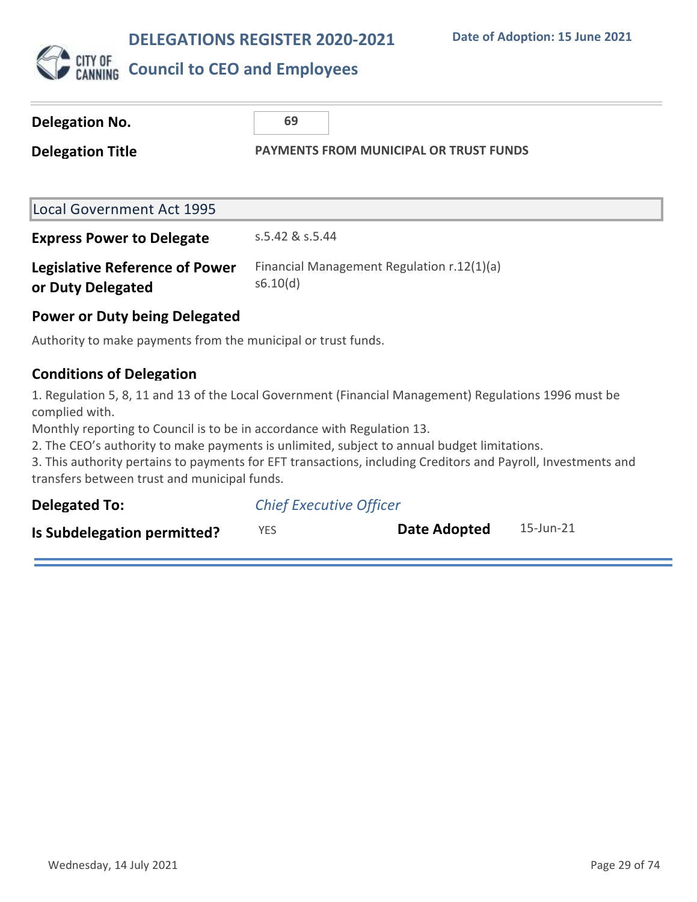

## **CITY OF COUNCIL to CEO and Employees**

| Delegation No.<br><b>Delegation Title</b>                     | 69<br><b>PAYMENTS FROM MUNICIPAL OR TRUST FUNDS</b>    |  |
|---------------------------------------------------------------|--------------------------------------------------------|--|
| <b>Local Government Act 1995</b>                              |                                                        |  |
| <b>Express Power to Delegate</b>                              | s.5.42 & s.5.44                                        |  |
| <b>Legislative Reference of Power</b><br>or Duty Delegated    | Financial Management Regulation r.12(1)(a)<br>s6.10(d) |  |
| <b>Power or Duty being Delegated</b>                          |                                                        |  |
| Authority to make payments from the municipal or trust funds. |                                                        |  |
| <b>Conditions of Delegation</b>                               |                                                        |  |

1. Regulation 5, 8, 11 and 13 of the Local Government (Financial Management) Regulations 1996 must be complied with.

Monthly reporting to Council is to be in accordance with Regulation 13.

2. The CEO's authority to make payments is unlimited, subject to annual budget limitations.

3. This authority pertains to payments for EFT transactions, including Creditors and Payroll, Investments and transfers between trust and municipal funds.

| <b>Delegated To:</b>        | <b>Chief Executive Officer</b> |              |           |
|-----------------------------|--------------------------------|--------------|-----------|
| Is Subdelegation permitted? | YES.                           | Date Adopted | 15-Jun-21 |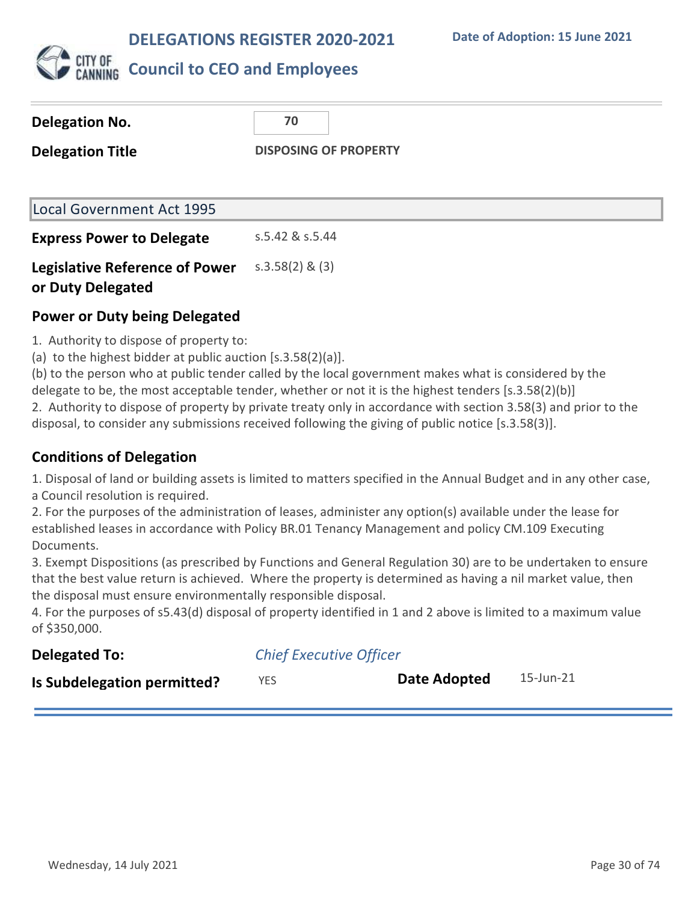**Date of Adoption: 15 June 2021**



## **Council to CEO and Employees**

| Delegation No.                   | 70                           |
|----------------------------------|------------------------------|
| <b>Delegation Title</b>          | <b>DISPOSING OF PROPERTY</b> |
|                                  |                              |
| Local Government Act 1995        |                              |
| <b>Express Power to Delegate</b> | s.5.42 & s.5.44              |

**Legislative Reference of Power or Duty Delegated** s.3.58(2) & (3)

#### **Power or Duty being Delegated**

1. Authority to dispose of property to:

(a) to the highest bidder at public auction [s.3.58(2)(a)].

(b) to the person who at public tender called by the local government makes what is considered by the delegate to be, the most acceptable tender, whether or not it is the highest tenders [s.3.58(2)(b)] 2. Authority to dispose of property by private treaty only in accordance with section 3.58(3) and prior to the disposal, to consider any submissions received following the giving of public notice [s.3.58(3)].

### **Conditions of Delegation**

1. Disposal of land or building assets is limited to matters specified in the Annual Budget and in any other case, a Council resolution is required.

2. For the purposes of the administration of leases, administer any option(s) available under the lease for established leases in accordance with Policy BR.01 Tenancy Management and policy CM.109 Executing Documents.

3. Exempt Dispositions (as prescribed by Functions and General Regulation 30) are to be undertaken to ensure that the best value return is achieved. Where the property is determined as having a nil market value, then the disposal must ensure environmentally responsible disposal.

4. For the purposes of s5.43(d) disposal of property identified in 1 and 2 above is limited to a maximum value of \$350,000.

| <b>Delegated To:</b>               | <b>Chief Executive Officer</b> |              |           |
|------------------------------------|--------------------------------|--------------|-----------|
| <b>Is Subdelegation permitted?</b> | YES.                           | Date Adopted | 15-Jun-21 |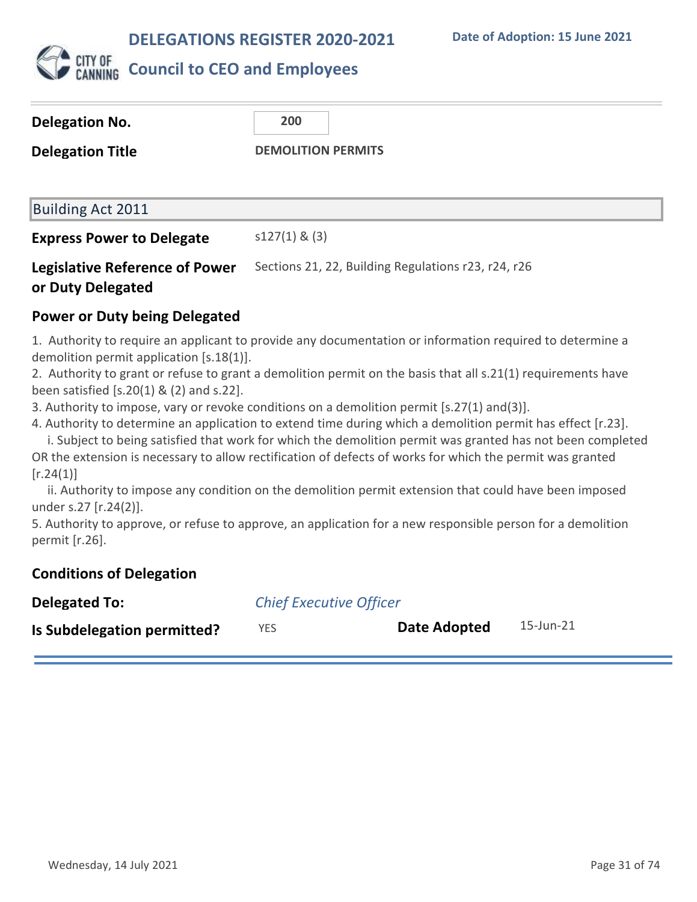**Date of Adoption: 15 June 2021**



| Delegation No.                        | 200                                                 |  |  |
|---------------------------------------|-----------------------------------------------------|--|--|
| <b>Delegation Title</b>               | <b>DEMOLITION PERMITS</b>                           |  |  |
|                                       |                                                     |  |  |
| Building Act 2011                     |                                                     |  |  |
| <b>Express Power to Delegate</b>      | $s127(1)$ & (3)                                     |  |  |
| <b>Legislative Reference of Power</b> | Sections 21, 22, Building Regulations r23, r24, r26 |  |  |

## **Power or Duty being Delegated**

**or Duty Delegated**

1. Authority to require an applicant to provide any documentation or information required to determine a demolition permit application [s.18(1)].

2. Authority to grant or refuse to grant a demolition permit on the basis that all s.21(1) requirements have been satisfied [s.20(1) & (2) and s.22].

3. Authority to impose, vary or revoke conditions on a demolition permit [s.27(1) and(3)].

4. Authority to determine an application to extend time during which a demolition permit has effect [r.23].

 i. Subject to being satisfied that work for which the demolition permit was granted has not been completed OR the extension is necessary to allow rectification of defects of works for which the permit was granted  $[r.24(1)]$ 

 ii. Authority to impose any condition on the demolition permit extension that could have been imposed under s.27 [r.24(2)].

5. Authority to approve, or refuse to approve, an application for a new responsible person for a demolition permit [r.26].

### **Conditions of Delegation**

| <b>Delegated To:</b>        | <b>Chief Executive Officer</b> |              |           |
|-----------------------------|--------------------------------|--------------|-----------|
| Is Subdelegation permitted? | <b>YES</b>                     | Date Adopted | 15-Jun-21 |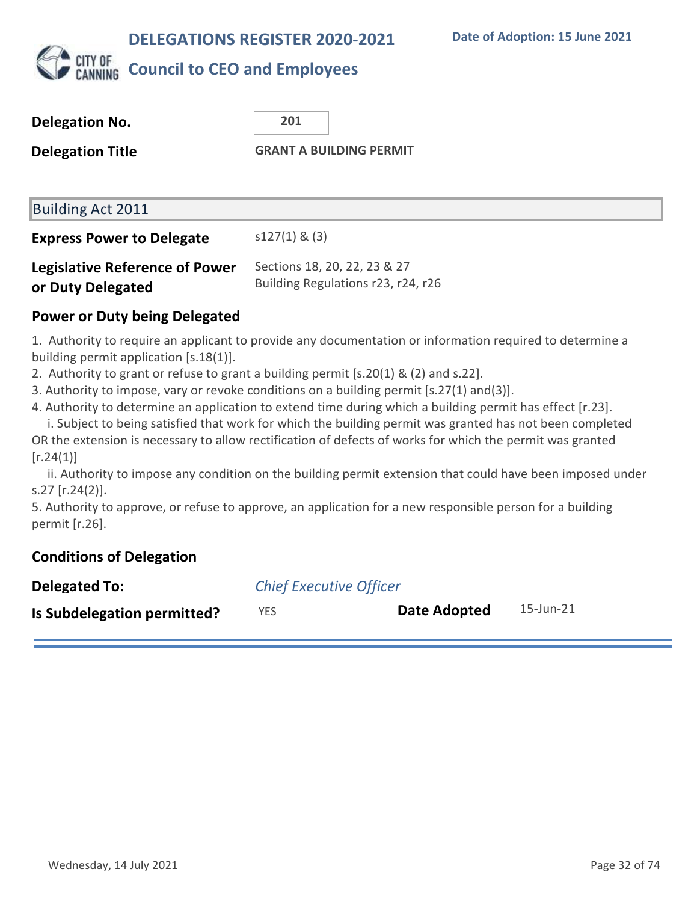

| <b>Delegation No.</b>                                                                                                                                                                                                                                                                                                                                                                                                                                                                                                                                                | 201                                                                |  |
|----------------------------------------------------------------------------------------------------------------------------------------------------------------------------------------------------------------------------------------------------------------------------------------------------------------------------------------------------------------------------------------------------------------------------------------------------------------------------------------------------------------------------------------------------------------------|--------------------------------------------------------------------|--|
| <b>Delegation Title</b>                                                                                                                                                                                                                                                                                                                                                                                                                                                                                                                                              | <b>GRANT A BUILDING PERMIT</b>                                     |  |
|                                                                                                                                                                                                                                                                                                                                                                                                                                                                                                                                                                      |                                                                    |  |
| <b>Building Act 2011</b>                                                                                                                                                                                                                                                                                                                                                                                                                                                                                                                                             |                                                                    |  |
| <b>Express Power to Delegate</b>                                                                                                                                                                                                                                                                                                                                                                                                                                                                                                                                     | $s127(1)$ & (3)                                                    |  |
| <b>Legislative Reference of Power</b><br>or Duty Delegated                                                                                                                                                                                                                                                                                                                                                                                                                                                                                                           | Sections 18, 20, 22, 23 & 27<br>Building Regulations r23, r24, r26 |  |
| Power or Duty being Delegated                                                                                                                                                                                                                                                                                                                                                                                                                                                                                                                                        |                                                                    |  |
| 1. Authority to require an applicant to provide any documentation or information required to determine a<br>building permit application $[s.18(1)].$<br>2. Authority to grant or refuse to grant a building permit $[s.20(1) \& (2)$ and s.22].<br>3. Authority to impose, vary or revoke conditions on a building permit [s.27(1) and(3)].<br>4. Authority to determine an application to extend time during which a building permit has effect [r.23].<br>i. Subject to being satisfied that work for which the building permit was granted has not been completed |                                                                    |  |

OR the extension is necessary to allow rectification of defects of works for which the permit was granted  $[r.24(1)]$ 

 ii. Authority to impose any condition on the building permit extension that could have been imposed under s.27 [r.24(2)].

5. Authority to approve, or refuse to approve, an application for a new responsible person for a building permit [r.26].

## **Conditions of Delegation**

| <b>Delegated To:</b>        | <b>Chief Executive Officer</b> |              |           |
|-----------------------------|--------------------------------|--------------|-----------|
| Is Subdelegation permitted? | YES                            | Date Adopted | 15-Jun-21 |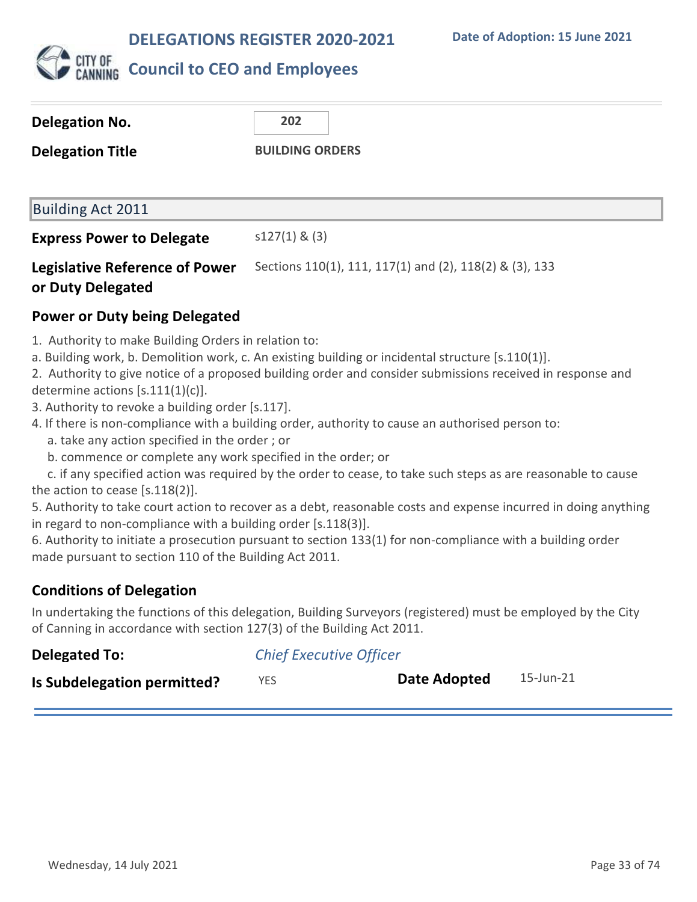

| Delegation No.                        | 202                                                     |  |  |
|---------------------------------------|---------------------------------------------------------|--|--|
| <b>Delegation Title</b>               | <b>BUILDING ORDERS</b>                                  |  |  |
|                                       |                                                         |  |  |
| Building Act 2011                     |                                                         |  |  |
| <b>Express Power to Delegate</b>      | $s127(1)$ & (3)                                         |  |  |
| <b>Legislative Reference of Power</b> | Sections 110(1), 111, 117(1) and (2), 118(2) & (3), 133 |  |  |

## **or Duty Delegated**

## **Power or Duty being Delegated**

- 1. Authority to make Building Orders in relation to:
- a. Building work, b. Demolition work, c. An existing building or incidental structure [s.110(1)].
- 2. Authority to give notice of a proposed building order and consider submissions received in response and determine actions [s.111(1)(c)].
- 3. Authority to revoke a building order [s.117].
- 4. If there is non-compliance with a building order, authority to cause an authorised person to:
	- a. take any action specified in the order ; or
	- b. commence or complete any work specified in the order; or

 c. if any specified action was required by the order to cease, to take such steps as are reasonable to cause the action to cease [s.118(2)].

5. Authority to take court action to recover as a debt, reasonable costs and expense incurred in doing anything in regard to non-compliance with a building order [s.118(3)].

6. Authority to initiate a prosecution pursuant to section 133(1) for non-compliance with a building order made pursuant to section 110 of the Building Act 2011.

## **Conditions of Delegation**

In undertaking the functions of this delegation, Building Surveyors (registered) must be employed by the City of Canning in accordance with section 127(3) of the Building Act 2011.

| <b>Delegated To:</b>        | <b>Chief Executive Officer</b> |              |           |
|-----------------------------|--------------------------------|--------------|-----------|
| Is Subdelegation permitted? | <b>YES</b>                     | Date Adopted | 15-Jun-21 |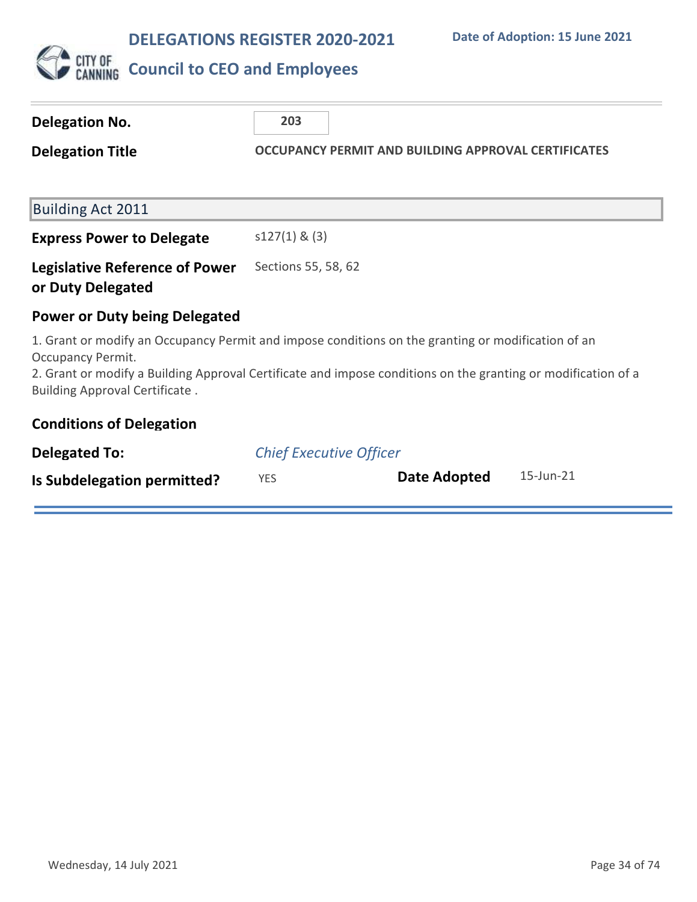

| Delegation No.                                                                                                                                                                                                                                                                    | 203                            |  |                                                            |           |
|-----------------------------------------------------------------------------------------------------------------------------------------------------------------------------------------------------------------------------------------------------------------------------------|--------------------------------|--|------------------------------------------------------------|-----------|
| <b>Delegation Title</b>                                                                                                                                                                                                                                                           |                                |  | <b>OCCUPANCY PERMIT AND BUILDING APPROVAL CERTIFICATES</b> |           |
|                                                                                                                                                                                                                                                                                   |                                |  |                                                            |           |
| <b>Building Act 2011</b>                                                                                                                                                                                                                                                          |                                |  |                                                            |           |
| <b>Express Power to Delegate</b>                                                                                                                                                                                                                                                  | $s127(1)$ & (3)                |  |                                                            |           |
| <b>Legislative Reference of Power</b><br>or Duty Delegated                                                                                                                                                                                                                        | Sections 55, 58, 62            |  |                                                            |           |
| <b>Power or Duty being Delegated</b>                                                                                                                                                                                                                                              |                                |  |                                                            |           |
| 1. Grant or modify an Occupancy Permit and impose conditions on the granting or modification of an<br>Occupancy Permit.<br>2. Grant or modify a Building Approval Certificate and impose conditions on the granting or modification of a<br><b>Building Approval Certificate.</b> |                                |  |                                                            |           |
| <b>Conditions of Delegation</b>                                                                                                                                                                                                                                                   |                                |  |                                                            |           |
| <b>Delegated To:</b>                                                                                                                                                                                                                                                              | <b>Chief Executive Officer</b> |  |                                                            |           |
| Is Subdelegation permitted?                                                                                                                                                                                                                                                       | <b>YES</b>                     |  | Date Adopted                                               | 15-Jun-21 |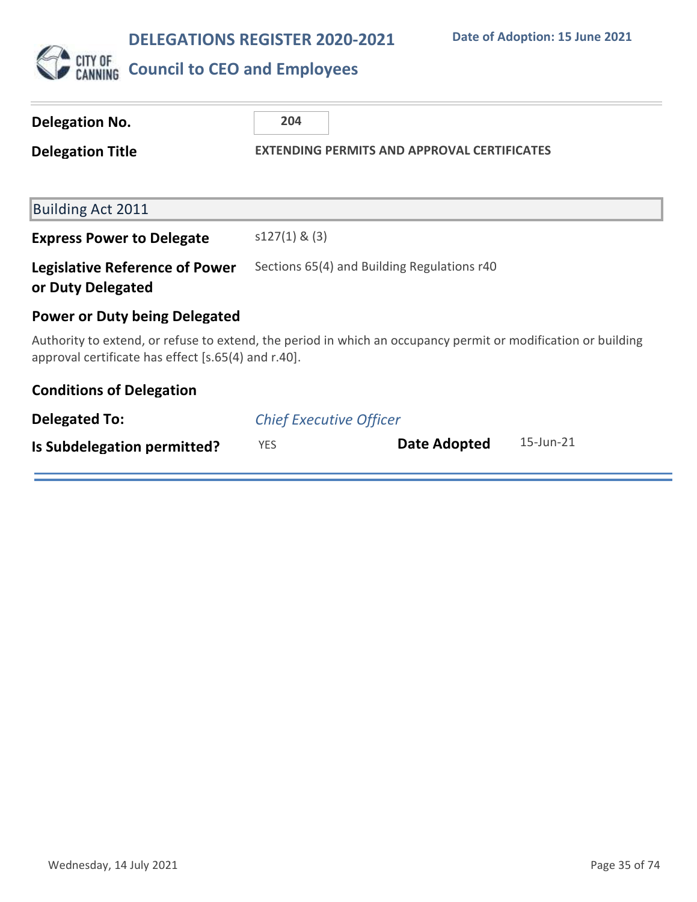

| Delegation No.                                             | 204                                                                                                           |  |  |
|------------------------------------------------------------|---------------------------------------------------------------------------------------------------------------|--|--|
| <b>Delegation Title</b>                                    | <b>EXTENDING PERMITS AND APPROVAL CERTIFICATES</b>                                                            |  |  |
|                                                            |                                                                                                               |  |  |
| <b>Building Act 2011</b>                                   |                                                                                                               |  |  |
| <b>Express Power to Delegate</b>                           | $s127(1)$ & (3)                                                                                               |  |  |
| <b>Legislative Reference of Power</b><br>or Duty Delegated | Sections 65(4) and Building Regulations r40                                                                   |  |  |
| <b>Power or Duty being Delegated</b>                       |                                                                                                               |  |  |
| approval certificate has effect [s.65(4) and r.40].        | Authority to extend, or refuse to extend, the period in which an occupancy permit or modification or building |  |  |
| <b>Conditions of Delegation</b>                            |                                                                                                               |  |  |
| <b>Delegated To:</b>                                       | <b>Chief Executive Officer</b>                                                                                |  |  |
| Is Subdelegation permitted?                                | 15-Jun-21<br>Date Adopted<br><b>YES</b>                                                                       |  |  |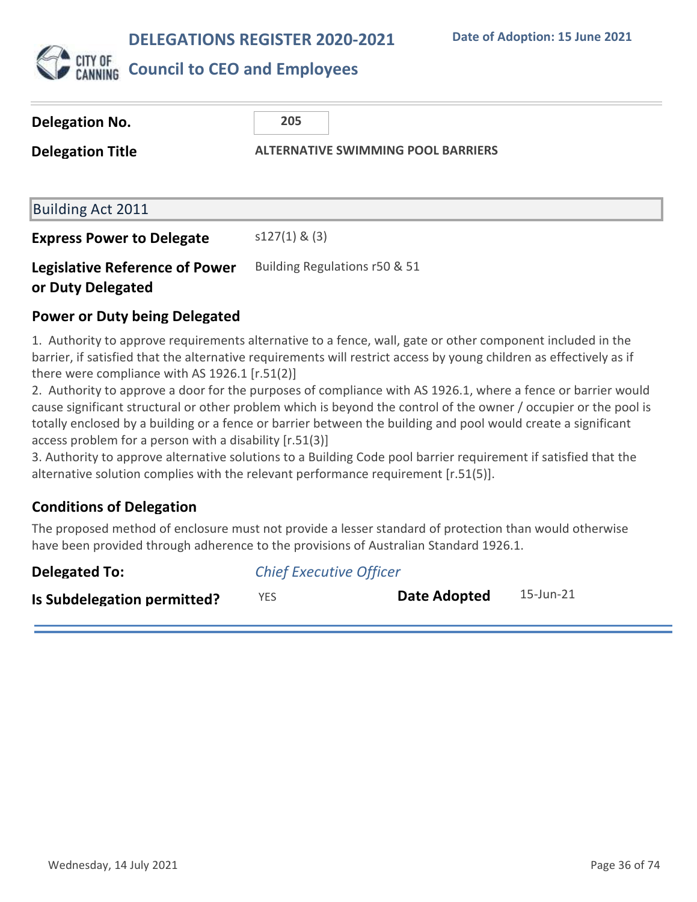

| Delegation No.                                             | 205                                       |  |  |
|------------------------------------------------------------|-------------------------------------------|--|--|
| <b>Delegation Title</b>                                    | <b>ALTERNATIVE SWIMMING POOL BARRIERS</b> |  |  |
|                                                            |                                           |  |  |
| Building Act 2011                                          |                                           |  |  |
| <b>Express Power to Delegate</b>                           | $s127(1)$ & (3)                           |  |  |
| <b>Legislative Reference of Power</b><br>or Duty Delegated | Building Regulations r50 & 51             |  |  |

## **Power or Duty being Delegated**

1. Authority to approve requirements alternative to a fence, wall, gate or other component included in the barrier, if satisfied that the alternative requirements will restrict access by young children as effectively as if there were compliance with AS 1926.1 [r.51(2)]

2. Authority to approve a door for the purposes of compliance with AS 1926.1, where a fence or barrier would cause significant structural or other problem which is beyond the control of the owner / occupier or the pool is totally enclosed by a building or a fence or barrier between the building and pool would create a significant access problem for a person with a disability [r.51(3)]

3. Authority to approve alternative solutions to a Building Code pool barrier requirement if satisfied that the alternative solution complies with the relevant performance requirement [r.51(5)].

## **Conditions of Delegation**

The proposed method of enclosure must not provide a lesser standard of protection than would otherwise have been provided through adherence to the provisions of Australian Standard 1926.1.

| Delegated To:               | <b>Chief Executive Officer</b> |              |           |
|-----------------------------|--------------------------------|--------------|-----------|
| Is Subdelegation permitted? | YES.                           | Date Adopted | 15-Jun-21 |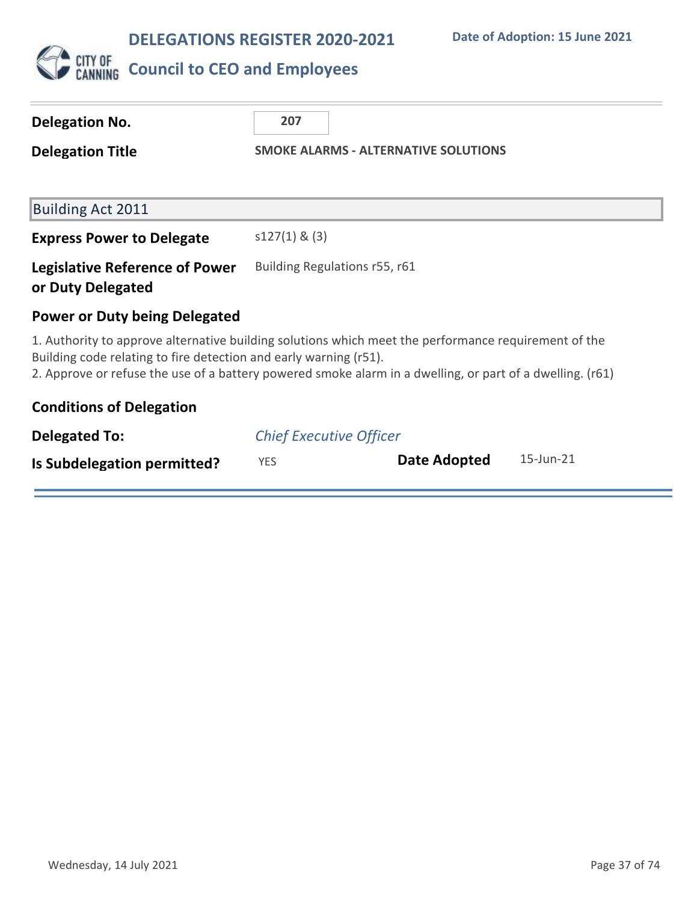

| <b>Delegation No.</b>                                             | 207                                                                                                                                                                                                               |
|-------------------------------------------------------------------|-------------------------------------------------------------------------------------------------------------------------------------------------------------------------------------------------------------------|
| <b>Delegation Title</b>                                           | <b>SMOKE ALARMS - ALTERNATIVE SOLUTIONS</b>                                                                                                                                                                       |
|                                                                   |                                                                                                                                                                                                                   |
| <b>Building Act 2011</b>                                          |                                                                                                                                                                                                                   |
| <b>Express Power to Delegate</b>                                  | $s127(1)$ & (3)                                                                                                                                                                                                   |
| <b>Legislative Reference of Power</b><br>or Duty Delegated        | Building Regulations r55, r61                                                                                                                                                                                     |
| <b>Power or Duty being Delegated</b>                              |                                                                                                                                                                                                                   |
| Building code relating to fire detection and early warning (r51). | 1. Authority to approve alternative building solutions which meet the performance requirement of the<br>2. Approve or refuse the use of a battery powered smoke alarm in a dwelling, or part of a dwelling. (r61) |
| <b>Conditions of Delegation</b>                                   |                                                                                                                                                                                                                   |
| <b>Delegated To:</b>                                              | <b>Chief Executive Officer</b>                                                                                                                                                                                    |
| Is Subdelegation permitted?                                       | 15-Jun-21<br>Date Adopted<br><b>YES</b>                                                                                                                                                                           |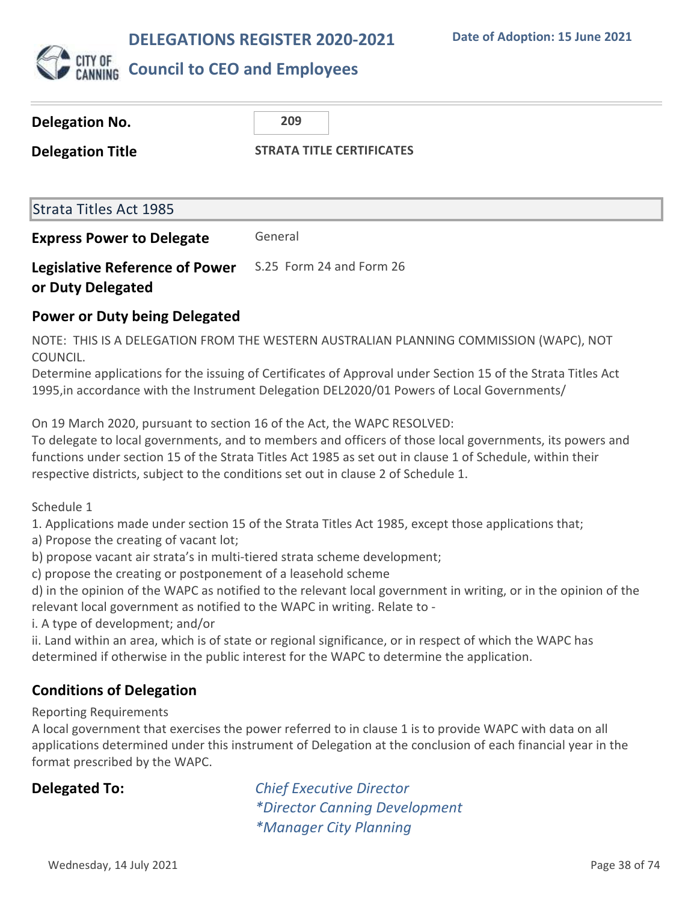

| <b>Delegation No.</b>                                      | 209                              |  |
|------------------------------------------------------------|----------------------------------|--|
| <b>Delegation Title</b>                                    | <b>STRATA TITLE CERTIFICATES</b> |  |
|                                                            |                                  |  |
| <b>Strata Titles Act 1985</b>                              |                                  |  |
| <b>Express Power to Delegate</b>                           | General                          |  |
| <b>Legislative Reference of Power</b><br>or Duty Delegated | S.25 Form 24 and Form 26         |  |

### **Power or Duty being Delegated**

NOTE: THIS IS A DELEGATION FROM THE WESTERN AUSTRALIAN PLANNING COMMISSION (WAPC), NOT COUNCIL.

Determine applications for the issuing of Certificates of Approval under Section 15 of the Strata Titles Act 1995,in accordance with the Instrument Delegation DEL2020/01 Powers of Local Governments/

On 19 March 2020, pursuant to section 16 of the Act, the WAPC RESOLVED:

To delegate to local governments, and to members and officers of those local governments, its powers and functions under section 15 of the Strata Titles Act 1985 as set out in clause 1 of Schedule, within their respective districts, subject to the conditions set out in clause 2 of Schedule 1.

Schedule 1

1. Applications made under section 15 of the Strata Titles Act 1985, except those applications that;

a) Propose the creating of vacant lot;

b) propose vacant air strata's in multi-tiered strata scheme development;

c) propose the creating or postponement of a leasehold scheme

d) in the opinion of the WAPC as notified to the relevant local government in writing, or in the opinion of the relevant local government as notified to the WAPC in writing. Relate to -

i. A type of development; and/or

ii. Land within an area, which is of state or regional significance, or in respect of which the WAPC has determined if otherwise in the public interest for the WAPC to determine the application.

### **Conditions of Delegation**

Reporting Requirements

A local government that exercises the power referred to in clause 1 is to provide WAPC with data on all applications determined under this instrument of Delegation at the conclusion of each financial year in the format prescribed by the WAPC.

**Delegated To:** *Chief Executive Director \*Director Canning Development \*Manager City Planning*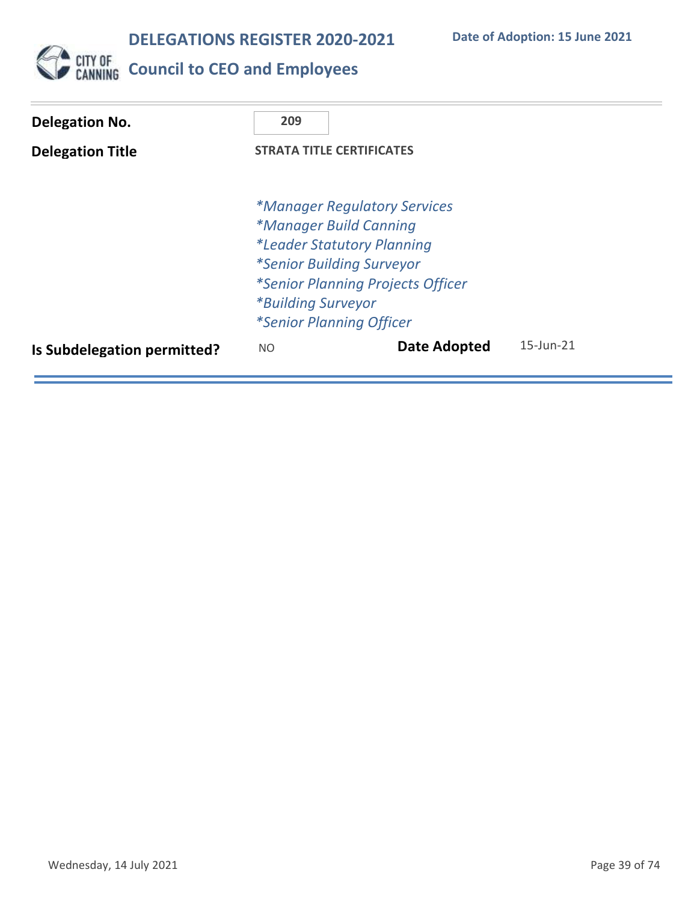

**CITY OF COUNCIL TO CEO and Employees** 

| Delegation No.              | 209                              |                                          |                 |
|-----------------------------|----------------------------------|------------------------------------------|-----------------|
| <b>Delegation Title</b>     | <b>STRATA TITLE CERTIFICATES</b> |                                          |                 |
|                             |                                  |                                          |                 |
|                             |                                  | <i>*Manager Regulatory Services</i>      |                 |
|                             |                                  | *Manager Build Canning                   |                 |
|                             |                                  | <i>*Leader Statutory Planning</i>        |                 |
|                             |                                  | <i>*Senior Building Surveyor</i>         |                 |
|                             |                                  | <i>*Senior Planning Projects Officer</i> |                 |
|                             | <i>*Building Surveyor</i>        |                                          |                 |
|                             |                                  | <i>*Senior Planning Officer</i>          |                 |
| Is Subdelegation permitted? | NO.                              | Date Adopted                             | $15$ -Jun- $21$ |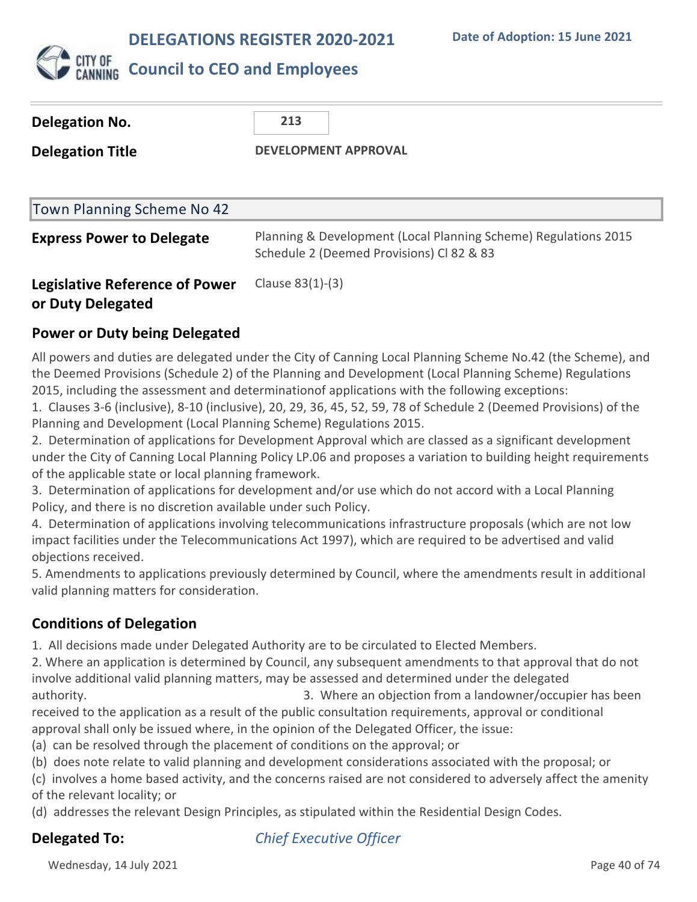

### **Council to CEO and Employees**

| Delegation No.                        | 213                                                                                                          |
|---------------------------------------|--------------------------------------------------------------------------------------------------------------|
| <b>Delegation Title</b>               | <b>DEVELOPMENT APPROVAL</b>                                                                                  |
|                                       |                                                                                                              |
| Town Planning Scheme No 42            |                                                                                                              |
| <b>Express Power to Delegate</b>      | Planning & Development (Local Planning Scheme) Regulations 2015<br>Schedule 2 (Deemed Provisions) Cl 82 & 83 |
| <b>Legislative Reference of Power</b> | Clause 83(1)-(3)                                                                                             |

### **or Duty Delegated**

### **Power or Duty being Delegated**

All powers and duties are delegated under the City of Canning Local Planning Scheme No.42 (the Scheme), and the Deemed Provisions (Schedule 2) of the Planning and Development (Local Planning Scheme) Regulations 2015, including the assessment and determinationof applications with the following exceptions:

1. Clauses 3-6 (inclusive), 8-10 (inclusive), 20, 29, 36, 45, 52, 59, 78 of Schedule 2 (Deemed Provisions) of the Planning and Development (Local Planning Scheme) Regulations 2015.

2. Determination of applications for Development Approval which are classed as a significant development under the City of Canning Local Planning Policy LP.06 and proposes a variation to building height requirements of the applicable state or local planning framework.

3. Determination of applications for development and/or use which do not accord with a Local Planning Policy, and there is no discretion available under such Policy.

4. Determination of applications involving telecommunications infrastructure proposals (which are not low impact facilities under the Telecommunications Act 1997), which are required to be advertised and valid objections received.

5. Amendments to applications previously determined by Council, where the amendments result in additional valid planning matters for consideration.

### **Conditions of Delegation**

1. All decisions made under Delegated Authority are to be circulated to Elected Members.

2. Where an application is determined by Council, any subsequent amendments to that approval that do not involve additional valid planning matters, may be assessed and determined under the delegated authority. 3. Where an objection from a landowner/occupier has been

received to the application as a result of the public consultation requirements, approval or conditional approval shall only be issued where, in the opinion of the Delegated Officer, the issue:

(a) can be resolved through the placement of conditions on the approval; or

(b) does note relate to valid planning and development considerations associated with the proposal; or

(c) involves a home based activity, and the concerns raised are not considered to adversely affect the amenity of the relevant locality; or

(d) addresses the relevant Design Principles, as stipulated within the Residential Design Codes.

**Delegated To:** *Chief Executive Officer*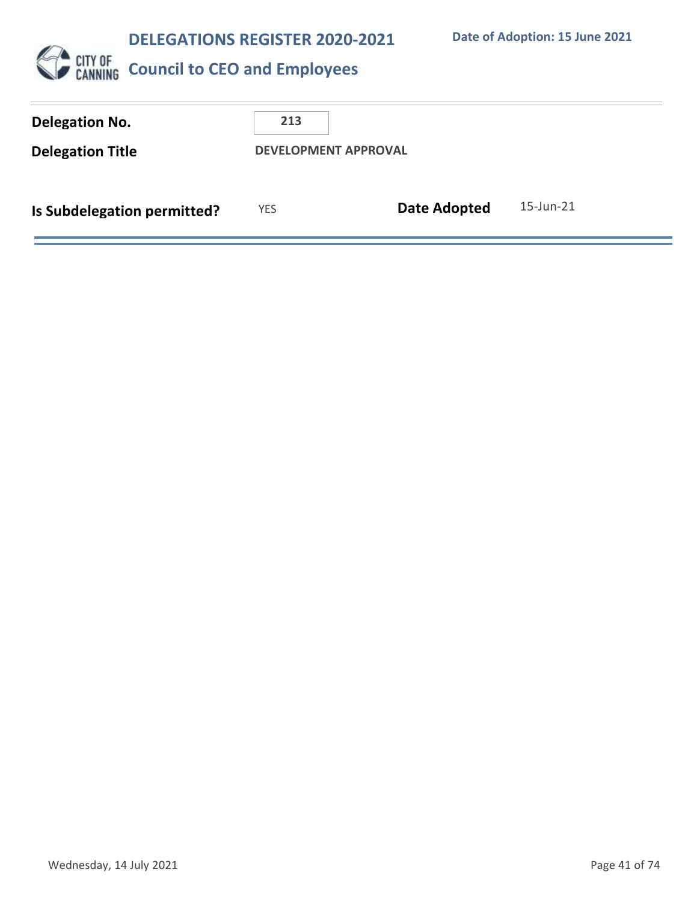**Date of Adoption: 15 June 2021**



| <b>Delegation No.</b><br><b>Delegation Title</b> | 213        | <b>DEVELOPMENT APPROVAL</b> |           |
|--------------------------------------------------|------------|-----------------------------|-----------|
| Is Subdelegation permitted?                      | <b>YES</b> | <b>Date Adopted</b>         | 15-Jun-21 |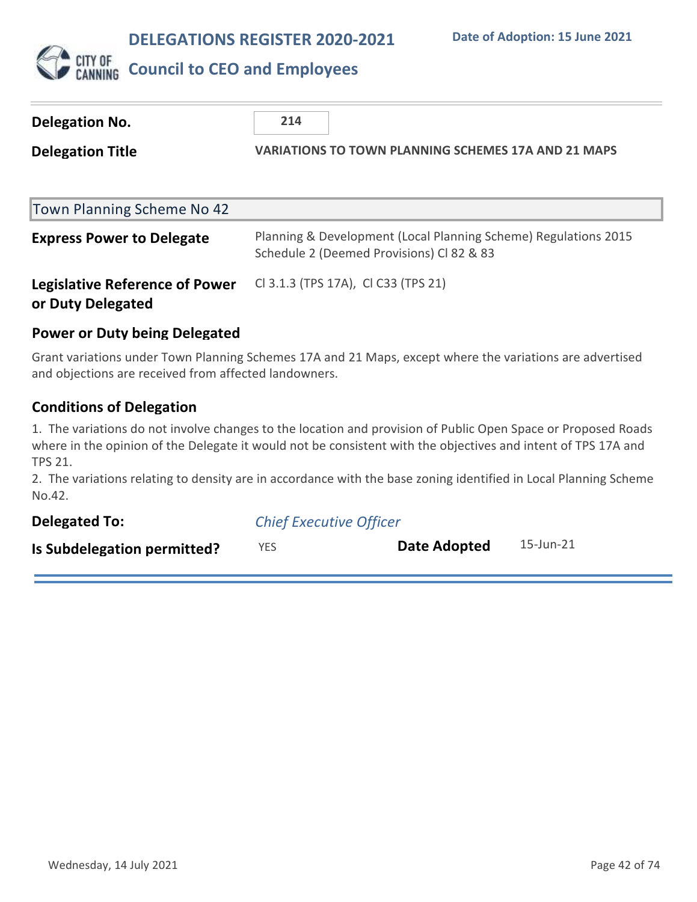

| Delegation No.                                             | 214                                                                                                          |  |
|------------------------------------------------------------|--------------------------------------------------------------------------------------------------------------|--|
| <b>Delegation Title</b>                                    | <b>VARIATIONS TO TOWN PLANNING SCHEMES 17A AND 21 MAPS</b>                                                   |  |
| Town Planning Scheme No 42                                 |                                                                                                              |  |
| <b>Express Power to Delegate</b>                           | Planning & Development (Local Planning Scheme) Regulations 2015<br>Schedule 2 (Deemed Provisions) Cl 82 & 83 |  |
| <b>Legislative Reference of Power</b><br>or Duty Delegated | CI 3.1.3 (TPS 17A), CI C33 (TPS 21)                                                                          |  |
|                                                            |                                                                                                              |  |

### **Power or Duty being Delegated**

Grant variations under Town Planning Schemes 17A and 21 Maps, except where the variations are advertised and objections are received from affected landowners.

### **Conditions of Delegation**

1. The variations do not involve changes to the location and provision of Public Open Space or Proposed Roads where in the opinion of the Delegate it would not be consistent with the objectives and intent of TPS 17A and TPS 21.

2. The variations relating to density are in accordance with the base zoning identified in Local Planning Scheme No.42.

| <b>Delegated To:</b>        | <b>Chief Executive Officer</b> |              |           |
|-----------------------------|--------------------------------|--------------|-----------|
| Is Subdelegation permitted? | <b>YES</b>                     | Date Adopted | 15-Jun-21 |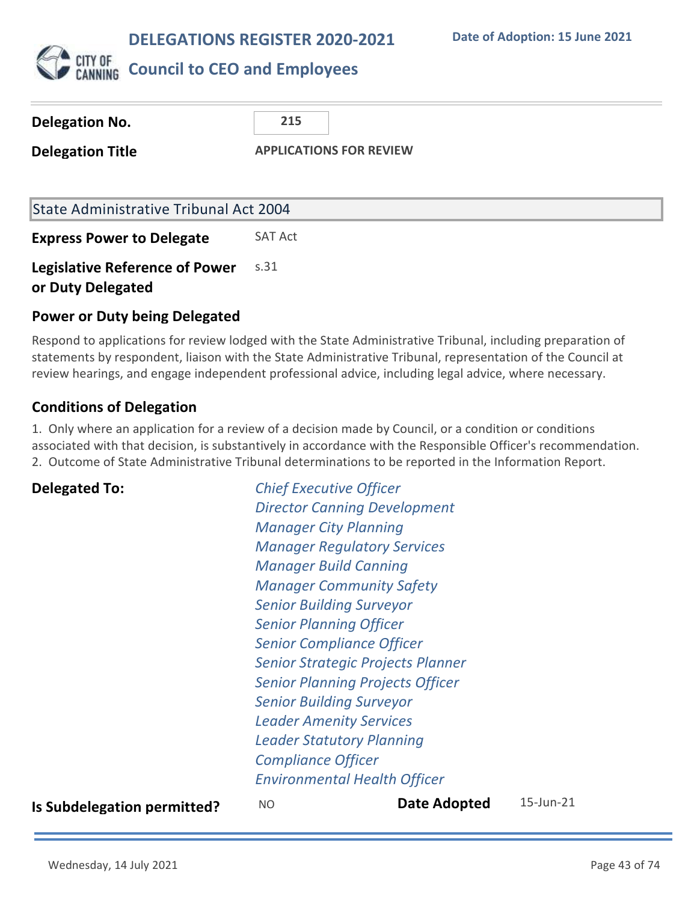**Date of Adoption: 15 June 2021**



### **Council to CEO and Employees**

| Delegation No.                                             | 215                            |
|------------------------------------------------------------|--------------------------------|
| <b>Delegation Title</b>                                    | <b>APPLICATIONS FOR REVIEW</b> |
|                                                            |                                |
| State Administrative Tribunal Act 2004                     |                                |
| <b>Express Power to Delegate</b>                           | <b>SAT Act</b>                 |
| <b>Legislative Reference of Power</b><br>or Duty Delegated | S.31                           |

### **Power or Duty being Delegated**

Respond to applications for review lodged with the State Administrative Tribunal, including preparation of statements by respondent, liaison with the State Administrative Tribunal, representation of the Council at review hearings, and engage independent professional advice, including legal advice, where necessary.

### **Conditions of Delegation**

1. Only where an application for a review of a decision made by Council, or a condition or conditions associated with that decision, is substantively in accordance with the Responsible Officer's recommendation. 2. Outcome of State Administrative Tribunal determinations to be reported in the Information Report.

**Delegated To:** *Chief Executive Officer Director Canning Development Manager City Planning Manager Regulatory Services Manager Build Canning Manager Community Safety Senior Building Surveyor Senior Planning Officer Senior Compliance Officer Senior Strategic Projects Planner Senior Planning Projects Officer Senior Building Surveyor Leader Amenity Services Leader Statutory Planning Compliance Officer Environmental Health Officer*

**Is Subdelegation permitted?** NO **Date Adopted** 15-Jun-21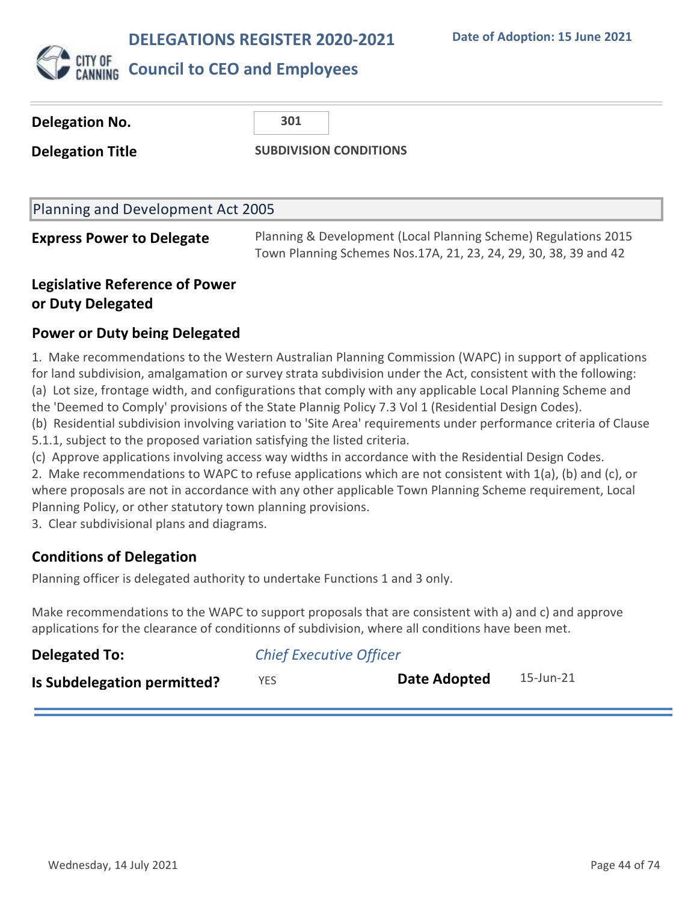

| <b>Delegation No.</b>             | 301                                                             |
|-----------------------------------|-----------------------------------------------------------------|
| <b>Delegation Title</b>           | <b>SUBDIVISION CONDITIONS</b>                                   |
|                                   |                                                                 |
| Planning and Development Act 2005 |                                                                 |
| <b>Express Power to Delegate</b>  | Planning & Development (Local Planning Scheme) Regulations 2015 |

Town Planning Schemes Nos.17A, 21, 23, 24, 29, 30, 38, 39 and 42

### **Legislative Reference of Power or Duty Delegated**

### **Power or Duty being Delegated**

1. Make recommendations to the Western Australian Planning Commission (WAPC) in support of applications for land subdivision, amalgamation or survey strata subdivision under the Act, consistent with the following: (a) Lot size, frontage width, and configurations that comply with any applicable Local Planning Scheme and the 'Deemed to Comply' provisions of the State Plannig Policy 7.3 Vol 1 (Residential Design Codes). (b) Residential subdivision involving variation to 'Site Area' requirements under performance criteria of Clause 5.1.1, subject to the proposed variation satisfying the listed criteria.

(c) Approve applications involving access way widths in accordance with the Residential Design Codes.

2. Make recommendations to WAPC to refuse applications which are not consistent with 1(a), (b) and (c), or where proposals are not in accordance with any other applicable Town Planning Scheme requirement, Local Planning Policy, or other statutory town planning provisions.

3. Clear subdivisional plans and diagrams.

### **Conditions of Delegation**

Planning officer is delegated authority to undertake Functions 1 and 3 only.

Make recommendations to the WAPC to support proposals that are consistent with a) and c) and approve applications for the clearance of conditionns of subdivision, where all conditions have been met.

| <b>Delegated To:</b>        | <b>Chief Executive Officer</b> |              |           |
|-----------------------------|--------------------------------|--------------|-----------|
| Is Subdelegation permitted? | YES.                           | Date Adopted | 15-Jun-21 |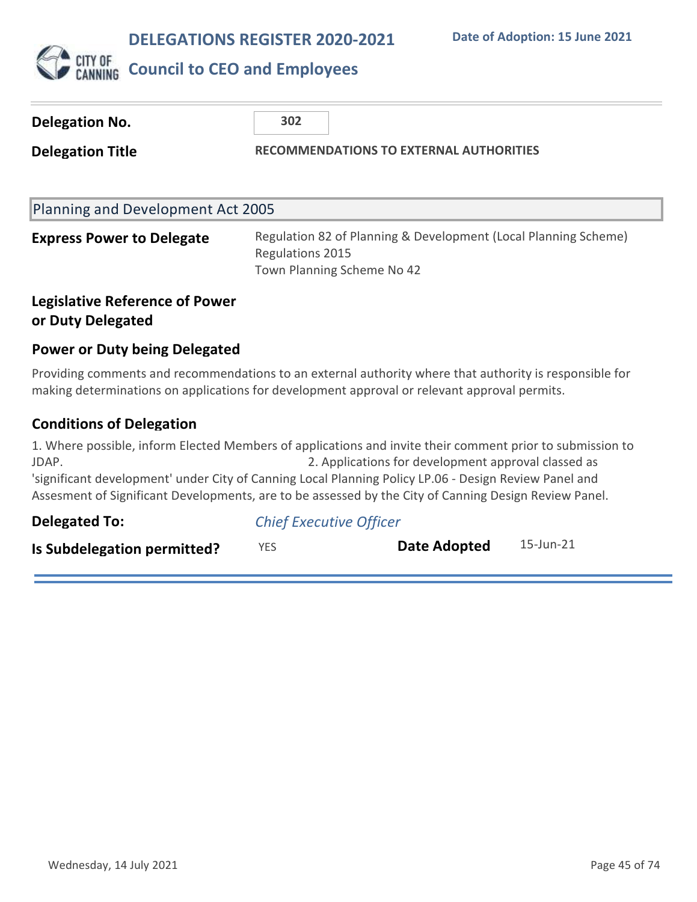

| <b>Delegation No.</b>                                      | 302                                            |                                                                                                                                                                                                                                                                                                                                                                                    |  |
|------------------------------------------------------------|------------------------------------------------|------------------------------------------------------------------------------------------------------------------------------------------------------------------------------------------------------------------------------------------------------------------------------------------------------------------------------------------------------------------------------------|--|
| <b>Delegation Title</b>                                    | <b>RECOMMENDATIONS TO EXTERNAL AUTHORITIES</b> |                                                                                                                                                                                                                                                                                                                                                                                    |  |
|                                                            |                                                |                                                                                                                                                                                                                                                                                                                                                                                    |  |
| Planning and Development Act 2005                          |                                                |                                                                                                                                                                                                                                                                                                                                                                                    |  |
| <b>Express Power to Delegate</b>                           | Regulations 2015                               | Regulation 82 of Planning & Development (Local Planning Scheme)<br>Town Planning Scheme No 42                                                                                                                                                                                                                                                                                      |  |
| <b>Legislative Reference of Power</b><br>or Duty Delegated |                                                |                                                                                                                                                                                                                                                                                                                                                                                    |  |
| <b>Power or Duty being Delegated</b>                       |                                                |                                                                                                                                                                                                                                                                                                                                                                                    |  |
|                                                            |                                                | Providing comments and recommendations to an external authority where that authority is responsible for<br>making determinations on applications for development approval or relevant approval permits.                                                                                                                                                                            |  |
| <b>Conditions of Delegation</b>                            |                                                |                                                                                                                                                                                                                                                                                                                                                                                    |  |
| JDAP.                                                      |                                                | 1. Where possible, inform Elected Members of applications and invite their comment prior to submission to<br>2. Applications for development approval classed as<br>'significant development' under City of Canning Local Planning Policy LP.06 - Design Review Panel and<br>Assesment of Significant Developments, are to be assessed by the City of Canning Design Review Panel. |  |
| <b>Delegated To:</b>                                       | <b>Chief Executive Officer</b>                 |                                                                                                                                                                                                                                                                                                                                                                                    |  |

**Is Subdelegation permitted?** YES **Date Adopted** 15-Jun-21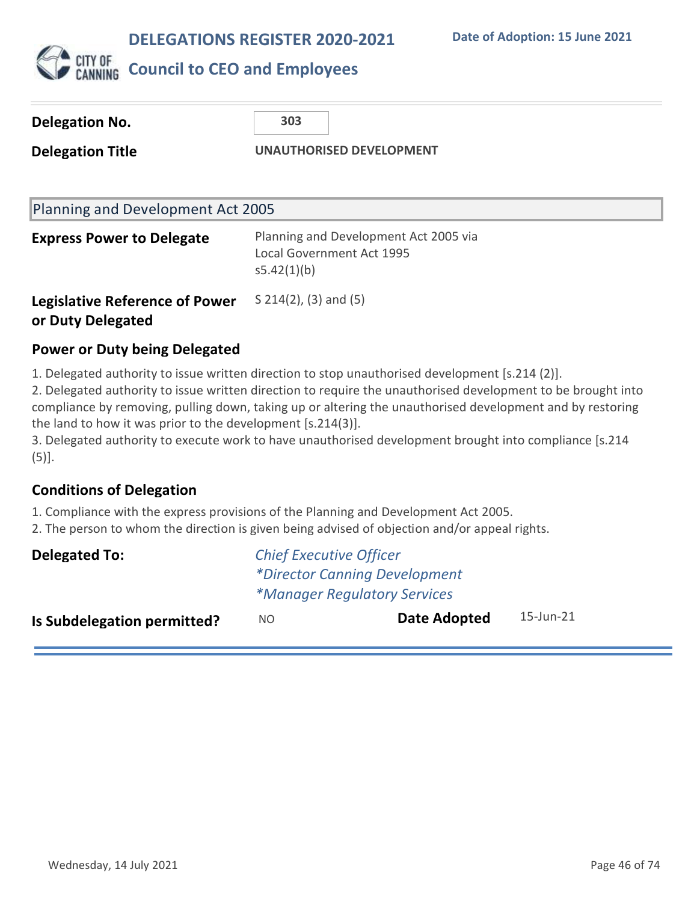

# **CITY OF COUNCIL to CEO and Employees**

| Delegation No.                                             | 303                                                                                      |  |
|------------------------------------------------------------|------------------------------------------------------------------------------------------|--|
| <b>Delegation Title</b>                                    | <b>UNAUTHORISED DEVELOPMENT</b>                                                          |  |
| Planning and Development Act 2005                          |                                                                                          |  |
| <b>Express Power to Delegate</b>                           | Planning and Development Act 2005 via<br><b>Local Government Act 1995</b><br>s5.42(1)(b) |  |
| <b>Legislative Reference of Power</b><br>or Duty Delegated | $S$ 214(2), (3) and (5)                                                                  |  |

### **Power or Duty being Delegated**

1. Delegated authority to issue written direction to stop unauthorised development [s.214 (2)].

2. Delegated authority to issue written direction to require the unauthorised development to be brought into compliance by removing, pulling down, taking up or altering the unauthorised development and by restoring the land to how it was prior to the development [s.214(3)].

3. Delegated authority to execute work to have unauthorised development brought into compliance [s.214  $(5)$ ].

### **Conditions of Delegation**

1. Compliance with the express provisions of the Planning and Development Act 2005.

2. The person to whom the direction is given being advised of objection and/or appeal rights.

| Delegated To:                      | <b>Chief Executive Officer</b>       |              |           |  |
|------------------------------------|--------------------------------------|--------------|-----------|--|
|                                    | <i>*Director Canning Development</i> |              |           |  |
|                                    | <i>*Manager Regulatory Services</i>  |              |           |  |
| <b>Is Subdelegation permitted?</b> | NO.                                  | Date Adopted | 15-Jun-21 |  |
|                                    |                                      |              |           |  |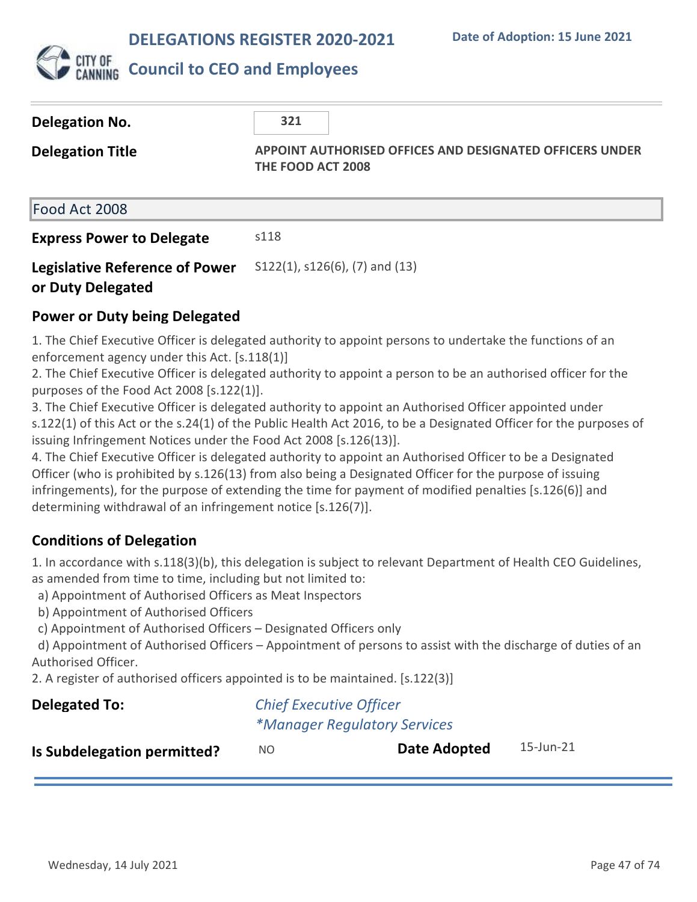

### **Council to CEO and Employees**

| Delegation No.<br><b>Delegation Title</b>                  | 321<br><b>APPOINT AUTHORISED OFFICES AND DESIGNATED OFFICERS UNDER</b><br>THE FOOD ACT 2008 |
|------------------------------------------------------------|---------------------------------------------------------------------------------------------|
| Food Act 2008                                              |                                                                                             |
| <b>Express Power to Delegate</b>                           | s118                                                                                        |
| <b>Legislative Reference of Power</b><br>or Duty Delegated | $S122(1)$ , $S126(6)$ , $(7)$ and $(13)$                                                    |

### **Power or Duty being Delegated**

1. The Chief Executive Officer is delegated authority to appoint persons to undertake the functions of an enforcement agency under this Act. [s.118(1)]

2. The Chief Executive Officer is delegated authority to appoint a person to be an authorised officer for the purposes of the Food Act 2008 [s.122(1)].

3. The Chief Executive Officer is delegated authority to appoint an Authorised Officer appointed under s.122(1) of this Act or the s.24(1) of the Public Health Act 2016, to be a Designated Officer for the purposes of issuing Infringement Notices under the Food Act 2008 [s.126(13)].

4. The Chief Executive Officer is delegated authority to appoint an Authorised Officer to be a Designated Officer (who is prohibited by s.126(13) from also being a Designated Officer for the purpose of issuing infringements), for the purpose of extending the time for payment of modified penalties [s.126(6)] and determining withdrawal of an infringement notice [s.126(7)].

### **Conditions of Delegation**

1. In accordance with s.118(3)(b), this delegation is subject to relevant Department of Health CEO Guidelines, as amended from time to time, including but not limited to:

a) Appointment of Authorised Officers as Meat Inspectors

b) Appointment of Authorised Officers

c) Appointment of Authorised Officers – Designated Officers only

 d) Appointment of Authorised Officers – Appointment of persons to assist with the discharge of duties of an Authorised Officer.

2. A register of authorised officers appointed is to be maintained. [s.122(3)]

| <b>Delegated To:</b>        |     | <b>Chief Executive Officer</b>      |           |
|-----------------------------|-----|-------------------------------------|-----------|
|                             |     | <i>*Manager Regulatory Services</i> |           |
| Is Subdelegation permitted? | NO. | Date Adopted                        | 15-Jun-21 |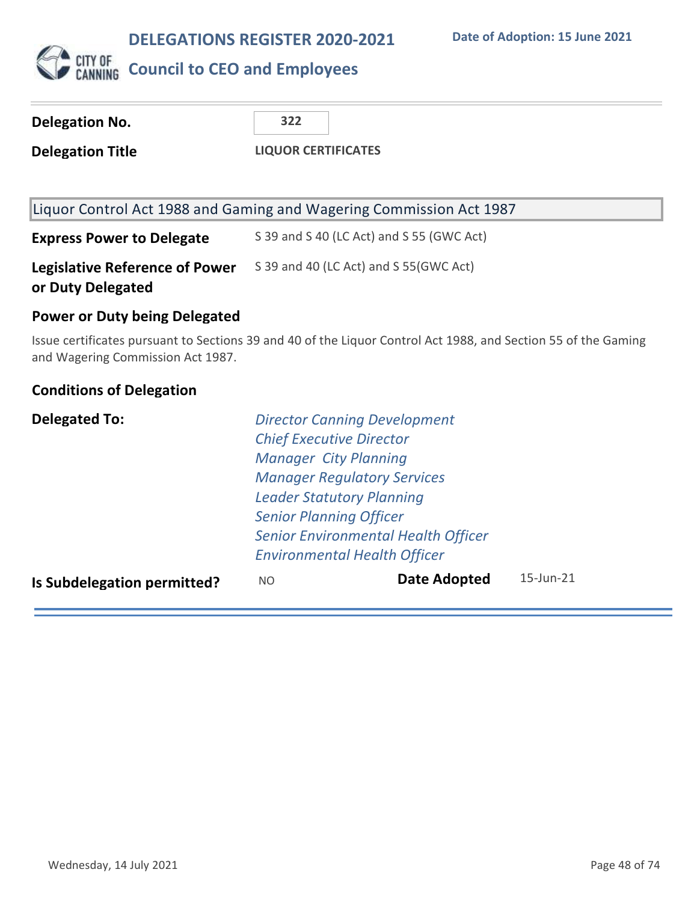

### **CITY OF COUNCIL to CEO and Employees**

| 322 |
|-----|
|-----|

**Delegation Title LIQUOR CERTIFICATES**

| Liquor Control Act 1988 and Gaming and Wagering Commission Act 1987 |  |
|---------------------------------------------------------------------|--|
|---------------------------------------------------------------------|--|

**Express Power to Delegate** S 39 and S 40 (LC Act) and S 55 (GWC Act) **Legislative Reference of Power or Duty Delegated** S 39 and 40 (LC Act) and S 55(GWC Act)

### **Power or Duty being Delegated**

Issue certificates pursuant to Sections 39 and 40 of the Liquor Control Act 1988, and Section 55 of the Gaming and Wagering Commission Act 1987.

### **Conditions of Delegation**

| <b>Delegated To:</b>        |                                | <b>Director Canning Development</b>        |                  |
|-----------------------------|--------------------------------|--------------------------------------------|------------------|
|                             |                                | <b>Chief Executive Director</b>            |                  |
|                             | <b>Manager City Planning</b>   |                                            |                  |
|                             |                                | <b>Manager Regulatory Services</b>         |                  |
|                             |                                | <b>Leader Statutory Planning</b>           |                  |
|                             | <b>Senior Planning Officer</b> |                                            |                  |
|                             |                                | <b>Senior Environmental Health Officer</b> |                  |
|                             |                                | <b>Environmental Health Officer</b>        |                  |
| Is Subdelegation permitted? | NO.                            | Date Adopted                               | $15 -$ Jun $-21$ |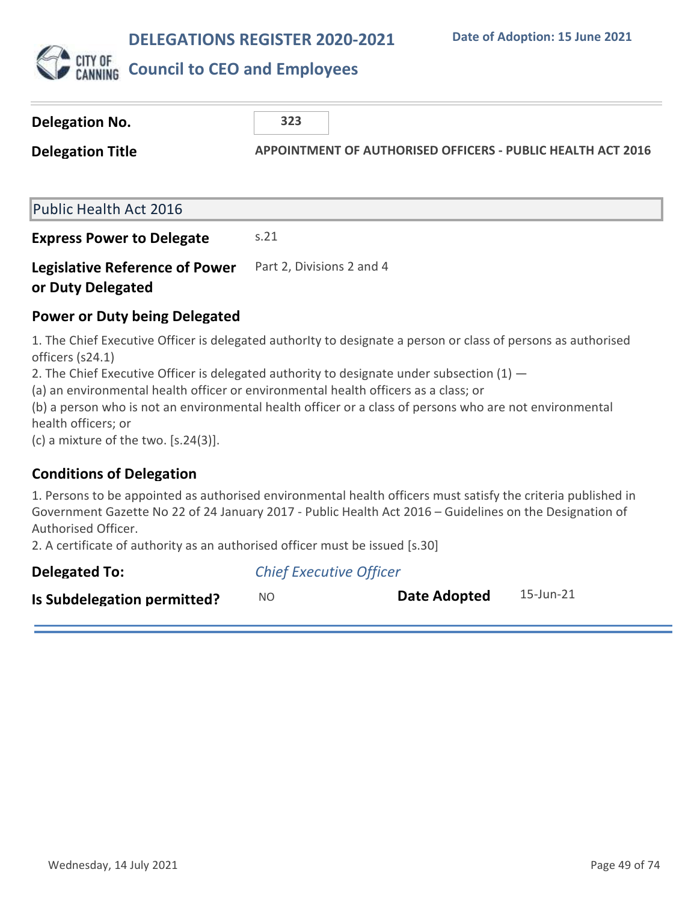

| <b>Delegation No.</b>                                                                                                                                                                                                    | 323                                                                                                                                                                                                                                                                                                                                                                                                            |
|--------------------------------------------------------------------------------------------------------------------------------------------------------------------------------------------------------------------------|----------------------------------------------------------------------------------------------------------------------------------------------------------------------------------------------------------------------------------------------------------------------------------------------------------------------------------------------------------------------------------------------------------------|
| <b>Delegation Title</b>                                                                                                                                                                                                  | <b>APPOINTMENT OF AUTHORISED OFFICERS - PUBLIC HEALTH ACT 2016</b>                                                                                                                                                                                                                                                                                                                                             |
|                                                                                                                                                                                                                          |                                                                                                                                                                                                                                                                                                                                                                                                                |
| <b>Public Health Act 2016</b>                                                                                                                                                                                            |                                                                                                                                                                                                                                                                                                                                                                                                                |
| <b>Express Power to Delegate</b>                                                                                                                                                                                         | s.21                                                                                                                                                                                                                                                                                                                                                                                                           |
| <b>Legislative Reference of Power</b><br>or Duty Delegated                                                                                                                                                               | Part 2, Divisions 2 and 4                                                                                                                                                                                                                                                                                                                                                                                      |
| <b>Power or Duty being Delegated</b>                                                                                                                                                                                     |                                                                                                                                                                                                                                                                                                                                                                                                                |
| officers (s24.1)<br>health officers; or<br>(c) a mixture of the two. $[s.24(3)]$ .                                                                                                                                       | 1. The Chief Executive Officer is delegated authority to designate a person or class of persons as authorised<br>2. The Chief Executive Officer is delegated authority to designate under subsection $(1)$ –<br>(a) an environmental health officer or environmental health officers as a class; or<br>(b) a person who is not an environmental health officer or a class of persons who are not environmental |
| <b>Conditions of Delegation</b>                                                                                                                                                                                          |                                                                                                                                                                                                                                                                                                                                                                                                                |
| 1. Persons to be appointed as authorised environmental health officers must satisfy the criteria published in<br>Government Gazette No 22 of 24 January 2017 - Public Health Act 2016 - Guidelines on the Designation of |                                                                                                                                                                                                                                                                                                                                                                                                                |

Authorised Officer.

2. A certificate of authority as an authorised officer must be issued [s.30]

| Delegated To:               | <b>Chief Executive Officer</b> |              |           |
|-----------------------------|--------------------------------|--------------|-----------|
| Is Subdelegation permitted? | NO.                            | Date Adopted | 15-Jun-21 |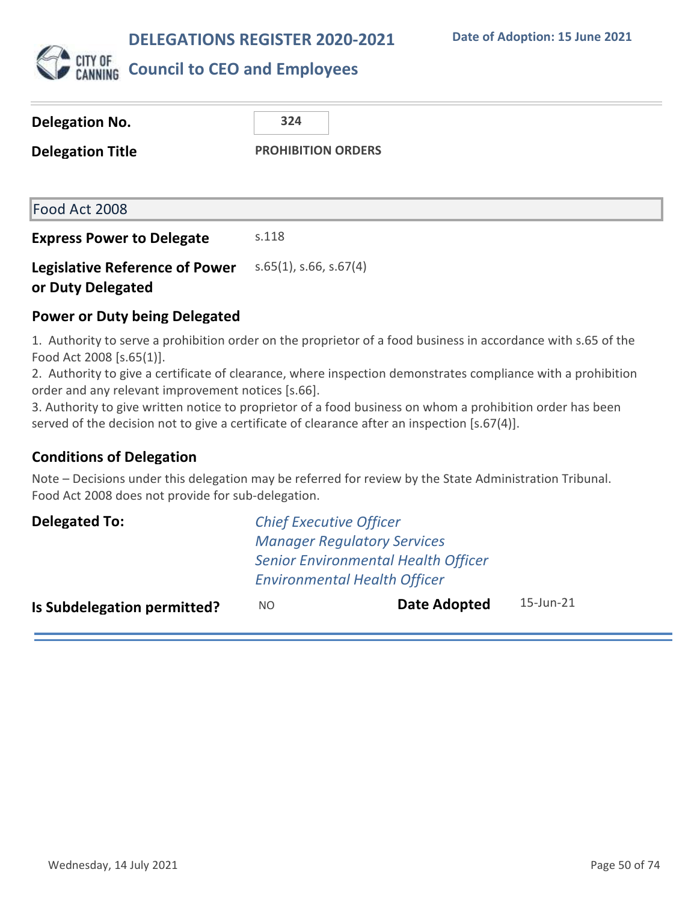

| Delegation No.                                             | 324                       |
|------------------------------------------------------------|---------------------------|
| <b>Delegation Title</b>                                    | <b>PROHIBITION ORDERS</b> |
|                                                            |                           |
| Food Act 2008                                              |                           |
| <b>Express Power to Delegate</b>                           | s.118                     |
| <b>Legislative Reference of Power</b><br>or Duty Delegated | $s.65(1)$ , s.66, s.67(4) |

### **Power or Duty being Delegated**

1. Authority to serve a prohibition order on the proprietor of a food business in accordance with s.65 of the Food Act 2008 [s.65(1)].

2. Authority to give a certificate of clearance, where inspection demonstrates compliance with a prohibition order and any relevant improvement notices [s.66].

3. Authority to give written notice to proprietor of a food business on whom a prohibition order has been served of the decision not to give a certificate of clearance after an inspection [s.67(4)].

### **Conditions of Delegation**

Note – Decisions under this delegation may be referred for review by the State Administration Tribunal. Food Act 2008 does not provide for sub-delegation.

| Delegated To:                      | <b>Chief Executive Officer</b>             |                                     |              |  |
|------------------------------------|--------------------------------------------|-------------------------------------|--------------|--|
|                                    | <b>Manager Regulatory Services</b>         |                                     |              |  |
|                                    | <b>Senior Environmental Health Officer</b> |                                     |              |  |
|                                    |                                            | <b>Environmental Health Officer</b> |              |  |
| <b>Is Subdelegation permitted?</b> | NO.                                        | <b>Date Adopted</b>                 | $15$ -Jun-21 |  |
|                                    |                                            |                                     |              |  |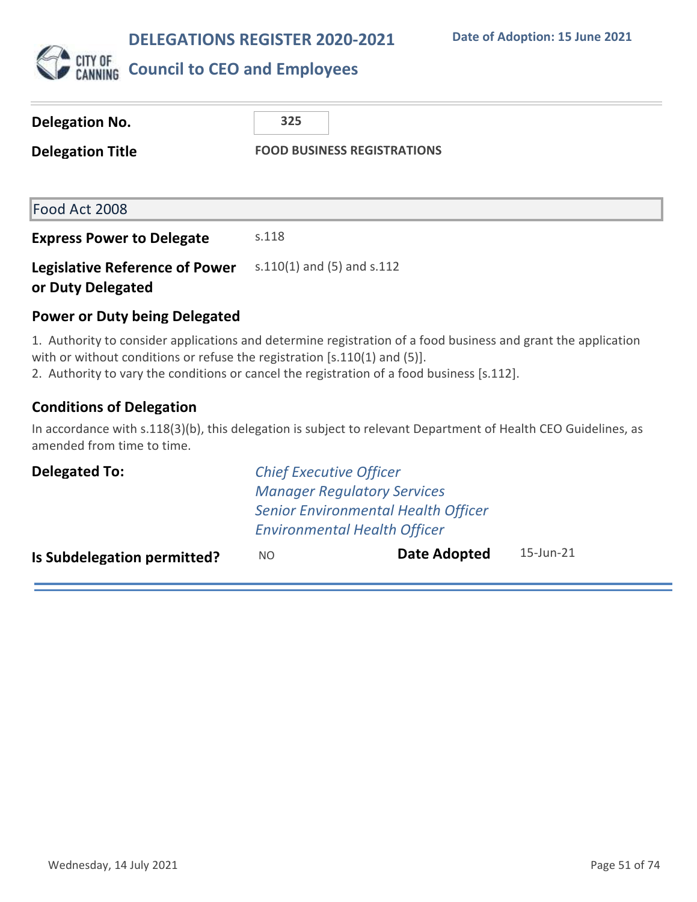

### **Delegation No. 325 Delegation Title FOOD BUSINESS REGISTRATIONS** Food Act 2008 **Express Power to Delegate** s.118 **Legislative Reference of Power or Duty Delegated** s.110(1) and (5) and s.112 **Power or Duty being Delegated**

1. Authority to consider applications and determine registration of a food business and grant the application with or without conditions or refuse the registration [s.110(1) and (5)].

2. Authority to vary the conditions or cancel the registration of a food business [s.112].

### **Conditions of Delegation**

In accordance with s.118(3)(b), this delegation is subject to relevant Department of Health CEO Guidelines, as amended from time to time.

| <b>Delegated To:</b>        | <b>Chief Executive Officer</b>             |                                     |              |
|-----------------------------|--------------------------------------------|-------------------------------------|--------------|
|                             |                                            | <b>Manager Regulatory Services</b>  |              |
|                             | <b>Senior Environmental Health Officer</b> |                                     |              |
|                             |                                            | <b>Environmental Health Officer</b> |              |
| Is Subdelegation permitted? | NO.                                        | Date Adopted                        | $15$ -Jun-21 |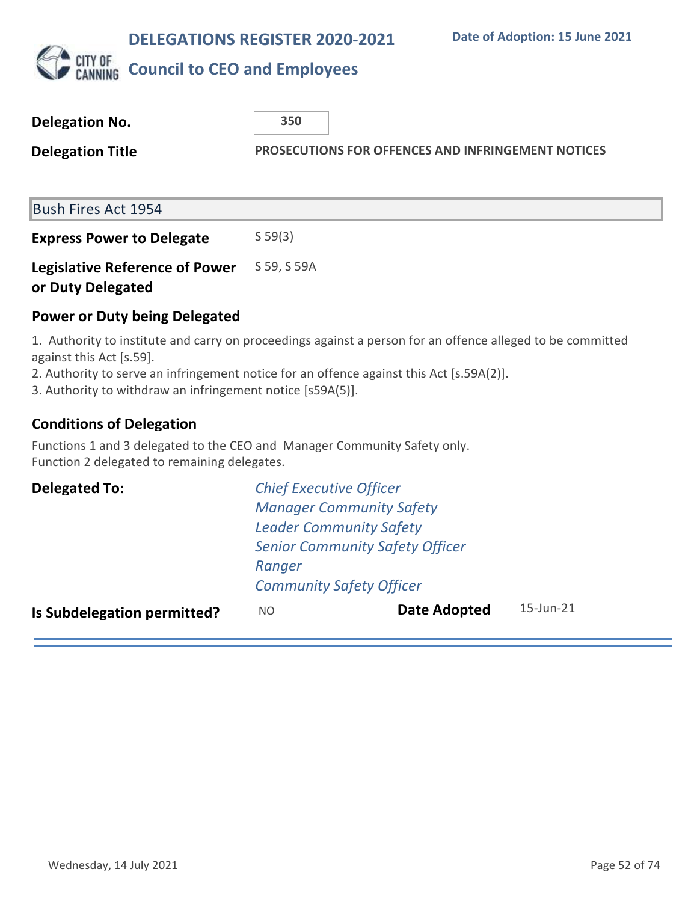

| <b>Delegation No.</b>                                      | 350         |                                                           |
|------------------------------------------------------------|-------------|-----------------------------------------------------------|
| <b>Delegation Title</b>                                    |             | <b>PROSECUTIONS FOR OFFENCES AND INFRINGEMENT NOTICES</b> |
| <b>Bush Fires Act 1954</b>                                 |             |                                                           |
| <b>Express Power to Delegate</b>                           | S 59(3)     |                                                           |
| <b>Legislative Reference of Power</b><br>or Duty Delegated | S 59, S 59A |                                                           |
| <b>Power or Duty being Delegated</b>                       |             |                                                           |

1. Authority to institute and carry on proceedings against a person for an offence alleged to be committed against this Act [s.59].

2. Authority to serve an infringement notice for an offence against this Act [s.59A(2)].

3. Authority to withdraw an infringement notice [s59A(5)].

### **Conditions of Delegation**

Functions 1 and 3 delegated to the CEO and Manager Community Safety only. Function 2 delegated to remaining delegates.

| <b>Delegated To:</b>               | <b>Chief Executive Officer</b>         |                     |                 |  |
|------------------------------------|----------------------------------------|---------------------|-----------------|--|
|                                    | <b>Manager Community Safety</b>        |                     |                 |  |
|                                    | <b>Leader Community Safety</b>         |                     |                 |  |
|                                    | <b>Senior Community Safety Officer</b> |                     |                 |  |
|                                    | Ranger                                 |                     |                 |  |
|                                    | <b>Community Safety Officer</b>        |                     |                 |  |
| <b>Is Subdelegation permitted?</b> | NO.                                    | <b>Date Adopted</b> | $15$ -Jun- $21$ |  |
|                                    |                                        |                     |                 |  |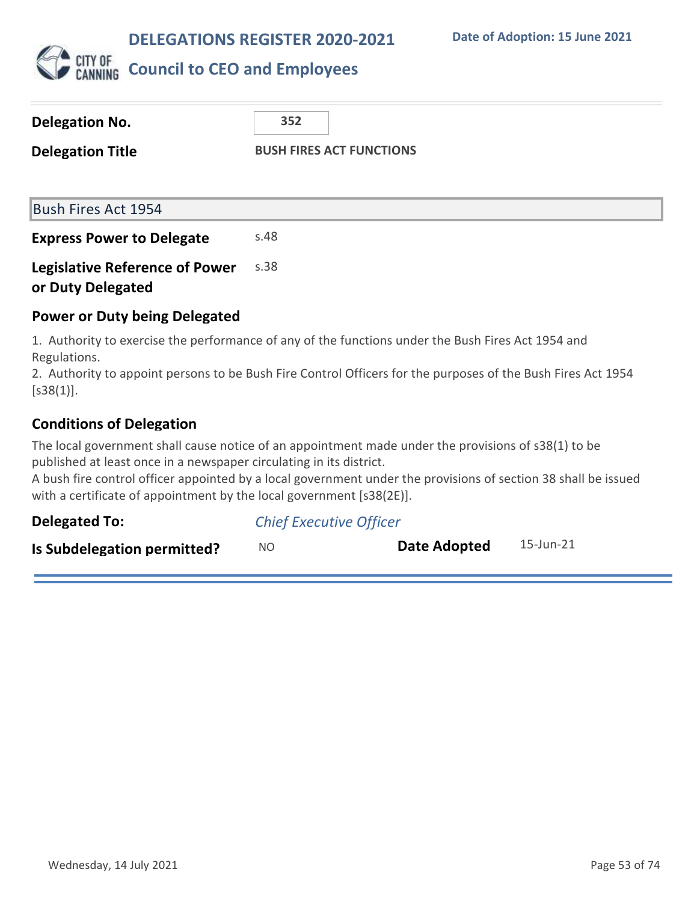

| Delegation No.                                             | 352                                                                                                |
|------------------------------------------------------------|----------------------------------------------------------------------------------------------------|
| <b>Delegation Title</b>                                    | <b>BUSH FIRES ACT FUNCTIONS</b>                                                                    |
|                                                            |                                                                                                    |
| <b>Bush Fires Act 1954</b>                                 |                                                                                                    |
| <b>Express Power to Delegate</b>                           | s.48                                                                                               |
| <b>Legislative Reference of Power</b><br>or Duty Delegated | s.38                                                                                               |
| <b>Power or Duty being Delegated</b>                       |                                                                                                    |
| Regulations.                                               | 1. Authority to exercise the performance of any of the functions under the Bush Fires Act 1954 and |

2. Authority to appoint persons to be Bush Fire Control Officers for the purposes of the Bush Fires Act 1954  $[$ s38(1)].

### **Conditions of Delegation**

The local government shall cause notice of an appointment made under the provisions of s38(1) to be published at least once in a newspaper circulating in its district.

A bush fire control officer appointed by a local government under the provisions of section 38 shall be issued with a certificate of appointment by the local government [s38(2E)].

| <b>Delegated To:</b>        | <b>Chief Executive Officer</b> |              |           |
|-----------------------------|--------------------------------|--------------|-----------|
| Is Subdelegation permitted? | NΟ                             | Date Adopted | 15-Jun-21 |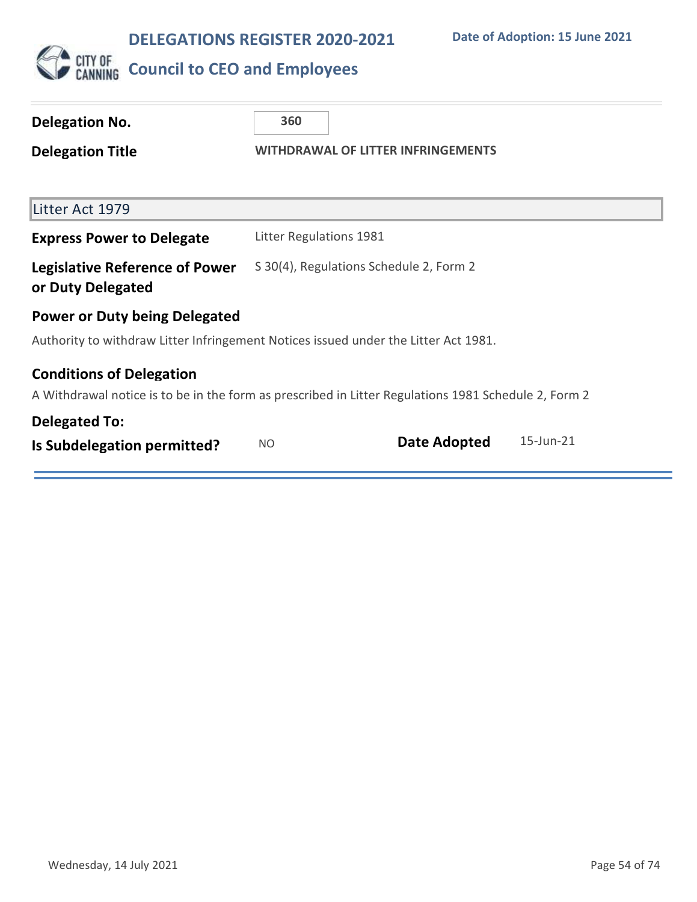

# **Delegation No. 360**

**Delegation Title WITHDRAWAL OF LITTER INFRINGEMENTS**

| Litter Act 1979                                                                                                                         |                                         |                     |           |
|-----------------------------------------------------------------------------------------------------------------------------------------|-----------------------------------------|---------------------|-----------|
| <b>Express Power to Delegate</b>                                                                                                        | Litter Regulations 1981                 |                     |           |
| <b>Legislative Reference of Power</b><br>or Duty Delegated                                                                              | S 30(4), Regulations Schedule 2, Form 2 |                     |           |
| <b>Power or Duty being Delegated</b>                                                                                                    |                                         |                     |           |
| Authority to withdraw Litter Infringement Notices issued under the Litter Act 1981.                                                     |                                         |                     |           |
| <b>Conditions of Delegation</b><br>A Withdrawal notice is to be in the form as prescribed in Litter Regulations 1981 Schedule 2, Form 2 |                                         |                     |           |
| <b>Delegated To:</b>                                                                                                                    |                                         |                     |           |
| Is Subdelegation permitted?                                                                                                             | NO.                                     | <b>Date Adopted</b> | 15-Jun-21 |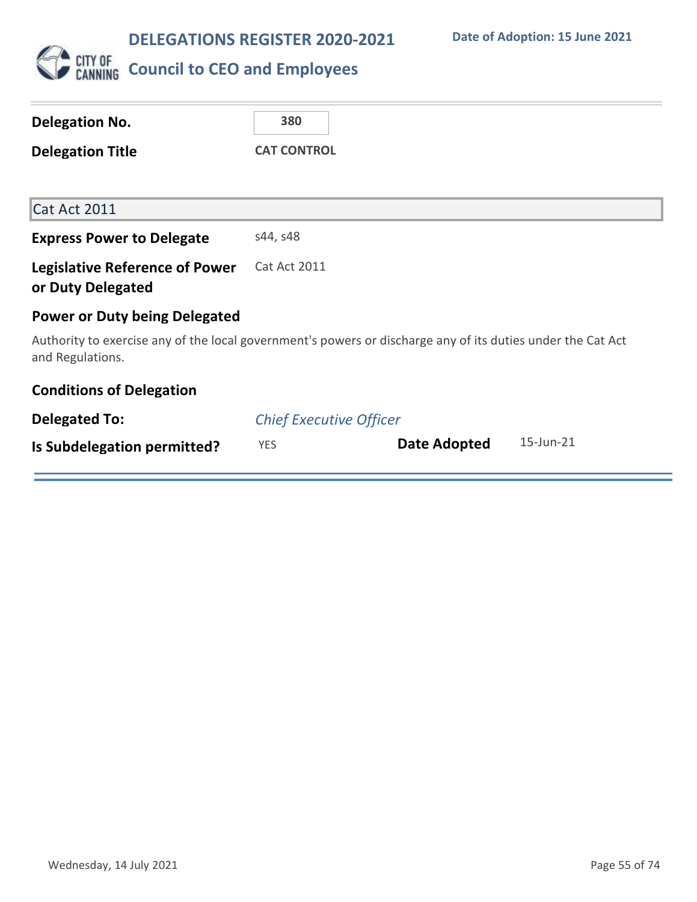

| Delegation No.                                             | 380                                                                                                         |
|------------------------------------------------------------|-------------------------------------------------------------------------------------------------------------|
| <b>Delegation Title</b>                                    | <b>CAT CONTROL</b>                                                                                          |
|                                                            |                                                                                                             |
| Cat Act 2011                                               |                                                                                                             |
| <b>Express Power to Delegate</b>                           | s44, s48                                                                                                    |
| <b>Legislative Reference of Power</b><br>or Duty Delegated | <b>Cat Act 2011</b>                                                                                         |
| <b>Power or Duty being Delegated</b>                       |                                                                                                             |
| and Regulations.                                           | Authority to exercise any of the local government's powers or discharge any of its duties under the Cat Act |
| <b>Conditions of Delegation</b>                            |                                                                                                             |
| <b>Delegated To:</b>                                       | <b>Chief Executive Officer</b>                                                                              |
| Is Subdelegation permitted?                                | 15-Jun-21<br>Date Adopted<br><b>YES</b>                                                                     |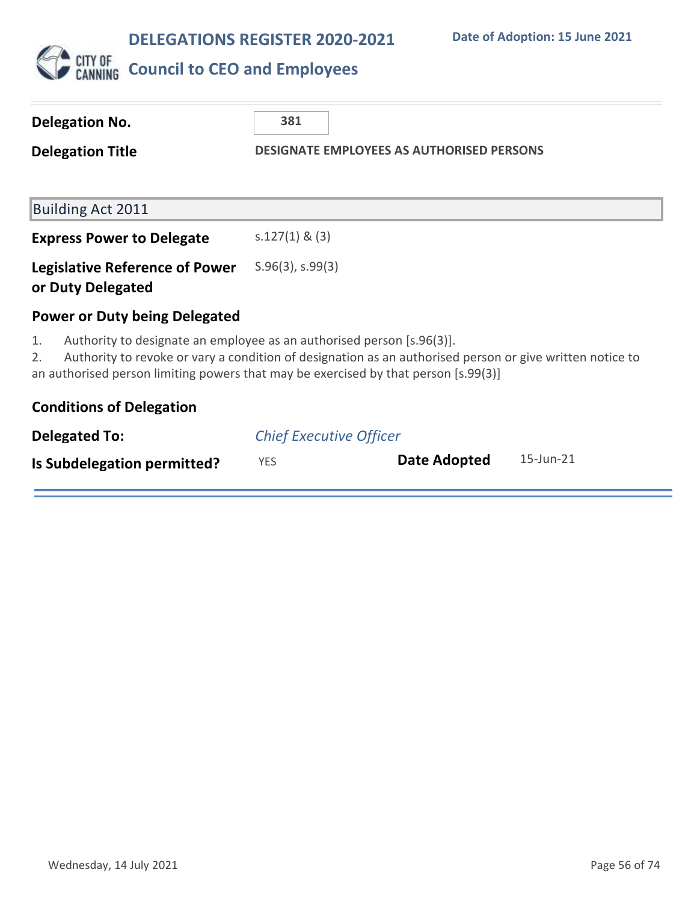

|                                                                                                                                                                                                                                                                                      | <b>Delegation No.</b>                                      | 381                                              |  |              |  |           |
|--------------------------------------------------------------------------------------------------------------------------------------------------------------------------------------------------------------------------------------------------------------------------------------|------------------------------------------------------------|--------------------------------------------------|--|--------------|--|-----------|
|                                                                                                                                                                                                                                                                                      | <b>Delegation Title</b>                                    | <b>DESIGNATE EMPLOYEES AS AUTHORISED PERSONS</b> |  |              |  |           |
|                                                                                                                                                                                                                                                                                      |                                                            |                                                  |  |              |  |           |
|                                                                                                                                                                                                                                                                                      | <b>Building Act 2011</b>                                   |                                                  |  |              |  |           |
|                                                                                                                                                                                                                                                                                      | <b>Express Power to Delegate</b>                           | $s.127(1)$ & (3)                                 |  |              |  |           |
|                                                                                                                                                                                                                                                                                      | <b>Legislative Reference of Power</b><br>or Duty Delegated | $S.96(3)$ , s.99 $(3)$                           |  |              |  |           |
|                                                                                                                                                                                                                                                                                      | <b>Power or Duty being Delegated</b>                       |                                                  |  |              |  |           |
| Authority to designate an employee as an authorised person [s.96(3)].<br>1.<br>Authority to revoke or vary a condition of designation as an authorised person or give written notice to<br>2.<br>an authorised person limiting powers that may be exercised by that person [s.99(3)] |                                                            |                                                  |  |              |  |           |
|                                                                                                                                                                                                                                                                                      | <b>Conditions of Delegation</b>                            |                                                  |  |              |  |           |
|                                                                                                                                                                                                                                                                                      | <b>Delegated To:</b>                                       | <b>Chief Executive Officer</b>                   |  |              |  |           |
|                                                                                                                                                                                                                                                                                      | Is Subdelegation permitted?                                | <b>YES</b>                                       |  | Date Adopted |  | 15-Jun-21 |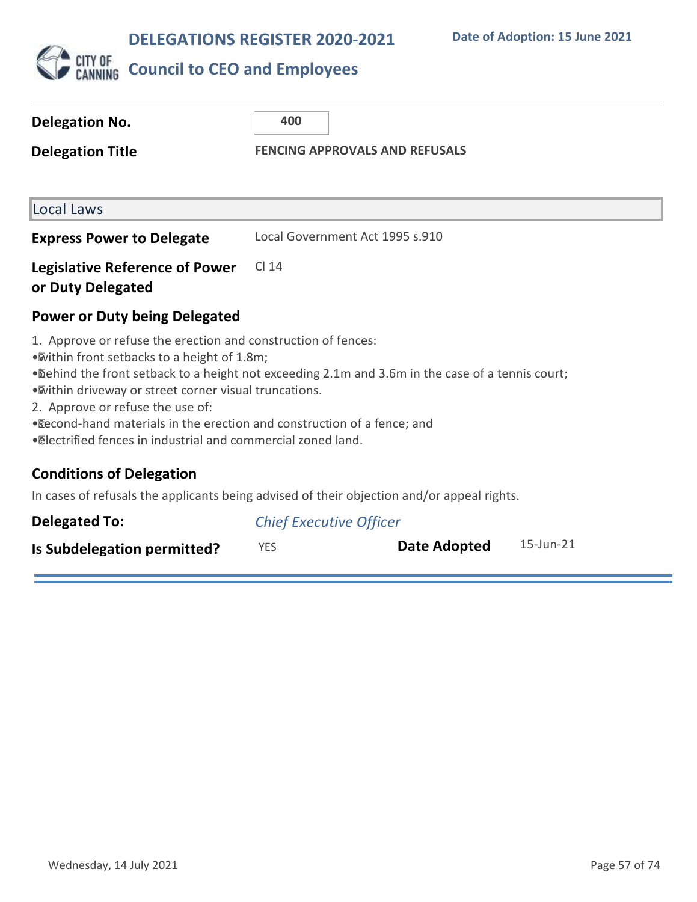

### **CITY OF COUNCIL TO CEO and Employees**

| <b>Delegation No.</b><br><b>Delegation Title</b>                                                                                                                                                                                                                                                                                                                                                                                                              | 400<br><b>FENCING APPROVALS AND REFUSALS</b> |  |
|---------------------------------------------------------------------------------------------------------------------------------------------------------------------------------------------------------------------------------------------------------------------------------------------------------------------------------------------------------------------------------------------------------------------------------------------------------------|----------------------------------------------|--|
| Local Laws                                                                                                                                                                                                                                                                                                                                                                                                                                                    |                                              |  |
| <b>Express Power to Delegate</b>                                                                                                                                                                                                                                                                                                                                                                                                                              | Local Government Act 1995 s.910              |  |
| <b>Legislative Reference of Power</b><br>or Duty Delegated                                                                                                                                                                                                                                                                                                                                                                                                    | CI 14                                        |  |
| <b>Power or Duty being Delegated</b>                                                                                                                                                                                                                                                                                                                                                                                                                          |                                              |  |
| 1. Approve or refuse the erection and construction of fences:<br>. Within front setbacks to a height of 1.8m;<br>• Dehind the front setback to a height not exceeding 2.1m and 3.6m in the case of a tennis court;<br>. Within driveway or street corner visual truncations.<br>2. Approve or refuse the use of:<br>. Recond-hand materials in the erection and construction of a fence; and<br>· @lectrified fences in industrial and commercial zoned land. |                                              |  |

### **Conditions of Delegation**

In cases of refusals the applicants being advised of their objection and/or appeal rights.

| <b>Delegated To:</b>        | <b>Chief Executive Officer</b> |              |           |  |
|-----------------------------|--------------------------------|--------------|-----------|--|
| Is Subdelegation permitted? | <b>YES</b>                     | Date Adopted | 15-Jun-21 |  |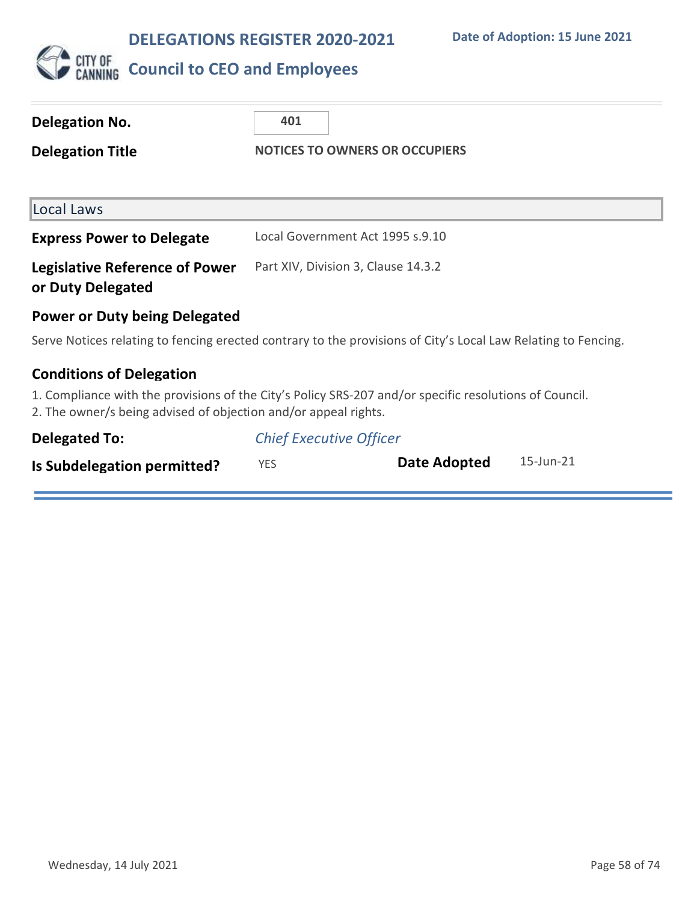

# **CITY OF COUNCIL TO CEO and Employees**

| Delegation No.                                                  | 401                                                                                                           |
|-----------------------------------------------------------------|---------------------------------------------------------------------------------------------------------------|
| <b>Delegation Title</b>                                         | <b>NOTICES TO OWNERS OR OCCUPIERS</b>                                                                         |
|                                                                 |                                                                                                               |
| Local Laws                                                      |                                                                                                               |
| <b>Express Power to Delegate</b>                                | Local Government Act 1995 s.9.10                                                                              |
| <b>Legislative Reference of Power</b><br>or Duty Delegated      | Part XIV, Division 3, Clause 14.3.2                                                                           |
| <b>Power or Duty being Delegated</b>                            |                                                                                                               |
|                                                                 | Serve Notices relating to fencing erected contrary to the provisions of City's Local Law Relating to Fencing. |
| <b>Conditions of Delegation</b>                                 |                                                                                                               |
| 2. The owner/s being advised of objection and/or appeal rights. | 1. Compliance with the provisions of the City's Policy SRS-207 and/or specific resolutions of Council.        |
| Delegated To:                                                   | <b>Chief Executive Officer</b>                                                                                |
| Is Subdelegation permitted?                                     | $15$ -Jun- $21$<br>Date Adopted<br><b>YES</b>                                                                 |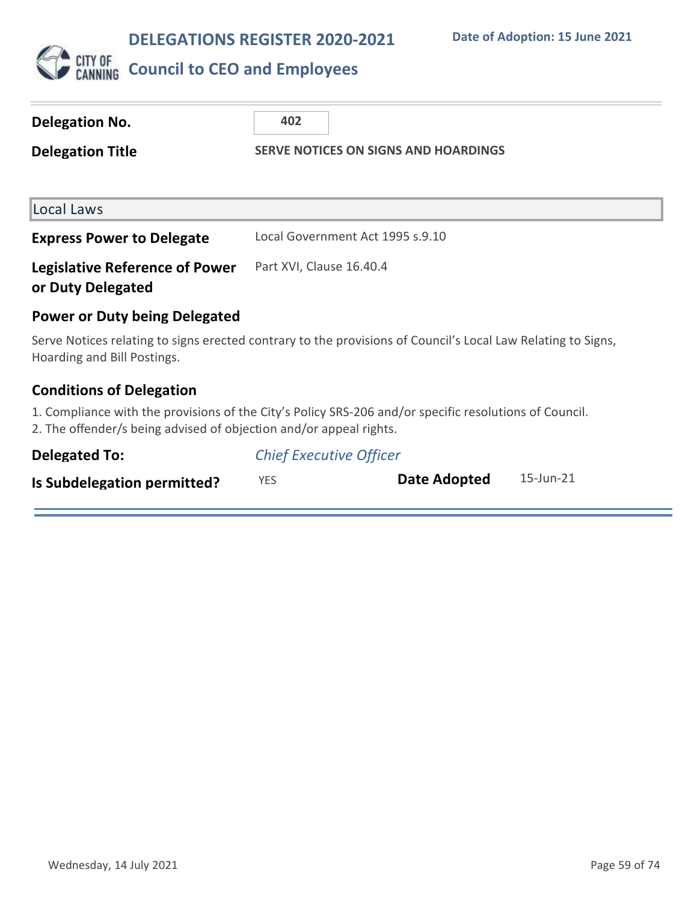

# **CITY OF COUNCIL TO CEO and Employees**

| Delegation No.<br><b>Delegation Title</b>                          | 402<br><b>SERVE NOTICES ON SIGNS AND HOARDINGS</b>                                                           |
|--------------------------------------------------------------------|--------------------------------------------------------------------------------------------------------------|
| Local Laws                                                         |                                                                                                              |
| <b>Express Power to Delegate</b>                                   | Local Government Act 1995 s.9.10                                                                             |
| <b>Legislative Reference of Power</b><br>or Duty Delegated         | Part XVI, Clause 16.40.4                                                                                     |
| <b>Power or Duty being Delegated</b>                               |                                                                                                              |
| Hoarding and Bill Postings.                                        | Serve Notices relating to signs erected contrary to the provisions of Council's Local Law Relating to Signs, |
| <b>Conditions of Delegation</b>                                    |                                                                                                              |
| 2. The offender/s being advised of objection and/or appeal rights. | 1. Compliance with the provisions of the City's Policy SRS-206 and/or specific resolutions of Council.       |
| <b>Delegated To:</b>                                               | <b>Chief Executive Officer</b>                                                                               |

| Is Subdelegation permitted? |  | Date Adopted | 15-Jun-21 |
|-----------------------------|--|--------------|-----------|
|-----------------------------|--|--------------|-----------|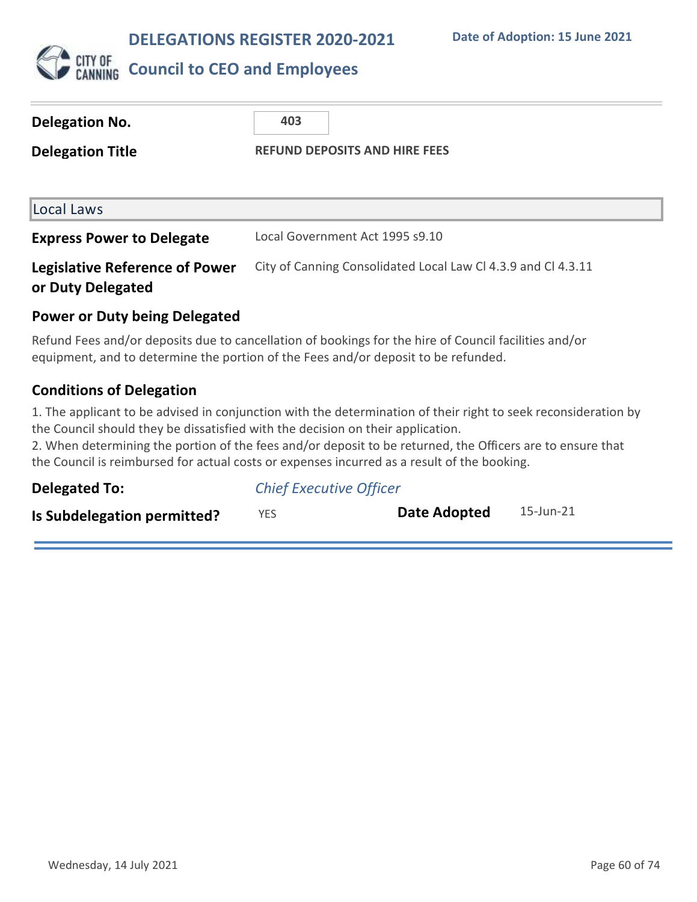

### **CITY OF COUNCIL to CEO and Employees**

| <b>Delegation No.</b>                                      | 403                                                           |
|------------------------------------------------------------|---------------------------------------------------------------|
| <b>Delegation Title</b>                                    | <b>REFUND DEPOSITS AND HIRE FEES</b>                          |
|                                                            |                                                               |
| Local Laws                                                 |                                                               |
| <b>Express Power to Delegate</b>                           | Local Government Act 1995 s9.10                               |
| <b>Legislative Reference of Power</b><br>or Duty Delegated | City of Canning Consolidated Local Law CI 4.3.9 and CI 4.3.11 |

### **Power or Duty being Delegated**

Refund Fees and/or deposits due to cancellation of bookings for the hire of Council facilities and/or equipment, and to determine the portion of the Fees and/or deposit to be refunded.

### **Conditions of Delegation**

1. The applicant to be advised in conjunction with the determination of their right to seek reconsideration by the Council should they be dissatisfied with the decision on their application.

2. When determining the portion of the fees and/or deposit to be returned, the Officers are to ensure that the Council is reimbursed for actual costs or expenses incurred as a result of the booking.

| <b>Delegated To:</b>        | <b>Chief Executive Officer</b> |              |           |
|-----------------------------|--------------------------------|--------------|-----------|
| Is Subdelegation permitted? | <b>YES</b>                     | Date Adopted | 15-Jun-21 |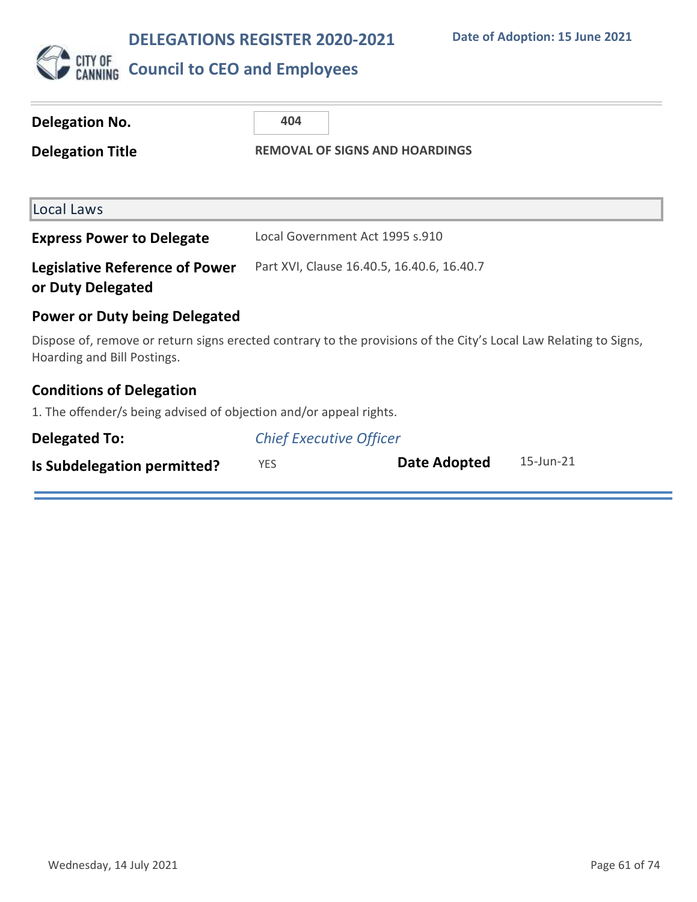

# CUTY OF COUNCIL **to CEO** and Employees

| <b>Delegation No.</b>                                                                                                                           | 404                                   |                                            |                 |
|-------------------------------------------------------------------------------------------------------------------------------------------------|---------------------------------------|--------------------------------------------|-----------------|
| <b>Delegation Title</b>                                                                                                                         | <b>REMOVAL OF SIGNS AND HOARDINGS</b> |                                            |                 |
| Local Laws                                                                                                                                      |                                       |                                            |                 |
| <b>Express Power to Delegate</b>                                                                                                                |                                       | Local Government Act 1995 s.910            |                 |
| <b>Legislative Reference of Power</b><br>or Duty Delegated                                                                                      |                                       | Part XVI, Clause 16.40.5, 16.40.6, 16.40.7 |                 |
| <b>Power or Duty being Delegated</b>                                                                                                            |                                       |                                            |                 |
| Dispose of, remove or return signs erected contrary to the provisions of the City's Local Law Relating to Signs,<br>Hoarding and Bill Postings. |                                       |                                            |                 |
| <b>Conditions of Delegation</b>                                                                                                                 |                                       |                                            |                 |
| 1. The offender/s being advised of objection and/or appeal rights.                                                                              |                                       |                                            |                 |
| <b>Delegated To:</b>                                                                                                                            | <b>Chief Executive Officer</b>        |                                            |                 |
| Is Subdelegation permitted?                                                                                                                     | <b>YES</b>                            | Date Adopted                               | $15$ -Jun- $21$ |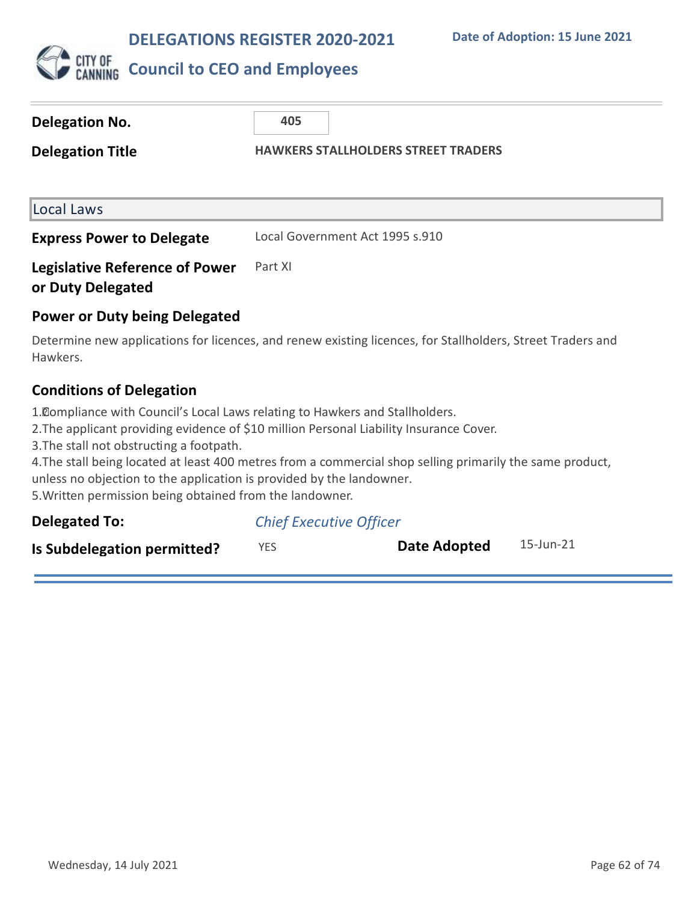

| Delegation No.                                             | 405                                        |
|------------------------------------------------------------|--------------------------------------------|
| <b>Delegation Title</b>                                    | <b>HAWKERS STALLHOLDERS STREET TRADERS</b> |
| Local Laws                                                 |                                            |
| <b>Express Power to Delegate</b>                           | Local Government Act 1995 s.910            |
| <b>Legislative Reference of Power</b><br>or Duty Delegated | Part XI                                    |
| <b>Power or Duty being Delegated</b>                       |                                            |

Determine new applications for licences, and renew existing licences, for Stallholders, Street Traders and Hawkers.

### **Conditions of Delegation**

1. Compliance with Council's Local Laws relating to Hawkers and Stallholders.

2. The applicant providing evidence of \$10 million Personal Liability Insurance Cover.

3. The stall not obstructing a footpath.

4. The stall being located at least 400 metres from a commercial shop selling primarily the same product, unless no objection to the application is provided by the landowner.

5. Written permission being obtained from the landowner.

| <b>Delegated To:</b>        | <b>Chief Executive Officer</b> |              |           |
|-----------------------------|--------------------------------|--------------|-----------|
| Is Subdelegation permitted? | YES.                           | Date Adopted | 15-Jun-21 |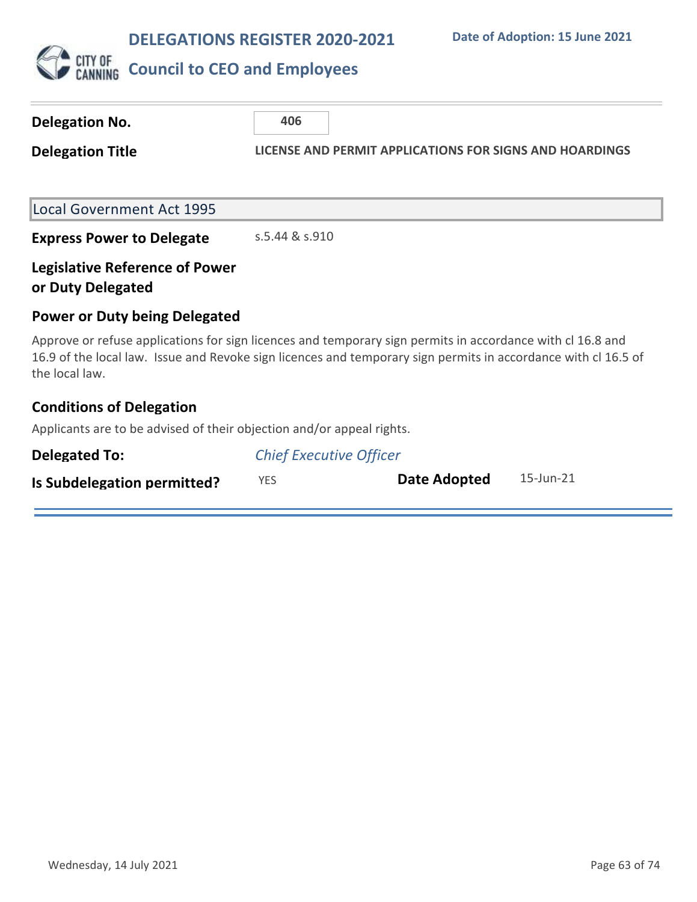

| <b>Delegation No.</b>                                                                                                                                                                                                                          | 406                            |                                                         |                 |
|------------------------------------------------------------------------------------------------------------------------------------------------------------------------------------------------------------------------------------------------|--------------------------------|---------------------------------------------------------|-----------------|
| <b>Delegation Title</b>                                                                                                                                                                                                                        |                                | LICENSE AND PERMIT APPLICATIONS FOR SIGNS AND HOARDINGS |                 |
|                                                                                                                                                                                                                                                |                                |                                                         |                 |
| Local Government Act 1995                                                                                                                                                                                                                      |                                |                                                         |                 |
| <b>Express Power to Delegate</b>                                                                                                                                                                                                               | s.5.44 & s.910                 |                                                         |                 |
| <b>Legislative Reference of Power</b><br>or Duty Delegated                                                                                                                                                                                     |                                |                                                         |                 |
| <b>Power or Duty being Delegated</b>                                                                                                                                                                                                           |                                |                                                         |                 |
| Approve or refuse applications for sign licences and temporary sign permits in accordance with cl 16.8 and<br>16.9 of the local law. Issue and Revoke sign licences and temporary sign permits in accordance with cl 16.5 of<br>the local law. |                                |                                                         |                 |
| <b>Conditions of Delegation</b>                                                                                                                                                                                                                |                                |                                                         |                 |
| Applicants are to be advised of their objection and/or appeal rights.                                                                                                                                                                          |                                |                                                         |                 |
| <b>Delegated To:</b>                                                                                                                                                                                                                           | <b>Chief Executive Officer</b> |                                                         |                 |
| Is Subdelegation permitted?                                                                                                                                                                                                                    | <b>YES</b>                     | <b>Date Adopted</b>                                     | $15$ -Jun- $21$ |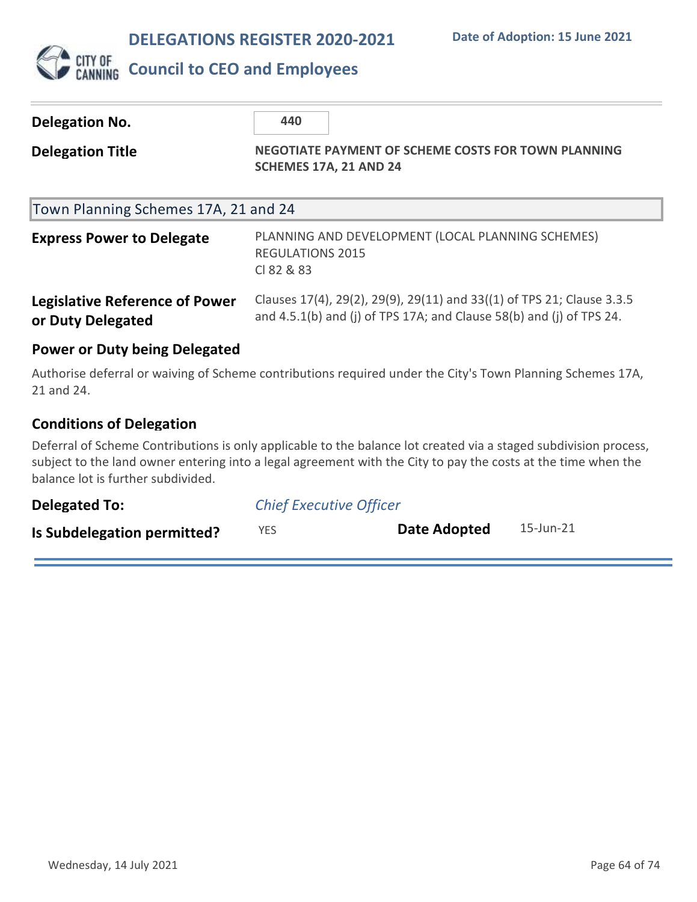

### **Delegation No.** 440 **Delegation Title NEGOTIATE PAYMENT OF SCHEME COSTS FOR TOWN PLANNING SCHEMES 17A, 21 AND 24** Town Planning Schemes 17A, 21 and 24 **Express Power to Delegate** PLANNING AND DEVELOPMENT (LOCAL PLANNING SCHEMES) REGULATIONS 2015 Cl 82 & 83 **Legislative Reference of Power or Duty Delegated** Clauses 17(4), 29(2), 29(9), 29(11) and 33((1) of TPS 21; Clause 3.3.5 and 4.5.1(b) and (j) of TPS 17A; and Clause 58(b) and (j) of TPS 24. **Power or Duty being Delegated** Authorise deferral or waiving of Scheme contributions required under the City's Town Planning Schemes 17A, 21 and 24.

### **Conditions of Delegation**

Deferral of Scheme Contributions is only applicable to the balance lot created via a staged subdivision process, subject to the land owner entering into a legal agreement with the City to pay the costs at the time when the balance lot is further subdivided.

| <b>Delegated To:</b>        | <b>Chief Executive Officer</b> |              |           |
|-----------------------------|--------------------------------|--------------|-----------|
| Is Subdelegation permitted? | <b>YES</b>                     | Date Adopted | 15-Jun-21 |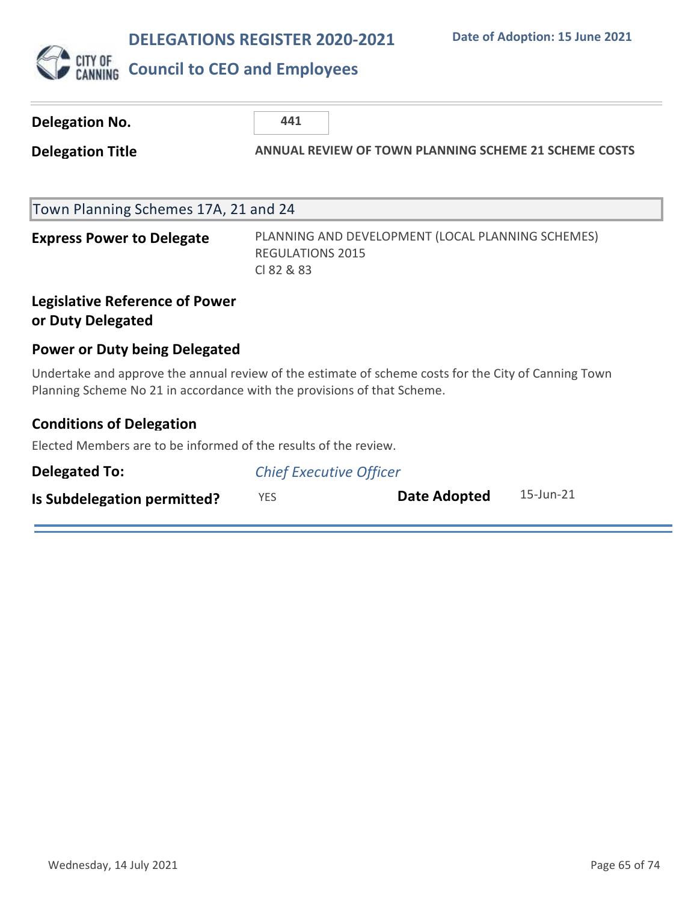

| <b>Delegation No.</b>                                                                                                                                                           | 441                                                          |                                                   |           |
|---------------------------------------------------------------------------------------------------------------------------------------------------------------------------------|--------------------------------------------------------------|---------------------------------------------------|-----------|
| <b>Delegation Title</b>                                                                                                                                                         | <b>ANNUAL REVIEW OF TOWN PLANNING SCHEME 21 SCHEME COSTS</b> |                                                   |           |
| Town Planning Schemes 17A, 21 and 24                                                                                                                                            |                                                              |                                                   |           |
| <b>Express Power to Delegate</b>                                                                                                                                                | <b>REGULATIONS 2015</b><br>CI 82 & 83                        | PLANNING AND DEVELOPMENT (LOCAL PLANNING SCHEMES) |           |
| <b>Legislative Reference of Power</b><br>or Duty Delegated                                                                                                                      |                                                              |                                                   |           |
| <b>Power or Duty being Delegated</b>                                                                                                                                            |                                                              |                                                   |           |
| Undertake and approve the annual review of the estimate of scheme costs for the City of Canning Town<br>Planning Scheme No 21 in accordance with the provisions of that Scheme. |                                                              |                                                   |           |
| <b>Conditions of Delegation</b>                                                                                                                                                 |                                                              |                                                   |           |
| Elected Members are to be informed of the results of the review.                                                                                                                |                                                              |                                                   |           |
| <b>Delegated To:</b>                                                                                                                                                            |                                                              | <b>Chief Executive Officer</b>                    |           |
| Is Subdelegation permitted?                                                                                                                                                     | <b>YES</b>                                                   | Date Adopted                                      | 15-Jun-21 |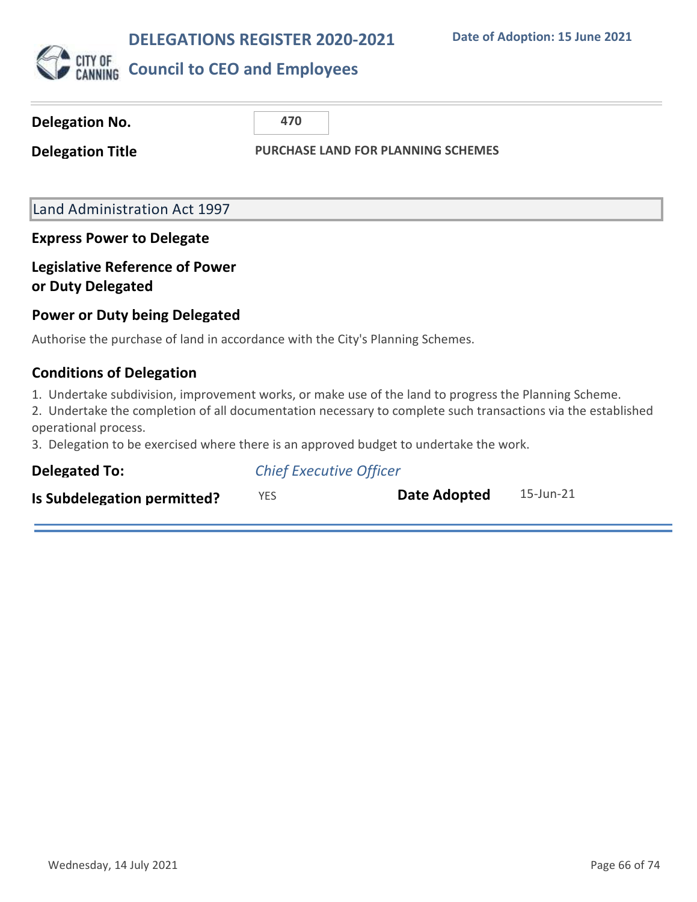

| Delegation No.                                                                                                                                                                                                                                                                                                                          | 470                            |                                           |           |
|-----------------------------------------------------------------------------------------------------------------------------------------------------------------------------------------------------------------------------------------------------------------------------------------------------------------------------------------|--------------------------------|-------------------------------------------|-----------|
| <b>Delegation Title</b>                                                                                                                                                                                                                                                                                                                 |                                | <b>PURCHASE LAND FOR PLANNING SCHEMES</b> |           |
| Land Administration Act 1997                                                                                                                                                                                                                                                                                                            |                                |                                           |           |
| <b>Express Power to Delegate</b>                                                                                                                                                                                                                                                                                                        |                                |                                           |           |
| <b>Legislative Reference of Power</b><br>or Duty Delegated                                                                                                                                                                                                                                                                              |                                |                                           |           |
| <b>Power or Duty being Delegated</b>                                                                                                                                                                                                                                                                                                    |                                |                                           |           |
| Authorise the purchase of land in accordance with the City's Planning Schemes.                                                                                                                                                                                                                                                          |                                |                                           |           |
| <b>Conditions of Delegation</b>                                                                                                                                                                                                                                                                                                         |                                |                                           |           |
| 1. Undertake subdivision, improvement works, or make use of the land to progress the Planning Scheme.<br>2. Undertake the completion of all documentation necessary to complete such transactions via the established<br>operational process.<br>3. Delegation to be exercised where there is an approved budget to undertake the work. |                                |                                           |           |
| <b>Delegated To:</b>                                                                                                                                                                                                                                                                                                                    | <b>Chief Executive Officer</b> |                                           |           |
| Is Subdelegation permitted?                                                                                                                                                                                                                                                                                                             | <b>YES</b>                     | <b>Date Adopted</b>                       | 15-Jun-21 |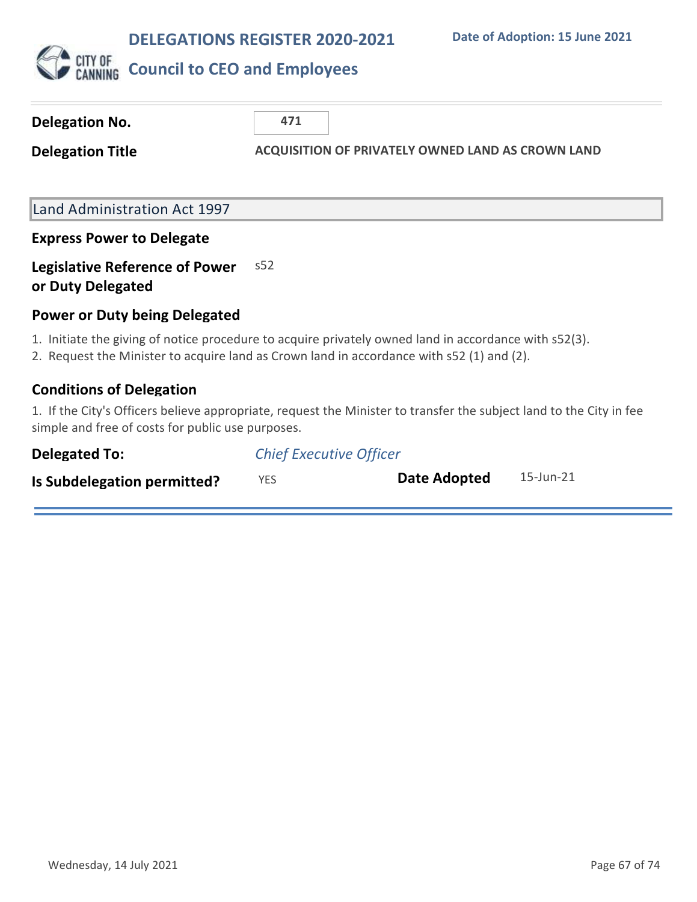

| Delegation No.                                             | 471                                                                                                                                                                                                |
|------------------------------------------------------------|----------------------------------------------------------------------------------------------------------------------------------------------------------------------------------------------------|
| <b>Delegation Title</b>                                    | <b>ACQUISITION OF PRIVATELY OWNED LAND AS CROWN LAND</b>                                                                                                                                           |
|                                                            |                                                                                                                                                                                                    |
| <b>Land Administration Act 1997</b>                        |                                                                                                                                                                                                    |
| <b>Express Power to Delegate</b>                           |                                                                                                                                                                                                    |
| <b>Legislative Reference of Power</b><br>or Duty Delegated | s52                                                                                                                                                                                                |
| <b>Power or Duty being Delegated</b>                       |                                                                                                                                                                                                    |
|                                                            | 1. Initiate the giving of notice procedure to acquire privately owned land in accordance with s52(3).<br>2. Request the Minister to acquire land as Crown land in accordance with s52 (1) and (2). |
| <b>Conditions of Delegation</b>                            |                                                                                                                                                                                                    |
| simple and free of costs for public use purposes.          | 1. If the City's Officers believe appropriate, request the Minister to transfer the subject land to the City in fee                                                                                |
| <b>Delegated To:</b>                                       | <b>Chief Executive Officer</b>                                                                                                                                                                     |
| Is Subdelegation permitted?                                | 15-Jun-21<br>Date Adopted<br><b>YES</b>                                                                                                                                                            |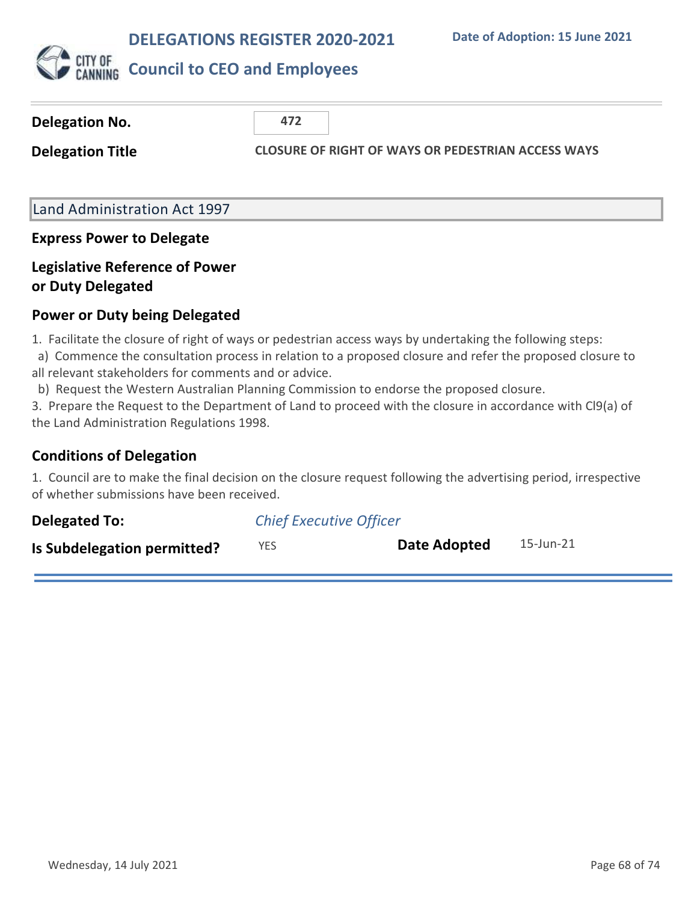

| Delegation No.          | 472                                                       |
|-------------------------|-----------------------------------------------------------|
| <b>Delegation Title</b> | <b>CLOSURE OF RIGHT OF WAYS OR PEDESTRIAN ACCESS WAYS</b> |
|                         |                                                           |

### Land Administration Act 1997

#### **Express Power to Delegate**

### **Legislative Reference of Power or Duty Delegated**

### **Power or Duty being Delegated**

1. Facilitate the closure of right of ways or pedestrian access ways by undertaking the following steps:

 a) Commence the consultation process in relation to a proposed closure and refer the proposed closure to all relevant stakeholders for comments and or advice.

b) Request the Western Australian Planning Commission to endorse the proposed closure.

3. Prepare the Request to the Department of Land to proceed with the closure in accordance with Cl9(a) of the Land Administration Regulations 1998.

### **Conditions of Delegation**

1. Council are to make the final decision on the closure request following the advertising period, irrespective of whether submissions have been received.

| <b>Delegated To:</b>        | <b>Chief Executive Officer</b> |              |           |
|-----------------------------|--------------------------------|--------------|-----------|
| Is Subdelegation permitted? | YES                            | Date Adopted | 15-Jun-21 |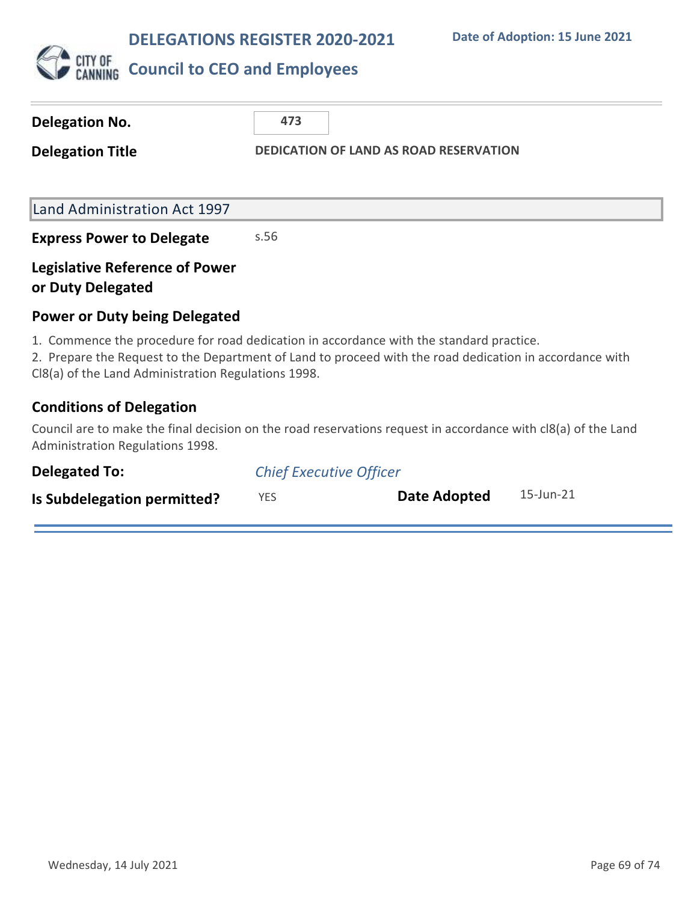

| <b>Delegation No.</b>                                      | 473                                                                                                                                                                                                |
|------------------------------------------------------------|----------------------------------------------------------------------------------------------------------------------------------------------------------------------------------------------------|
| <b>Delegation Title</b>                                    | <b>DEDICATION OF LAND AS ROAD RESERVATION</b>                                                                                                                                                      |
|                                                            |                                                                                                                                                                                                    |
| Land Administration Act 1997                               |                                                                                                                                                                                                    |
| <b>Express Power to Delegate</b>                           | s.56                                                                                                                                                                                               |
| <b>Legislative Reference of Power</b><br>or Duty Delegated |                                                                                                                                                                                                    |
| <b>Power or Duty being Delegated</b>                       |                                                                                                                                                                                                    |
| CI8(a) of the Land Administration Regulations 1998.        | 1. Commence the procedure for road dedication in accordance with the standard practice.<br>2. Prepare the Request to the Department of Land to proceed with the road dedication in accordance with |
| <b>Conditions of Delegation</b>                            |                                                                                                                                                                                                    |
| Administration Regulations 1998.                           | Council are to make the final decision on the road reservations request in accordance with cl8(a) of the Land                                                                                      |

| Delegated To:               | <b>Chief Executive Officer</b> |              |           |
|-----------------------------|--------------------------------|--------------|-----------|
| Is Subdelegation permitted? | YES.                           | Date Adopted | 15-Jun-21 |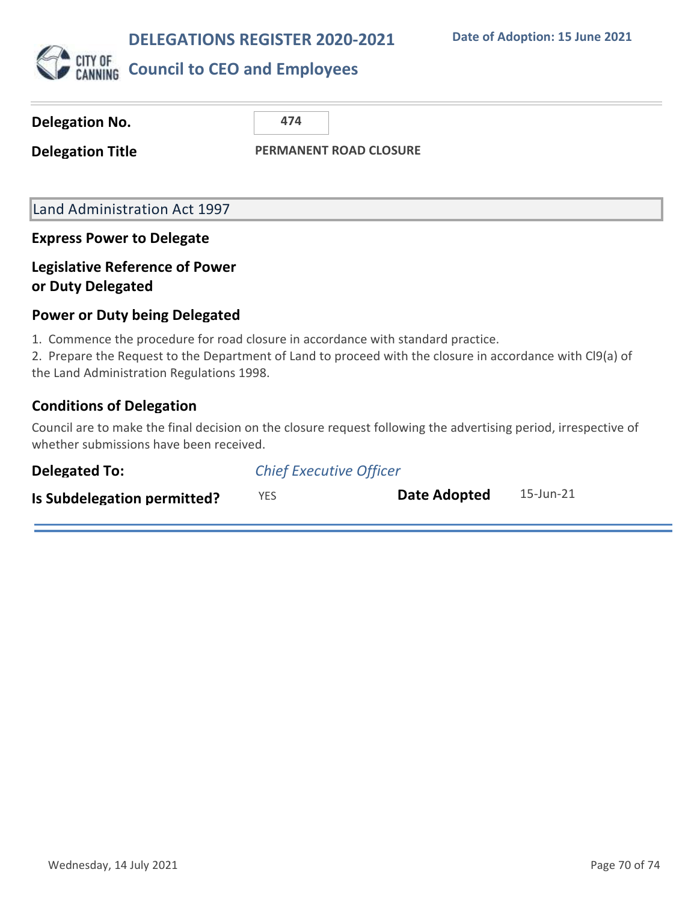**Date of Adoption: 15 June 2021**



| Delegation No.                                                                                                                | 474                           |                                                                                                                 |  |
|-------------------------------------------------------------------------------------------------------------------------------|-------------------------------|-----------------------------------------------------------------------------------------------------------------|--|
| <b>Delegation Title</b>                                                                                                       | <b>PERMANENT ROAD CLOSURE</b> |                                                                                                                 |  |
|                                                                                                                               |                               |                                                                                                                 |  |
| Land Administration Act 1997                                                                                                  |                               |                                                                                                                 |  |
| <b>Express Power to Delegate</b>                                                                                              |                               |                                                                                                                 |  |
| <b>Legislative Reference of Power</b><br>or Duty Delegated                                                                    |                               |                                                                                                                 |  |
| <b>Power or Duty being Delegated</b>                                                                                          |                               |                                                                                                                 |  |
| 1. Commence the procedure for road closure in accordance with standard practice.<br>the Land Administration Regulations 1998. |                               | 2. Prepare the Request to the Department of Land to proceed with the closure in accordance with Cl9(a) of       |  |
| <b>Conditions of Delegation</b>                                                                                               |                               |                                                                                                                 |  |
| whether submissions have been received.                                                                                       |                               | Council are to make the final decision on the closure request following the advertising period, irrespective of |  |
| Delegated To:                                                                                                                 |                               | Chief Executive Officer                                                                                         |  |

| Delegated To:               | <b>Chief Executive Officer</b> |              |           |
|-----------------------------|--------------------------------|--------------|-----------|
| Is Subdelegation permitted? | <b>YES</b>                     | Date Adopted | 15-Jun-21 |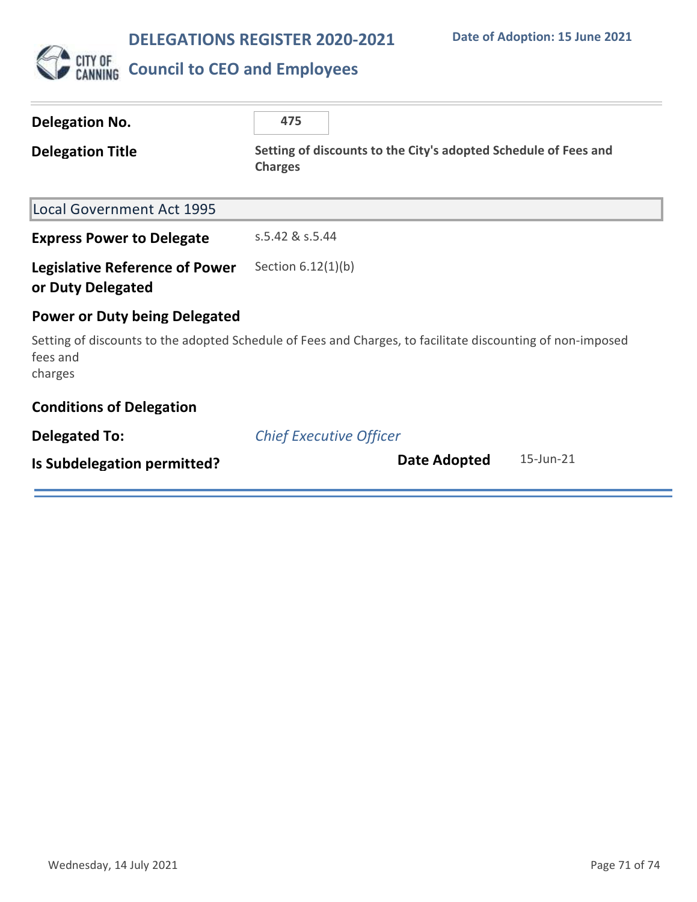

# **CITY OF COUNCIL TO CEO and Employees**

| <b>Delegation No.</b>                                      | 475                                                                                                        |  |  |
|------------------------------------------------------------|------------------------------------------------------------------------------------------------------------|--|--|
| <b>Delegation Title</b>                                    | Setting of discounts to the City's adopted Schedule of Fees and<br><b>Charges</b>                          |  |  |
| <b>Local Government Act 1995</b>                           |                                                                                                            |  |  |
| <b>Express Power to Delegate</b>                           | s.5.42 & s.5.44                                                                                            |  |  |
| <b>Legislative Reference of Power</b><br>or Duty Delegated | Section $6.12(1)(b)$                                                                                       |  |  |
| <b>Power or Duty being Delegated</b>                       |                                                                                                            |  |  |
| fees and<br>charges                                        | Setting of discounts to the adopted Schedule of Fees and Charges, to facilitate discounting of non-imposed |  |  |
| <b>Conditions of Delegation</b>                            |                                                                                                            |  |  |
| <b>Delegated To:</b>                                       | <b>Chief Executive Officer</b>                                                                             |  |  |
| Is Subdelegation permitted?                                | $15$ -Jun- $21$<br>Date Adopted                                                                            |  |  |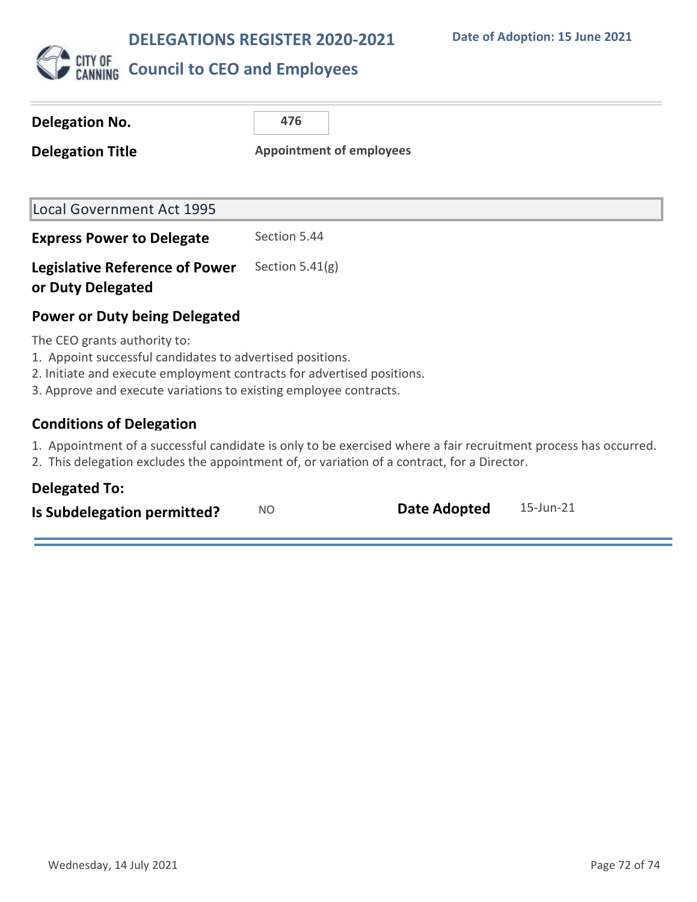

| Delegation No.                                                                                                                                                                                                                                    | 476                             |  |  |
|---------------------------------------------------------------------------------------------------------------------------------------------------------------------------------------------------------------------------------------------------|---------------------------------|--|--|
| <b>Delegation Title</b>                                                                                                                                                                                                                           | <b>Appointment of employees</b> |  |  |
|                                                                                                                                                                                                                                                   |                                 |  |  |
| <b>Local Government Act 1995</b>                                                                                                                                                                                                                  |                                 |  |  |
| <b>Express Power to Delegate</b>                                                                                                                                                                                                                  | Section 5.44                    |  |  |
| <b>Legislative Reference of Power</b><br>or Duty Delegated                                                                                                                                                                                        | Section $5.41(g)$               |  |  |
| <b>Power or Duty being Delegated</b>                                                                                                                                                                                                              |                                 |  |  |
| The CEO grants authority to:<br>1. Appoint successful candidates to advertised positions.<br>2. Initiate and execute employment contracts for advertised positions.<br>3. Approve and execute variations to existing employee contracts.          |                                 |  |  |
| <b>Conditions of Delegation</b><br>1. Appointment of a successful candidate is only to be exercised where a fair recruitment process has occurred.<br>2. This delegation excludes the appointment of, or variation of a contract, for a Director. |                                 |  |  |

### **Delegated To:**

| Is Subdelegation permitted? | NO. | <b>Date Adopted</b> | 15-Jun-21 |  |
|-----------------------------|-----|---------------------|-----------|--|
|                             |     |                     |           |  |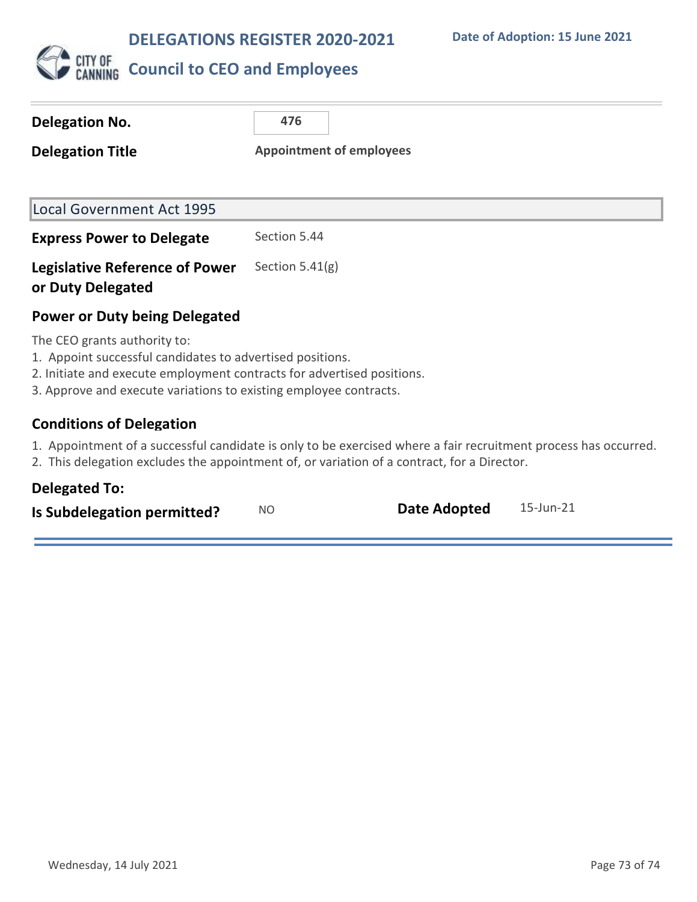**DELEGATIONS REGISTER 2020-2021**



| Delegation No.                                                                                                                                                                                                                           | 476                             |  |  |  |  |
|------------------------------------------------------------------------------------------------------------------------------------------------------------------------------------------------------------------------------------------|---------------------------------|--|--|--|--|
| <b>Delegation Title</b>                                                                                                                                                                                                                  | <b>Appointment of employees</b> |  |  |  |  |
|                                                                                                                                                                                                                                          |                                 |  |  |  |  |
| <b>Local Government Act 1995</b>                                                                                                                                                                                                         |                                 |  |  |  |  |
| <b>Express Power to Delegate</b>                                                                                                                                                                                                         | Section 5.44                    |  |  |  |  |
| <b>Legislative Reference of Power</b><br>or Duty Delegated                                                                                                                                                                               | Section $5.41(g)$               |  |  |  |  |
| Power or Duty being Delegated                                                                                                                                                                                                            |                                 |  |  |  |  |
| The CEO grants authority to:<br>1. Appoint successful candidates to advertised positions.<br>2. Initiate and execute employment contracts for advertised positions.<br>3. Approve and execute variations to existing employee contracts. |                                 |  |  |  |  |
| <b>Conditions of Delegation</b>                                                                                                                                                                                                          |                                 |  |  |  |  |
| 1. Appointment of a successful candidate is only to be exercised where a fair recruitment process has occurred.<br>2. This delegation excludes the appointment of, or variation of a contract, for a Director.                           |                                 |  |  |  |  |
|                                                                                                                                                                                                                                          |                                 |  |  |  |  |

| <b>Delegated To:</b> |  |
|----------------------|--|
|----------------------|--|

| Is Subdelegation permitted? | NO. | <b>Date Adopted</b> | 15-Jun-21 |  |
|-----------------------------|-----|---------------------|-----------|--|
|                             |     |                     |           |  |